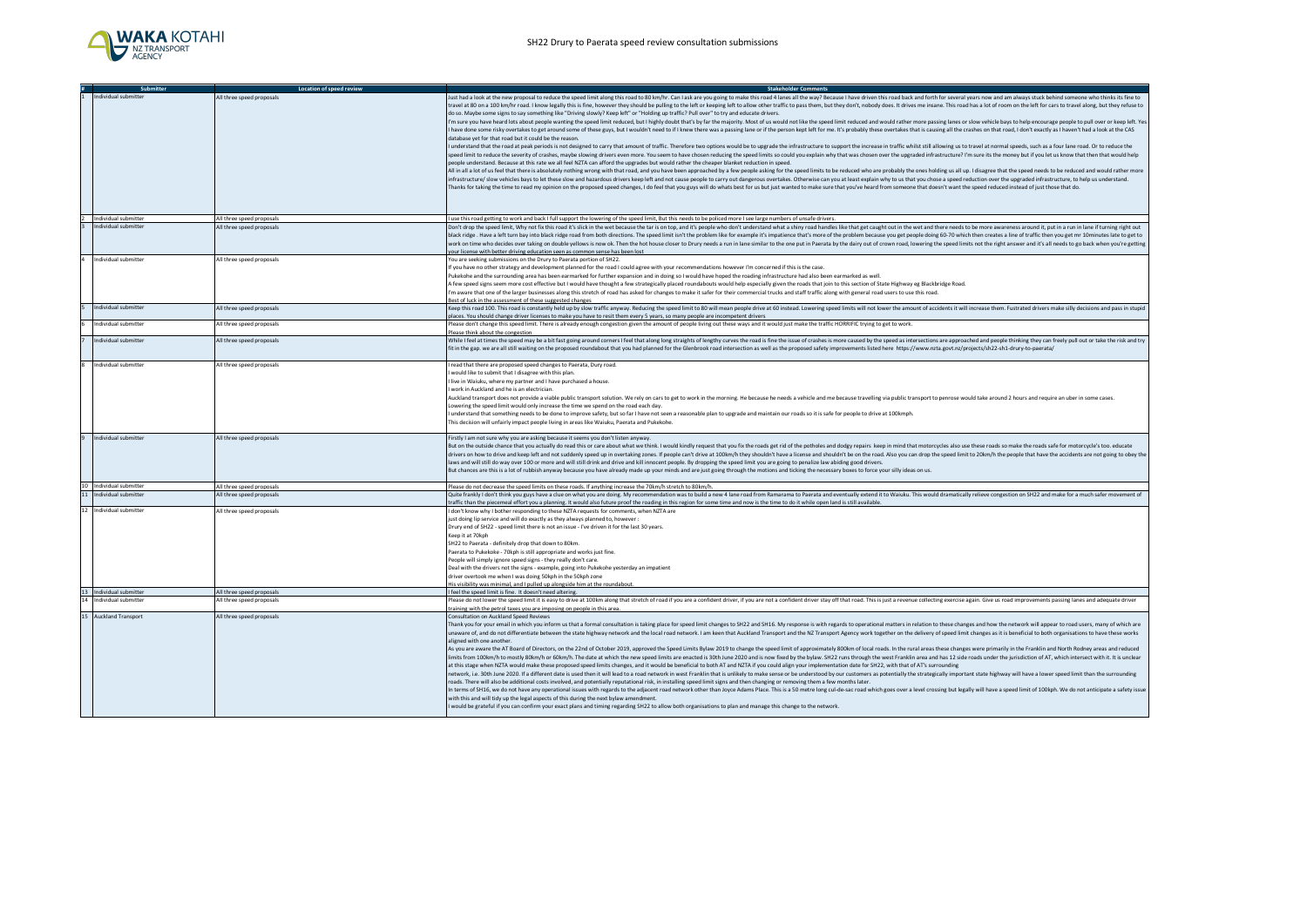

|    | Submitter               | Location of speed review                               | <b>Stakeholder Comments</b>                                                                                                                                                                                                                                                                                                                  |
|----|-------------------------|--------------------------------------------------------|----------------------------------------------------------------------------------------------------------------------------------------------------------------------------------------------------------------------------------------------------------------------------------------------------------------------------------------------|
|    | Individual submitter    | All three speed proposals                              | Just had a look at the new proposal to reduce the speed limit along this road to 80 km/hr. Can I ask are you going to make this road 4 lanes all the way? Because I have driven this road back and forth for several years now                                                                                                               |
|    |                         |                                                        | travel at 80 on a 100 km/hr road. I know legally this is fine, however they should be pulling to the left or keeping left to allow other traffic to pass them, but they don't, nobody does. It drives me insane. This road has                                                                                                               |
|    |                         |                                                        | do so. Maybe some signs to say something like "Driving slowly? Keep left" or "Holding up traffic? Pull over" to try and educate drivers.                                                                                                                                                                                                     |
|    |                         |                                                        | I'm sure you have heard lots about people wanting the speed limit reduced, but I highly doubt that's by far the majority. Most of us would not like the speed limit reduced and would rather more passing lanes or slow vehicl                                                                                                               |
|    |                         |                                                        | I have done some risky overtakes to get around some of these guys, but I wouldn't need to if I knew there was a passing lane or if the person kept left for me. It's probably these overtakes that is causing all the crashes                                                                                                                |
|    |                         |                                                        | database yet for that road but it could be the reason.                                                                                                                                                                                                                                                                                       |
|    |                         |                                                        | I understand that the road at peak periods is not designed to carry that amount of traffic. Therefore two options would be to upgrade the infrastructure to support the increase in traffic whilst still allowing us to travel                                                                                                               |
|    |                         |                                                        | speed limit to reduce the severity of crashes, maybe slowing drivers even more. You seem to have chosen reducing the speed limits so could you explain why that was chosen over the upgraded infrastructure? I'm sure its the                                                                                                                |
|    |                         |                                                        | people understand. Because at this rate we all feel NZTA can afford the upgrades but would rather the cheaper blanket reduction in speed.                                                                                                                                                                                                    |
|    |                         |                                                        | All in all a lot of us feel that there is absolutely nothing wrong with that road, and you have been approached by a few people asking for the speed limits to be reduced who are probably the ones holding us all up. I disag                                                                                                               |
|    |                         |                                                        | infrastructure/ slow vehicles bays to let these slow and hazardous drivers keep left and not cause people to carry out dangerous overtakes. Otherwise can you at least explain why to us that you chose a speed reduction over                                                                                                               |
|    |                         |                                                        | Thanks for taking the time to read my opinion on the proposed speed changes, I do feel that you guys will do whats best for us but just wanted to make sure that you've heard from someone that doesn't want the speed reduced                                                                                                               |
|    |                         |                                                        |                                                                                                                                                                                                                                                                                                                                              |
|    |                         |                                                        |                                                                                                                                                                                                                                                                                                                                              |
|    | 2 Individual submitter  | All three speed proposals                              | I use this road getting to work and back I full support the lowering of the speed limit, But this needs to be policed more I see large numbers of unsafe drivers.                                                                                                                                                                            |
|    | Individual submitter    | All three speed proposals                              | Don't drop the speed limit, Why not fix this road it's slick in the wet because the tar is on top, and it's people who don't understand what a shiny road handles like that get caught out in the wet and there needs to be mo                                                                                                               |
|    |                         |                                                        | black ridge. Have a left turn bay into black ridge road from both directions. The speed limit isn't the problem like for example it's impatience that's more of the problem because you get people doing 60-70 which then crea                                                                                                               |
|    |                         |                                                        | work on time who decides over taking on double yellows is now ok. Then the hot house closer to Drury needs a run in lane similar to the one put in Paerata by the dairy out of crown road, lowering the speed limits not the r                                                                                                               |
|    |                         |                                                        | your license with better driving education seen as common sense has been lost                                                                                                                                                                                                                                                                |
|    | 4 Individual submitter  | All three speed proposals                              | You are seeking submissions on the Drury to Paerata portion of SH22.                                                                                                                                                                                                                                                                         |
|    |                         |                                                        | f you have no other strategy and development planned for the road I could agree with your recommendations however I'm concerned if this is the case.                                                                                                                                                                                         |
|    |                         |                                                        | Pukekohe and the surrounding area has been earmarked for further expansion and in doing so I would have hoped the roading infrastructure had also been earmarked as well.                                                                                                                                                                    |
|    |                         |                                                        | A few speed signs seem more cost effective but I would have thought a few strategically placed roundabouts would help especially given the roads that join to this section of State Highway eg Blackbridge Road.                                                                                                                             |
|    |                         |                                                        | I'm aware that one of the larger businesses along this stretch of road has asked for changes to make it safer for their commercial trucks and staff traffic along with general road users to use this road.                                                                                                                                  |
|    |                         |                                                        | Best of luck in the assessment of these suggested changes                                                                                                                                                                                                                                                                                    |
|    | Individual submitter    | All three speed proposals                              | Keep this road 100. This road is constantly held up by slow traffic anyway. Reducing the speed limit to 80 will mean people drive at 60 instead. Lowering speed limits will not lower the amount of accidents it will increase                                                                                                               |
|    |                         |                                                        | places. You should change driver licenses to make you have to resit them every 5 years, so many people are incompetent drivers                                                                                                                                                                                                               |
|    | Individual submitter    | All three speed proposals                              | Nease don't change this speed limit. There is already enough congestion given the amount of people living out these ways and it would just make the traffic HORRIFIC trying to get to work.                                                                                                                                                  |
|    |                         |                                                        | Please think about the congestion                                                                                                                                                                                                                                                                                                            |
|    | Individual submitter    | All three speed proposals                              | While I feel at times the speed may be a bit fast going around corners I feel that along long straights of lengthy curves the road is fine the issue of crashes is more caused by the speed as intersections are approached an                                                                                                               |
|    |                         |                                                        | fit in the gap. we are all still waiting on the proposed roundabout that you had planned for the Glenbrook road intersection as well as the proposed safety improvements listed here https://www.nzta.govt.nz/projects/sh22-sh                                                                                                               |
|    |                         |                                                        |                                                                                                                                                                                                                                                                                                                                              |
| ×. | Individual submitter    | All three speed proposals                              | read that there are proposed speed changes to Paerata. Dury road                                                                                                                                                                                                                                                                             |
|    |                         |                                                        | would like to submit that I disagree with this plan                                                                                                                                                                                                                                                                                          |
|    |                         |                                                        | l live in Waiuku, where my partner and I have purchased a house.                                                                                                                                                                                                                                                                             |
|    |                         |                                                        | work in Auckland and he is an electrician.                                                                                                                                                                                                                                                                                                   |
|    |                         |                                                        | Auckland transport does not provide a viable public transport solution. We rely on cars to get to work in the morning. He because he needs a vehicle and me because travelling via public transport to penrose would take arou                                                                                                               |
|    |                         |                                                        | Lowering the speed limit would only increase the time we spend on the road each day.                                                                                                                                                                                                                                                         |
|    |                         |                                                        | I understand that something needs to be done to improve safety, but so far I have not seen a reasonable plan to upgrade and maintain our roads so it is safe for people to drive at 100kmph.                                                                                                                                                 |
|    |                         |                                                        | This decision will unfairly impact people living in areas like Waiuku, Paerata and Pukekohe.                                                                                                                                                                                                                                                 |
|    |                         |                                                        |                                                                                                                                                                                                                                                                                                                                              |
|    | Individual submitter    | All three speed proposals                              | Firstly I am not sure why you are asking because it seems you don't listen anyway.                                                                                                                                                                                                                                                           |
|    |                         |                                                        | But on the outside chance that you actually do read this or care about what we think. I would kindly request that you fix the roads get rid of the potholes and dodgy repairs keep in mind that motorcycles also use these roa                                                                                                               |
|    |                         |                                                        | drivers on how to drive and keep left and not suddenly speed up in overtaking zones. If people can't drive at 100km/h they shouldn't have a license and shouldn't be on the road. Also you can drop the speed limit to 20km/h                                                                                                                |
|    |                         |                                                        | laws and will still do way over 100 or more and will still drink and drive and kill innocent people. By dropping the speed limit you are going to penalize law abiding good drivers.                                                                                                                                                         |
|    |                         |                                                        | But chances are this is a lot of rubbish anyway because you have already made up your minds and are just going through the motions and ticking the necessary boxes to force your silly ideas on us.                                                                                                                                          |
|    | 10 Individual submitter |                                                        |                                                                                                                                                                                                                                                                                                                                              |
| 11 | Individual submitter    | All three speed proposals<br>All three speed proposals | Please do not decrease the speed limits on these roads. If anything increase the 70km/h stretch to 80km/h.<br>Quite frankly I don't think you guys have a clue on what you are doing. My recommendation was to build a new 4 lane road from Ramarama to Paerata and eventually extend it to Waiuku. This would dramatically relieve congesti |
|    |                         |                                                        | traffic than the piecemeal effort you a planning. It would also future proof the roading in this region for some time and now is the time to do it while open land is still available                                                                                                                                                        |
|    | 12 Individual submitter | All three speed proposals                              | don't know why I bother responding to these NZTA requests for comments, when NZTA are                                                                                                                                                                                                                                                        |
|    |                         |                                                        | just doing lip service and will do exactly as they always planned to, however                                                                                                                                                                                                                                                                |
|    |                         |                                                        | Drury end of SH22 - speed limit there is not an issue - I've driven it for the last 30 years.                                                                                                                                                                                                                                                |
|    |                         |                                                        | Keep it at 70kph                                                                                                                                                                                                                                                                                                                             |
|    |                         |                                                        | SH22 to Paerata - definitely drop that down to 80km.                                                                                                                                                                                                                                                                                         |
|    |                         |                                                        | Paerata to Pukekoke - 70kph is still appropriate and works just fine.                                                                                                                                                                                                                                                                        |
|    |                         |                                                        | People will simply ignore speed signs - they really don't care.                                                                                                                                                                                                                                                                              |
|    |                         |                                                        | Deal with the drivers not the signs - example, going into Pukekohe yesterday an impatient                                                                                                                                                                                                                                                    |
|    |                         |                                                        | driver overtook me when I was doing 50kph in the 50kph zone                                                                                                                                                                                                                                                                                  |
|    |                         |                                                        | His visibility was minimal, and I pulled up alongside him at the roundabout                                                                                                                                                                                                                                                                  |
|    | 13 Individual submitter | All three speed proposals                              | I feel the speed limit is fine. It doesn't need altering.                                                                                                                                                                                                                                                                                    |
| 14 | Individual submitter    | All three speed proposals                              | Please do not lower the speed limit it is easy to drive at 100km along that stretch of road if you are a confident driver, if you are not a confident driver stay off that road. This is just a revenue collecting exercise ag                                                                                                               |
|    |                         |                                                        | training with the petrol taxes you are imposing on people in this area.                                                                                                                                                                                                                                                                      |
|    | 15 Auckland Transport   | All three speed proposals                              | Consultation on Auckland Speed Reviews                                                                                                                                                                                                                                                                                                       |
|    |                         |                                                        | Thank you for your email in which you inform us that a formal consultation is taking place for speed limit changes to SH22 and SH16. My response is with regards to operational matters in relation to these changes and how t                                                                                                               |
|    |                         |                                                        | unaware of, and do not differentiate between the state highway network and the local road network. I am keen that Auckland Transport and the NZ Transport Agency work together on the delivery of speed limit changes as it is                                                                                                               |
|    |                         |                                                        | aligned with one another.                                                                                                                                                                                                                                                                                                                    |
|    |                         |                                                        | As you are aware the AT Board of Directors, on the 22nd of October 2019, approved the Speed Limits Bylaw 2019 to change the speed limit of approximately 800km of local roads. In the rural areas these changes were primarily                                                                                                               |
|    |                         |                                                        | limits from 100km/h to mostly 80km/h or 60km/h. The date at which the new speed limits are enacted is 30th June 2020 and is now fixed by the bylaw. SH22 runs through the west Franklin area and has 12 side roads under the j                                                                                                               |
|    |                         |                                                        | at this stage when NZTA would make these proposed speed limits changes, and it would be beneficial to both AT and NZTA if you could align your implementation date for SH22, with that of AT's surrounding                                                                                                                                   |
|    |                         |                                                        | network, i.e. 30th June 2020. If a different date is used then it will lead to a road network in west Franklin that is unlikely to make sense or be understood by our customers as potentially the strategically important sta                                                                                                               |
|    |                         |                                                        | roads. There will also be additional costs involved, and potentially reputational risk, in installing speed limit signs and then changing or removing them a few months later.                                                                                                                                                               |
|    |                         |                                                        | In terms of SH16, we do not have any operational issues with regards to the adjacent road network other than Joyce Adams Place. This is a 50 metre long cul-de-sac road which goes over a level crossing but legally will have                                                                                                               |
|    |                         |                                                        | with this and will tidy up the legal aspects of this during the next bylaw amendment.                                                                                                                                                                                                                                                        |
|    |                         |                                                        | would be grateful if you can confirm your exact plans and timing regarding SH22 to allow both organisations to plan and manage this change to the network.                                                                                                                                                                                   |
|    |                         |                                                        |                                                                                                                                                                                                                                                                                                                                              |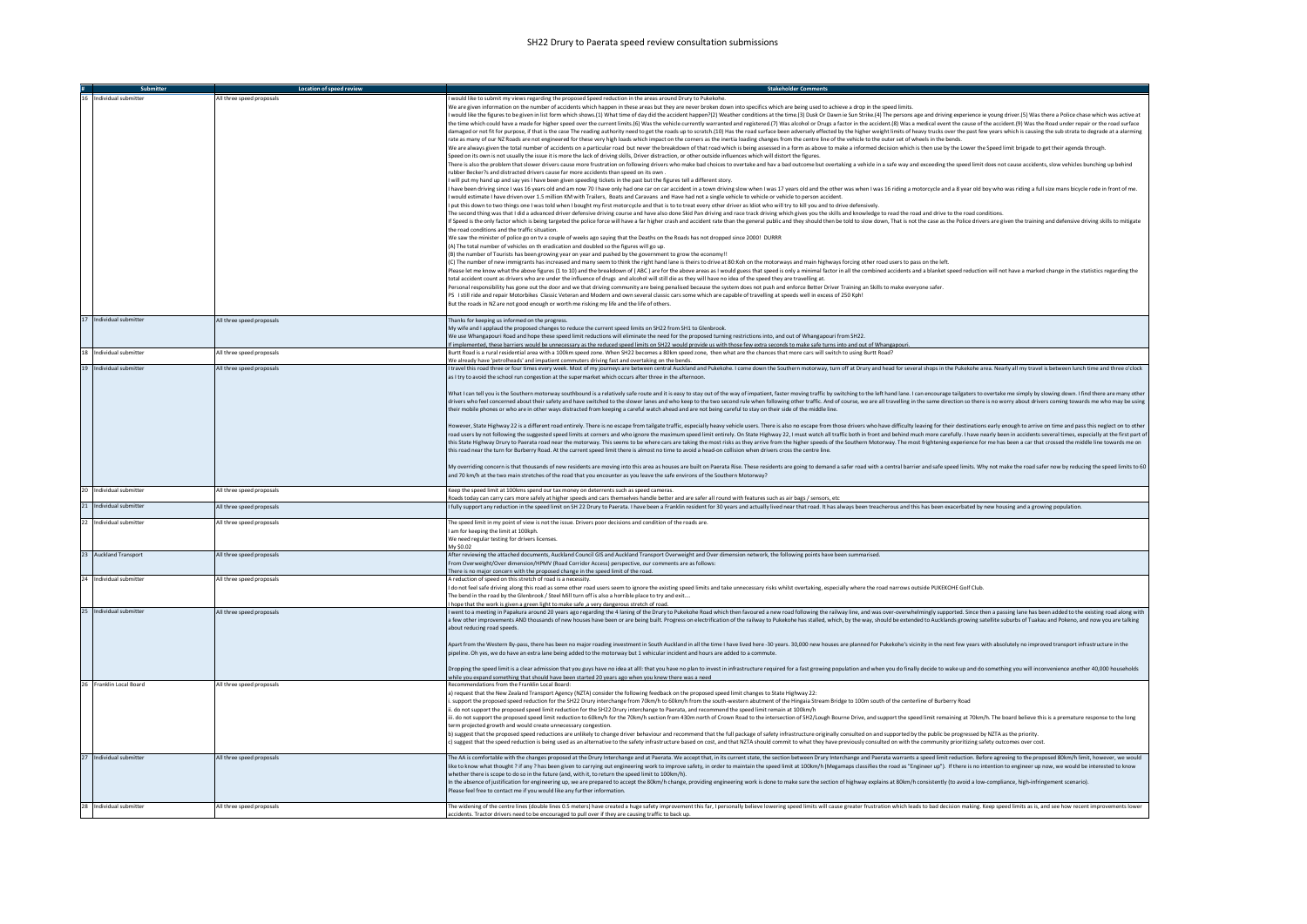## SH22 Drury to Paerata speed review consultation submissions

|                         | Location of speed review  | <b>Stakeholder Comments</b>                                                                                                                                                                                                                                                                                                                                                                                                                                      |
|-------------------------|---------------------------|------------------------------------------------------------------------------------------------------------------------------------------------------------------------------------------------------------------------------------------------------------------------------------------------------------------------------------------------------------------------------------------------------------------------------------------------------------------|
| dividual submitte       | All three speed proposals | would like to submit my views regarding the proposed Speed reduction in the areas around Drury to Pukekohe                                                                                                                                                                                                                                                                                                                                                       |
|                         |                           | We are given information on the number of accidents which happen in these areas but they are never broken down into specifics which are being used to achieve a drop in the speed limits.                                                                                                                                                                                                                                                                        |
|                         |                           | would like the figures to be given in list form which shows.(1) What time of day did the accident happen?(2) Weather conditions at the time.(3) Dusk Or Dawn ie Sun Strike.(4) The persons age and driving experience ie young                                                                                                                                                                                                                                   |
|                         |                           | the time which could have a made for higher speed over the current limits.(6) Was the vehicle currently warranted and registered.(7) Was alcohol or Drugs a factor in the accident.(8) Was a medical event the cause of the ac                                                                                                                                                                                                                                   |
|                         |                           | damaged or not fit for purpose, if that is the case The reading authority need to get the roads up to scratch.(10) Has the road surface been adversely effected by the higher weight limits of heavy trucks over the past few                                                                                                                                                                                                                                    |
|                         |                           | rate as many of our NZ Roads are not engineered for these very high loads which impact on the corners as the inertia loading changes from the centre line of the vehicle to the outer set of wheels in the bends.                                                                                                                                                                                                                                                |
|                         |                           | We are always given the total number of accidents on a particular road but never the breakdown of that road which is being assessed in a form as above to make a informed decision which is then use by the Lower the Speed li<br>Speed on its own is not usually the issue it is more the lack of driving skills. Driver distraction, or other outside influences which will distort the figures,                                                               |
|                         |                           | There is also the problem that slower drivers cause more frustration on following drivers who make bad choices to overtake and hav a bad outcome but overtaking a vehicle in a safe way and exceeding the speed limit does not                                                                                                                                                                                                                                   |
|                         |                           | ubber Becker?s and distracted drivers cause far more accidents than speed on its own                                                                                                                                                                                                                                                                                                                                                                             |
|                         |                           | I will put my hand up and say yes I have been given speeding tickets in the past but the figures tell a different story.                                                                                                                                                                                                                                                                                                                                         |
|                         |                           | I have been driving since I was 16 years old and am now 70 I have only had one car on car accident in a town driving slow when I was 17 years old and the other was when I was 16 riding a motorcycle and a 8 year old boy who                                                                                                                                                                                                                                   |
|                         |                           | would estimate I have driven over 1.5 million KM with Trailers, Boats and Caravans and Have had not a single vehicle to vehicle or vehicle to person accident                                                                                                                                                                                                                                                                                                    |
|                         |                           | I put this down to two things one I was told when I bought my first motorcycle and that is to to treat every other driver as Idiot who will try to kill you and to drive defensively.                                                                                                                                                                                                                                                                            |
|                         |                           | The second thing was that I did a advanced driver defensive driving course and have also done Skid Pan driving and race track driving which gives you the skills and knowledge to read the road and drive to the road conditio                                                                                                                                                                                                                                   |
|                         |                           | f Speed is the only factor which is being targeted the police force will have a far higher crash and accident rate than the general public and they should then be told to slow down, That is not the case as the Police drive<br>the road conditions and the traffic situation.                                                                                                                                                                                 |
|                         |                           | We saw the minister of police go on tv a couple of weeks ago saying that the Deaths on the Roads has not dropped since 2000! DURRR                                                                                                                                                                                                                                                                                                                               |
|                         |                           | (A) The total number of vehicles on th eradication and doubled so the figures will go up.                                                                                                                                                                                                                                                                                                                                                                        |
|                         |                           | (B) the number of Tourists has been growing year on year and pushed by the government to grow the economy!!                                                                                                                                                                                                                                                                                                                                                      |
|                         |                           | (C) The number of new immigrants has increased and many seem to think the right hand lane is theirs to drive at 80:Koh on the motorways and main highways forcing other road users to pass on the left.                                                                                                                                                                                                                                                          |
|                         |                           | Please let me know what the above figures (1 to 10) and the breakdown of (ABC) are for the above areas as I would guess that speed is only a minimal factor in all the combined accidents and a blanket speed reduction will n                                                                                                                                                                                                                                   |
|                         |                           | total accident count as drivers who are under the influence of drugs and alcohol will still die as they will have no idea of the speed they are travelling at.                                                                                                                                                                                                                                                                                                   |
|                         |                           | Personal responsibility has gone out the door and we that driving community are being penalised because the system does not push and enforce Better Driver Training an Skills to make everyone safer.                                                                                                                                                                                                                                                            |
|                         |                           | PS I still ride and repair Motorbikes Classic Veteran and Modern and own several classic cars some which are capable of travelling at speeds well in excess of 250 Kph!<br>But the roads in NZ are not good enough or worth me risking my life and the life of others.                                                                                                                                                                                           |
|                         |                           |                                                                                                                                                                                                                                                                                                                                                                                                                                                                  |
| 17 Individual submitter | All three speed proposals | Thanks for keeping us informed on the progress.                                                                                                                                                                                                                                                                                                                                                                                                                  |
|                         |                           | My wife and I applaud the proposed changes to reduce the current speed limits on SH22 from SH1 to Glenbrook.                                                                                                                                                                                                                                                                                                                                                     |
|                         |                           | We use Whangapouri Road and hope these speed limit reductions will eliminate the need for the proposed turning restrictions into, and out of Whangapouri from SH22.                                                                                                                                                                                                                                                                                              |
|                         |                           | If implemented, these barriers would be unnecessary as the reduced speed limits on SH22 would provide us with those few extra seconds to make safe turns into and out of Whangapouri                                                                                                                                                                                                                                                                             |
| 18 Individual submitter | All three speed proposals | Burtt Road is a rural residential area with a 100km speed zone. When SH22 becomes a 80km speed zone, then what are the chances that more cars will switch to using Burtt Road?<br>We already have 'petrolheads' and impatient commuters driving fast and overtaking on the bends.                                                                                                                                                                                |
| 19 Individual submitter | All three speed proposals | I travel this road three or four times every week. Most of my journeys are between central Auckland and Pukekohe. I come down the Southern motorway, turn off at Drury and head for several shops in the Pukekohe area. Nearly                                                                                                                                                                                                                                   |
|                         |                           | as I try to avoid the school run congestion at the supermarket which occurs after three in the afternoon.                                                                                                                                                                                                                                                                                                                                                        |
|                         |                           |                                                                                                                                                                                                                                                                                                                                                                                                                                                                  |
|                         |                           | What I can tell you is the Southern motorway southbound is a relatively safe route and it is easy to stay out of the way of impatient, faster moving traffic by switching to the left hand lane. I can encourage tailgaters to                                                                                                                                                                                                                                   |
|                         |                           | drivers who feel concerned about their safety and have switched to the slower lanes and who keep to the two second rule when following other traffic. And of course, we are all travelling in the same direction so there is n                                                                                                                                                                                                                                   |
|                         |                           | their mobile phones or who are in other ways distracted from keeping a careful watch ahead and are not being careful to stay on their side of the middle line.                                                                                                                                                                                                                                                                                                   |
|                         |                           | However, State Highway 22 is a different road entirely. There is no escape from tailgate traffic, especially heavy vehicle users. There is also no escape from those drivers who have difficulty leaving for their destination                                                                                                                                                                                                                                   |
|                         |                           | road users by not following the suggested speed limits at corners and who ignore the maximum speed limit entirely. On State Highway 22, I must watch all traffic both in front and behind much more carefully. I have nearly b                                                                                                                                                                                                                                   |
|                         |                           | this State Highway Drury to Paerata road near the motorway. This seems to be where cars are taking the most risks as they arrive from the higher speeds of the Southern Motorway. The most frightening experience for me has b                                                                                                                                                                                                                                   |
|                         |                           | this road near the turn for Burberry Road. At the current speed limit there is almost no time to avoid a head-on collision when drivers cross the centre line.                                                                                                                                                                                                                                                                                                   |
|                         |                           |                                                                                                                                                                                                                                                                                                                                                                                                                                                                  |
|                         |                           | My overriding concern is that thousands of new residents are moving into this area as houses are built on Paerata Rise. These residents are going to demand a safer road with a central barrier and safe speed limits. Why not                                                                                                                                                                                                                                   |
|                         |                           | and 70 km/h at the two main stretches of the road that you encounter as you leave the safe environs of the Southern Motorway?                                                                                                                                                                                                                                                                                                                                    |
| 20 Individual submitter | All three speed proposals | Keep the speed limit at 100kms spend our tax money on deterrents such as speed cameras.                                                                                                                                                                                                                                                                                                                                                                          |
|                         |                           | Roads today can carry cars more safely at higher speeds and cars themselves handle better and are safer all round with features such as air bags / sensors, etc.                                                                                                                                                                                                                                                                                                 |
| 21 Individual submitter | All three speed proposals | I fully support any reduction in the speed limit on SH 22 Drury to Paerata. I have been a Franklin resident for 30 years and actually lived near that road. It has always been treacherous and this has been exacerbated by ne                                                                                                                                                                                                                                   |
| 22 Individual submitte  | All three speed proposals | The speed limit in my point of view is not the issue. Drivers poor decisions and condition of the roads are.                                                                                                                                                                                                                                                                                                                                                     |
|                         |                           | I am for keeping the limit at 100kph.                                                                                                                                                                                                                                                                                                                                                                                                                            |
|                         |                           | We need regular testing for drivers licenses.                                                                                                                                                                                                                                                                                                                                                                                                                    |
|                         |                           | My \$0.02                                                                                                                                                                                                                                                                                                                                                                                                                                                        |
| 23 Auckland Transport   | All three speed proposals | After reviewing the attached documents, Auckland Council GIS and Auckland Transport Overweight and Over dimension network, the following points have been summarised.                                                                                                                                                                                                                                                                                            |
|                         |                           | From Overweight/Over dimension/HPMV (Road Corridor Access) perspective, our comments are as follows:                                                                                                                                                                                                                                                                                                                                                             |
| 24 Individual submitter | All three speed proposals | There is no major concern with the proposed change in the speed limit of the road.<br>A reduction of speed on this stretch of road is a necessity.                                                                                                                                                                                                                                                                                                               |
|                         |                           | I do not feel safe driving along this road as some other road users seem to ignore the existing speed limits and take unnecessary risks whilst overtaking, especially where the road narrows outside PUKEKOHE Golf Club.                                                                                                                                                                                                                                         |
|                         |                           | The bend in the road by the Glenbrook / Steel Mill turn off is also a horrible place to try and exit                                                                                                                                                                                                                                                                                                                                                             |
|                         |                           | I hope that the work is given a green light to make safe, a very dangerous stretch of road.                                                                                                                                                                                                                                                                                                                                                                      |
| 25 Individual submitter | All three speed proposals | I went to a meeting in Papakura around 20 years ago regarding the 4 laning of the Drury to Pukekohe Road which then favoured a new road following the railway line, and was over-overwhelmingly supported. Since then a passin                                                                                                                                                                                                                                   |
|                         |                           | a few other improvements AND thousands of new houses have been or are being built. Progress on electrification of the railway to Pukekohe has stalled, which, by the way, should be extended to Aucklands growing satellite su                                                                                                                                                                                                                                   |
|                         |                           | about reducing road speeds.                                                                                                                                                                                                                                                                                                                                                                                                                                      |
|                         |                           |                                                                                                                                                                                                                                                                                                                                                                                                                                                                  |
|                         |                           | Apart from the Western By-pass, there has been no major roading investment in South Auckland in all the time I have lived here -30 years. 30,000 new houses are planned for Pukekohe's vicinity in the next few years with abs<br>pipeline. Oh yes, we do have an extra lane being added to the motorway but 1 vehicular incident and hours are added to a commute.                                                                                              |
|                         |                           |                                                                                                                                                                                                                                                                                                                                                                                                                                                                  |
|                         |                           | Dropping the speed limit is a clear admission that you guys have no idea at all!: that you have no plan to invest in infrastructure required for a fast growing population and when you do finally decide to wake up and do so                                                                                                                                                                                                                                   |
|                         |                           | while you expand something that should have been started 20 years ago when you knew there was a need                                                                                                                                                                                                                                                                                                                                                             |
| 26 Franklin Local Board | All three speed proposals | Recommendations from the Franklin Local Board                                                                                                                                                                                                                                                                                                                                                                                                                    |
|                         |                           | a) request that the New Zealand Transport Agency (NZTA) consider the following feedback on the proposed speed limit changes to State Highway 22:                                                                                                                                                                                                                                                                                                                 |
|                         |                           | support the proposed speed reduction for the SH22 Drury interchange from 70km/h to 60km/h from the south-western abutment of the Hingaia Stream Bridge to 100m south of the centerline of Burberry Road<br>i. do not support the proposed speed limit reduction for the SH22 Drury interchange to Paerata, and recommend the speed limit remain at 100km/h                                                                                                       |
|                         |                           | iii. do not support the proposed speed limit reduction to 60km/h for the 70km/h section from 430m north of Crown Road to the intersection of SH2/Lough Bourne Drive, and support the speed limit remaining at 70km/h. The boar                                                                                                                                                                                                                                   |
|                         |                           | term projected growth and would create unnecessary congestion                                                                                                                                                                                                                                                                                                                                                                                                    |
|                         |                           | b) suggest that the proposed speed reductions are unlikely to change driver behaviour and recommend that the full package of safety infrastructure originally consulted on and supported by the public be progressed by NZTA a                                                                                                                                                                                                                                   |
|                         |                           | c) suggest that the speed reduction is being used as an alternative to the safety infrastructure based on cost, and that NZTA should commit to what they have previously consulted on with the community prioritizing safety o                                                                                                                                                                                                                                   |
| 27 Individual submitter |                           |                                                                                                                                                                                                                                                                                                                                                                                                                                                                  |
|                         | All three speed proposals | The AA is comfortable with the changes proposed at the Drury Interchange and at Paerata. We accept that, in its current state, the section between Drury Interchange and Paerata warrants a speed limit reduction. Before agre<br>like to know what thought ? if any ? has been given to carrying out engineering work to improve safety, in order to maintain the speed limit at 100km/h (Megamaps classifies the road as "Engineer up"). If there is no intent |
|                         |                           | whether there is scope to do so in the future (and, with it, to return the speed limit to 100km/h).                                                                                                                                                                                                                                                                                                                                                              |
|                         |                           | In the absence of justification for engineering up, we are prepared to accept the 80km/h change, providing engineering work is done to make sure the section of highway explains at 80km/h consistently (to avoid a low-compli                                                                                                                                                                                                                                   |
|                         |                           | Please feel free to contact me if you would like any further information.                                                                                                                                                                                                                                                                                                                                                                                        |
|                         |                           |                                                                                                                                                                                                                                                                                                                                                                                                                                                                  |
| 28 Individual submitter | All three speed proposals | The widening of the centre lines (double lines 0.5 meters) have created a huge safety improvement this far, I personally believe lowering speed limits will cause greater frustration which leads to bad decision making. Keep<br>accidents. Tractor drivers need to be encouraged to pull over if they are causing traffic to back up.                                                                                                                          |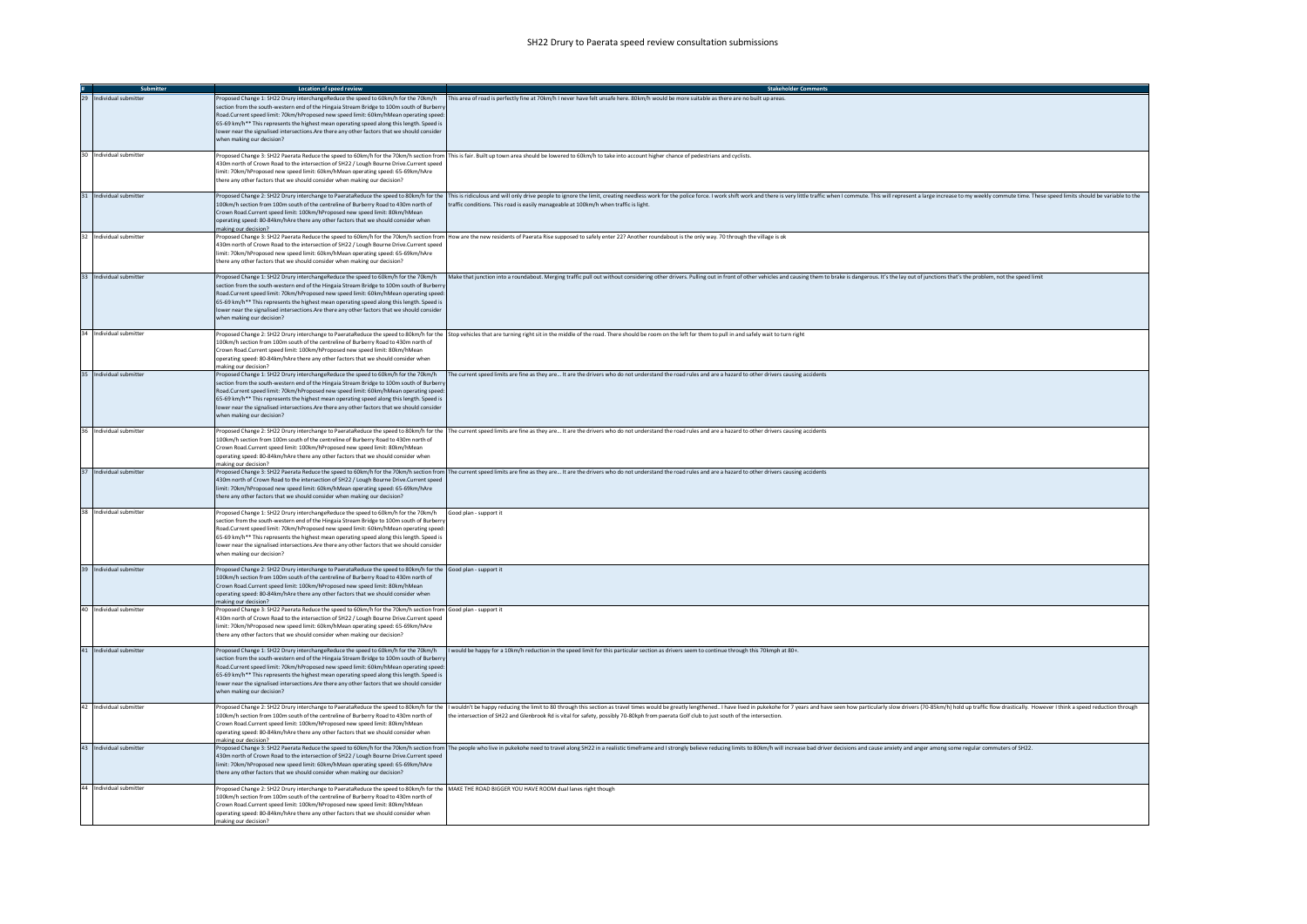|                         | Location of speed review                                                                                                                                                                                                                                                                                                                                                                                                                                                                         | <b>Stakeholder Comments</b>                                                                                                                                                                                                                                                                                                                                               |
|-------------------------|--------------------------------------------------------------------------------------------------------------------------------------------------------------------------------------------------------------------------------------------------------------------------------------------------------------------------------------------------------------------------------------------------------------------------------------------------------------------------------------------------|---------------------------------------------------------------------------------------------------------------------------------------------------------------------------------------------------------------------------------------------------------------------------------------------------------------------------------------------------------------------------|
| 29 Individual submitter | Proposed Change 1: SH22 Drury interchangeReduce the speed to 60km/h for the 70km/h<br>section from the south-western end of the Hingaia Stream Bridge to 100m south of Burberr<br>Road.Current speed limit: 70km/hProposed new speed limit: 60km/hMean operating speer<br>65-69 km/h** This represents the highest mean operating speed along this length. Speed is<br>lower near the signalised intersections. Are there any other factors that we should consider<br>when making our decision? | This area of road is perfectly fine at 70km/h I never have felt unsafe here. 80km/h would be more suitable as there are no built up areas.                                                                                                                                                                                                                                |
| 30 Individual submitter | 430m north of Crown Road to the intersection of SH22 / Lough Bourne Drive.Current speed<br>limit: 70km/hProposed new speed limit: 60km/hMean operating speed: 65-69km/hAre<br>there any other factors that we should consider when making our decision?                                                                                                                                                                                                                                          | Proposed Change 3: SH22 Paerata Reduce the speed to 60km/h for the 70km/h section from This is fair. Built up town area should be lowered to 60km/h to take into account higher chance of pedestrians and cyclists.                                                                                                                                                       |
| 31 Individual submitter | 100km/h section from 100m south of the centreline of Burberry Road to 430m north of<br>Crown Road.Current speed limit: 100km/hProposed new speed limit: 80km/hMean<br>operating speed: 80-84km/hAre there any other factors that we should consider when<br>making our decision?                                                                                                                                                                                                                 | Proposed Change 2: SH22 Drury interchange to PaerataReduce the speed to 80km/h for the 1This is ridiculous and will only drive people to ignore the limit, creating needless work for the olice force. I work shift work and t<br>traffic conditions. This road is easily manageable at 100km/h when traffic is light                                                     |
| 32 Individual submitter | 430m north of Crown Road to the intersection of SH22 / Lough Bourne Drive.Current speed<br>limit: 70km/hProposed new speed limit: 60km/hMean operating speed: 65-69km/hAre<br>there any other factors that we should consider when making our decision?                                                                                                                                                                                                                                          | Proposed Change 3: SH22 Paerata Reduce the speed to 60km/h for the 70km/h section from How are the new residents of Paerata Rise supposed to safely enter 22? Another roundabout is the only way. 70 through the village is ok                                                                                                                                            |
| 33 Individual submitter | Proposed Change 1: SH22 Drury interchangeReduce the speed to 60km/h for the 70km/h<br>section from the south-western end of the Hingaia Stream Bridge to 100m south of Burbern<br>Road.Current speed limit: 70km/hProposed new speed limit: 60km/hMean operating speer<br>65-69 km/h** This represents the highest mean operating speed along this length. Speed is<br>lower near the signalised intersections. Are there any other factors that we should consider<br>when making our decision? | Make that junction into a roundabout. Merging traffic pull out without considering other drivers. Pulling out in front of other vehicles and causing them to brake is dangerous. It's the lay out of junctions that's the prob                                                                                                                                            |
| 34 Individual submitter | 100km/h section from 100m south of the centreline of Burberry Road to 430m north of<br>Crown Road.Current speed limit: 100km/hProposed new speed limit: 80km/hMean<br>operating speed: 80-84km/hAre there any other factors that we should consider when<br>making our decision?                                                                                                                                                                                                                 | Proposed Change 2: SH22 Drury interchange to PaerataReduce the speed to 80km/h for the Stop vehicles that are turning right sit in the middle of the road. There should be room on the left for them to pull in and safely wai                                                                                                                                            |
| 35 Individual submitter | Proposed Change 1: SH22 Drury interchangeReduce the speed to 60km/h for the 70km/h<br>section from the south-western end of the Hingaia Stream Bridge to 100m south of Burber<br>Road.Current speed limit: 70km/hProposed new speed limit: 60km/hMean operating speed:<br>65-69 km/h** This represents the highest mean operating speed along this length. Speed is<br>lower near the signalised intersections. Are there any other factors that we should consider<br>when making our decision? | The current speed limits are fine as they are It are the drivers who do not understand the road rules and are a hazard to other drivers causing accidents                                                                                                                                                                                                                 |
| 36 Individual submitter | 100km/h section from 100m south of the centreline of Burberry Road to 430m north of<br>Crown Road.Current speed limit: 100km/hProposed new speed limit: 80km/hMean<br>operating speed: 80-84km/hAre there any other factors that we should consider when<br>making our decision?                                                                                                                                                                                                                 | Proposed Change 2: SH22 Drury interchange to PaerataReduce the speed to 80km/h for the  The current speed limits are fine as they are It are the drivers who do not understand the road rules and are a hazard to other dri                                                                                                                                               |
| 37 Individual submitter | 430m north of Crown Road to the intersection of SH22 / Lough Bourne Drive.Current speed<br>imit: 70km/hProposed new speed limit: 60km/hMean operating speed: 65-69km/hAre<br>there any other factors that we should consider when making our decision?                                                                                                                                                                                                                                           | Proposed Change 3: SH22 Paerata Reduce the speed to 60km/h for the 70km/h section from The current speed limits are fine as they are It are the drivers who do not understand the road rules and are a hazard to other driv                                                                                                                                               |
| 38 Individual submitter | Proposed Change 1: SH22 Drury interchangeReduce the speed to 60km/h for the 70km/h<br>section from the south-western end of the Hingaia Stream Bridge to 100m south of Burbern<br>Road.Current speed limit: 70km/hProposed new speed limit: 60km/hMean operating speed:<br>65-69 km/h** This represents the highest mean operating speed along this length. Speed is<br>lower near the signalised intersections.Are there any other factors that we should consider<br>when making our decision? | Good plan - support it                                                                                                                                                                                                                                                                                                                                                    |
| 39 Individual submitter | Proposed Change 2: SH22 Drury interchange to PaerataReduce the speed to 80km/h for the Good plan - support it<br>100km/h section from 100m south of the centreline of Burberry Road to 430m north of<br>Crown Road.Current speed limit: 100km/hProposed new speed limit: 80km/hMean<br>operating speed: 80-84km/hAre there any other factors that we should consider when<br>making our decision?                                                                                                |                                                                                                                                                                                                                                                                                                                                                                           |
| 40 Individual submitter | Proposed Change 3: SH22 Paerata Reduce the speed to 60km/h for the 70km/h section from Good plan - support it<br>430m north of Crown Road to the intersection of SH22 / Lough Bourne Drive Current speed<br>limit: 70km/hProposed new speed limit: 60km/hMean operating speed: 65-69km/hAre<br>there any other factors that we should consider when making our decision?                                                                                                                         |                                                                                                                                                                                                                                                                                                                                                                           |
| 41 Individual submitter | Proposed Change 1: SH22 Drury interchangeReduce the speed to 60km/h for the 70km/h<br>section from the south-western end of the Hingaia Stream Bridge to 100m south of Burber<br>Road.Current speed limit: 70km/hProposed new speed limit: 60km/hMean operating speed<br>65-69 km/h** This represents the highest mean operating speed along this length. Speed is<br>lower near the signalised intersections.Are there any other factors that we should consider<br>when making our decision?   | I would be happy for a 10km/h reduction in the speed limit for this particular section as drivers seem to continue through this 70kmph at 80+.                                                                                                                                                                                                                            |
| 42 Individual submitter | 100km/h section from 100m south of the centreline of Burberry Road to 430m north of<br>Crown Road.Current speed limit: 100km/hProposed new speed limit: 80km/hMean<br>operating speed: 80-84km/hAre there any other factors that we should consider when<br>making our decision?                                                                                                                                                                                                                 | Proposed Change 2: SH22 Drury interchange to PaerataReduce the speed to 80km/h for the   I wouldn't be happy reducing the limit to 80 through this section as travel times would be greatly lengthened I have lived in pukek<br>the intersection of SH22 and Glenbrook Rd is vital for safety, possibly 70-80kph from paerata Golf club to just south of the intersection |
| 43 Individual submitter | 430m north of Crown Road to the intersection of SH22 / Lough Bourne Drive.Current speed<br>limit: 70km/hProposed new speed limit: 60km/hMean operating speed: 65-69km/hAre<br>there any other factors that we should consider when making our decision?                                                                                                                                                                                                                                          | Proposed Change 3: SH22 Paerata Reduce the speed to 60km/h for the 70km/h section from  The people who live in pukekohe need to travel along SH22 in a realistic timeframe and I strongly believe reducing limits to 80km/h wi                                                                                                                                            |
| 44 Individual submitter | Proposed Change 2: SH22 Drury interchange to PaerataReduce the speed to 80km/h for the MAKE THE ROAD BIGGER YOU HAVE ROOM dual lanes right though<br>100km/h section from 100m south of the centreline of Burberry Road to 430m north of<br>Crown Road.Current speed limit: 100km/hProposed new speed limit: 80km/hMean<br>operating speed: 80-84km/hAre there any other factors that we should consider when<br>making our decision?                                                            |                                                                                                                                                                                                                                                                                                                                                                           |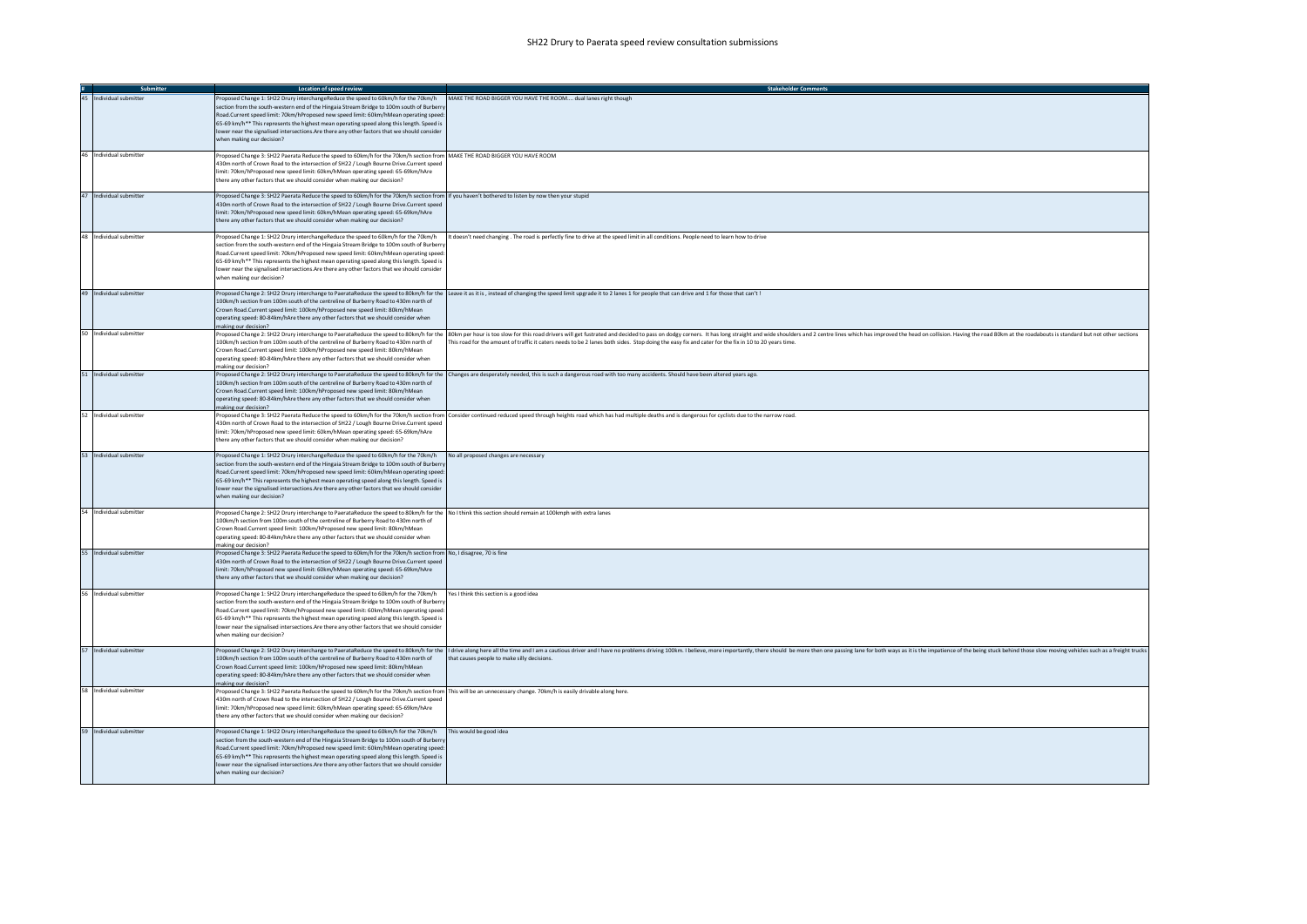| Submitter               | Location of speed review                                                                                                                                                                                                                                                                                                                                                                                                                                                                                                                                          | <b>Stakeholder Comments</b>                                                                                                                                                                                                                                                                                                                                                           |
|-------------------------|-------------------------------------------------------------------------------------------------------------------------------------------------------------------------------------------------------------------------------------------------------------------------------------------------------------------------------------------------------------------------------------------------------------------------------------------------------------------------------------------------------------------------------------------------------------------|---------------------------------------------------------------------------------------------------------------------------------------------------------------------------------------------------------------------------------------------------------------------------------------------------------------------------------------------------------------------------------------|
| 45 Individual submitter | Proposed Change 1: SH22 Drury interchangeReduce the speed to 60km/h for the 70km/h MAKE THE ROAD BIGGER YOU HAVE THE ROOM dual lanes right though<br>section from the south-western end of the Hingaia Stream Bridge to 100m south of Burberry<br>Road.Current speed limit: 70km/hProposed new speed limit: 60km/hMean operating speed:<br>65-69 km/h** This represents the highest mean operating speed along this length. Speed is<br>lower near the signalised intersections. Are there any other factors that we should consider<br>when making our decision? |                                                                                                                                                                                                                                                                                                                                                                                       |
| 46 Individual submitter | Proposed Change 3: SH22 Paerata Reduce the speed to 60km/h for the 70km/h section from MAKE THE ROAD BIGGER YOU HAVE ROOM<br>430m north of Crown Road to the intersection of SH22 / Lough Bourne Drive.Current speed<br>imit: 70km/hProposed new speed limit: 60km/hMean operating speed: 65-69km/hAre<br>there any other factors that we should consider when making our decision?                                                                                                                                                                               |                                                                                                                                                                                                                                                                                                                                                                                       |
| 47 Individual submitter | Proposed Change 3: SH22 Paerata Reduce the speed to 60km/h for the 70km/h section from If you haven't bothered to listen by now then your stupid<br>430m north of Crown Road to the intersection of SH22 / Lough Bourne Drive.Current speed<br>limit: 70km/hProposed new speed limit: 60km/hMean operating speed: 65-69km/hAre<br>there any other factors that we should consider when making our decision?                                                                                                                                                       |                                                                                                                                                                                                                                                                                                                                                                                       |
| 48 Individual submitter | Proposed Change 1: SH22 Drury interchangeReduce the speed to 60km/h for the 70km/h<br>section from the south-western end of the Hingaia Stream Bridge to 100m south of Burberr<br>Road.Current speed limit: 70km/hProposed new speed limit: 60km/hMean operating speed:<br>65-69 km/h** This represents the highest mean operating speed along this length. Speed is<br>lower near the signalised intersections.Are there any other factors that we should consider<br>when making our decision?                                                                  | It doesn't need changing . The road is perfectly fine to drive at the speed limit in all conditions. People need to learn how to drive                                                                                                                                                                                                                                                |
| 49 Individual submitter | 100km/h section from 100m south of the centreline of Burberry Road to 430m north of<br>Crown Road.Current speed limit: 100km/hProposed new speed limit: 80km/hMean<br>operating speed: 80-84km/hAre there any other factors that we should consider when<br>making our decision?                                                                                                                                                                                                                                                                                  | Proposed Change 2: SH22 Drury interchange to PaerataReduce the speed to 80km/h for the Leave it as it is, instead of changing the speed limit upgrade it to 2 lanes 1 for people that can drive and 1 for those that can't!                                                                                                                                                           |
| 50 Individual submitter | 100km/h section from 100m south of the centreline of Burberry Road to 430m north of<br>Crown Road.Current speed limit: 100km/hProposed new speed limit: 80km/hMean<br>operating speed: 80-84km/hAre there any other factors that we should consider when<br>making our decision?                                                                                                                                                                                                                                                                                  | Proposed Change 2: SH22 Drury interchange to PaerataReduce the speed to 80km/h for the 80km per hour is too slow for this road drivers will get fustrated and decided to pass on dodgy corners. It has long straight and wie s<br>This road for the amount of traffic it caters needs to be 2 lanes both sides. Stop doing the easy fix and cater for the fix in 10 to 20 years time. |
| 51 Individual submitter | 100km/h section from 100m south of the centreline of Burberry Road to 430m north of<br>Crown Road.Current speed limit: 100km/hProposed new speed limit: 80km/hMean<br>operating speed: 80-84km/hAre there any other factors that we should consider when<br>making our decision?                                                                                                                                                                                                                                                                                  | Proposed Change 2: SH22 Drury interchange to PaerataReduce the speed to 80km/h for the Changes are desperately needed, this is such a dangerous road with too many accidents. Should have been altered years ago.                                                                                                                                                                     |
| 52 Individual submitter | 430m north of Crown Road to the intersection of SH22 / Lough Bourne Drive.Current speed<br>limit: 70km/hProposed new speed limit: 60km/hMean operating speed: 65-69km/hAre<br>there any other factors that we should consider when making our decision?                                                                                                                                                                                                                                                                                                           | Proposed Change 3: SH22 Paerata Reduce the speed to 60km/h for the 70km/h section from Consider continued reduced speed through heights road which has had multiple deaths and is dangerous for cyclists due to the narrow roa                                                                                                                                                        |
| 53 Individual submitter | Proposed Change 1: SH22 Drury interchangeReduce the speed to 60km/h for the 70km/h<br>section from the south-western end of the Hingaia Stream Bridge to 100m south of Burbern<br>Road.Current speed limit: 70km/hProposed new speed limit: 60km/hMean operating speed:<br>65-69 km/h** This represents the highest mean operating speed along this length. Speed is<br>lower near the signalised intersections. Are there any other factors that we should consider<br>when making our decision?                                                                 | No all proposed changes are necessary                                                                                                                                                                                                                                                                                                                                                 |
| 54 Individual submitter | Proposed Change 2: SH22 Drury interchange to PaerataReduce the speed to 80km/h for the No I think this section should remain at 100kmph with extra lanes<br>100km/h section from 100m south of the centreline of Burberry Road to 430m north of<br>Crown Road Current speed limit: 100km/hProposed new speed limit: 80km/hMean<br>operating speed: 80-84km/hAre there any other factors that we should consider when<br>making our decision?                                                                                                                      |                                                                                                                                                                                                                                                                                                                                                                                       |
| 55 Individual submitter | Proposed Change 3: SH22 Paerata Reduce the speed to 60km/h for the 70km/h section from No, I disagree, 70 is fine<br>430m north of Crown Road to the intersection of SH22 / Lough Bourne Drive.Current speed<br>limit: 70km/hProposed new speed limit: 60km/hMean operating speed: 65-69km/hAre<br>there any other factors that we should consider when making our decision?                                                                                                                                                                                      |                                                                                                                                                                                                                                                                                                                                                                                       |
| 56 Individual submitter | Proposed Change 1: SH22 Drury interchangeReduce the speed to 60km/h for the 70km/h<br>section from the south-western end of the Hingaia Stream Bridge to 100m south of Burberry<br>Road.Current speed limit: 70km/hProposed new speed limit: 60km/hMean operating speed:<br>65-69 km/h** This represents the highest mean operating speed along this length. Speed is<br>lower near the signalised intersections. Are there any other factors that we should consider<br>when making our decision?                                                                | Yes I think this section is a good idea                                                                                                                                                                                                                                                                                                                                               |
| 57 Individual submitter | 100km/h section from 100m south of the centreline of Burberry Road to 430m north of<br>Crown Road.Current speed limit: 100km/hProposed new speed limit: 80km/hMean<br>operating speed: 80-84km/hAre there any other factors that we should consider when<br>making our decision?                                                                                                                                                                                                                                                                                  | Proposed Change 2: SH22 Drury interchange to PaerataReduce the speed to 80km/h for the  I drive along here all the ime and I am a cautious driver and I have no problems driving 100km. I believe, more importantly, there sho<br>that causes people to make silly decisions.                                                                                                         |
| 58 Individual submitter | Proposed Change 3: SH22 Paerata Reduce the speed to 60km/h for the 70km/h section from This will be an unnecessary change. 70km/h is easily drivable along here.<br>430m north of Crown Road to the intersection of SH22 / Lough Bourne Drive.Current speed<br>imit: 70km/hProposed new speed limit: 60km/hMean operating speed: 65-69km/hAre<br>there any other factors that we should consider when making our decision?                                                                                                                                        |                                                                                                                                                                                                                                                                                                                                                                                       |
| 59 Individual submitter | Proposed Change 1: SH22 Drury interchangeReduce the speed to 60km/h for the 70km/h This would be good idea<br>section from the south-western end of the Hingaia Stream Bridge to 100m south of Burbern<br>Road Current speed limit: 70km/hProposed new speed limit: 60km/hMean operating speed:<br>65-69 km/h** This represents the highest mean operating speed along this length. Speed is<br>lower near the signalised intersections. Are there any other factors that we should consider<br>when making our decision?                                         |                                                                                                                                                                                                                                                                                                                                                                                       |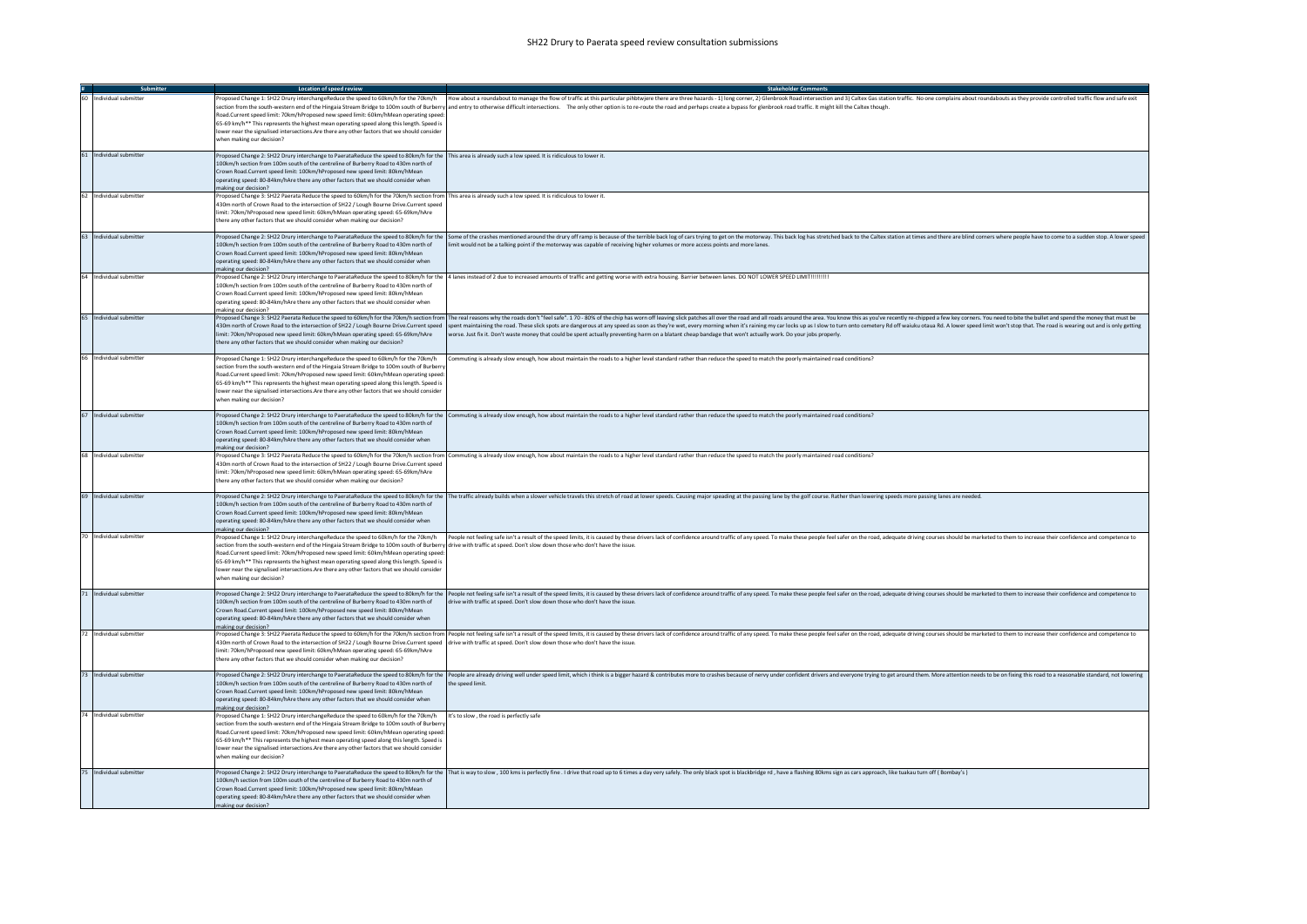| Submitter               | <b>Location of speed review</b>                                                                                                                                                                                                                                                                                                                                                                                                                                                                                                                                               | <b>Stakeholder Comments</b>                                                                                                                                                                                                                                                                                                                                                                                                                                                                                                                                                                                                        |
|-------------------------|-------------------------------------------------------------------------------------------------------------------------------------------------------------------------------------------------------------------------------------------------------------------------------------------------------------------------------------------------------------------------------------------------------------------------------------------------------------------------------------------------------------------------------------------------------------------------------|------------------------------------------------------------------------------------------------------------------------------------------------------------------------------------------------------------------------------------------------------------------------------------------------------------------------------------------------------------------------------------------------------------------------------------------------------------------------------------------------------------------------------------------------------------------------------------------------------------------------------------|
| 60 Individual submitter | Proposed Change 1: SH22 Drury interchangeReduce the speed to 60km/h for the 70km/h<br>Road.Current speed limit: 70km/hProposed new speed limit: 60km/hMean operating speed<br>65-69 km/h** This represents the highest mean operating speed along this length. Speed is<br>lower near the signalised intersections. Are there any other factors that we should consider<br>when making our decision?                                                                                                                                                                          | How about a roundabout to manage the flow of traffic at this particular pihbtwjere there are three hazards - 1) long corner, 2) Glenbrook Road intersection and 3) Caltex Gas station traffic. No one complains about roundabo<br>section from the south-western end of the Hingaia Stream Bridge to 100m south of Burberry and entry to otherwise difficult intersections. The only other option is to re-route the road and perhaps create a bypass for glenbr                                                                                                                                                                   |
| 61 Individual submitter | Proposed Change 2: SH22 Drury interchange to PaerataReduce the speed to 80km/h for the This area is already such a low speed. It is ridiculous to lower it.<br>100km/h section from 100m south of the centreline of Burberry Road to 430m north of<br>Crown Road.Current speed limit: 100km/hProposed new speed limit: 80km/hMean<br>operating speed: 80-84km/hAre there any other factors that we should consider when<br>making our decision?                                                                                                                               |                                                                                                                                                                                                                                                                                                                                                                                                                                                                                                                                                                                                                                    |
| 62 Individual submitter | Proposed Change 3: SH22 Paerata Reduce the speed to 60km/h for the 70km/h section from This area is already such a low speed. It is ridiculous to lower it.<br>430m north of Crown Road to the intersection of SH22 / Lough Bourne Drive.Current speed<br>limit: 70km/hProposed new speed limit: 60km/hMean operating speed: 65-69km/hAre<br>there any other factors that we should consider when making our decision?                                                                                                                                                        |                                                                                                                                                                                                                                                                                                                                                                                                                                                                                                                                                                                                                                    |
| 63 Individual submitter | 100km/h section from 100m south of the centreline of Burberry Road to 430m north of<br>Crown Road.Current speed limit: 100km/hProposed new speed limit: 80km/hMean<br>operating speed: 80-84km/hAre there any other factors that we should consider when<br>making our decision?                                                                                                                                                                                                                                                                                              | Proposed Change 2: SH22 Drury interchange to PaerataReduce the speed to 80km/h for the   Some of the crashes mentioned around the drury off ramp is because of the terrible back log of cars trying to get on the motorway. Th<br>limit would not be a talking point if the motorway was capable of receiving higher volumes or more access points and more lanes.                                                                                                                                                                                                                                                                 |
| 64 Individual submitte  | 100km/h section from 100m south of the centreline of Burberry Road to 430m north of<br>Crown Road.Current speed limit: 100km/hProposed new speed limit: 80km/hMean<br>operating speed: 80-84km/hAre there any other factors that we should consider when<br>making our decision?                                                                                                                                                                                                                                                                                              | Proposed Change 2: SH22 Drury interchange to PaerataReduce the speed to 80km/h for the 4 lanes instead of 2 due to increased amounts of traffic and getting worse with extra housing. Barrier between lanes. DO NOT LOWER SPEE                                                                                                                                                                                                                                                                                                                                                                                                     |
| 65 Individual submitter | 430m north of Crown Road to the intersection of SH22 / Lough Bourne Drive.Current speed<br>limit: 70km/hProposed new speed limit: 60km/hMean operating speed: 65-69km/hAre<br>there any other factors that we should consider when making our decision?                                                                                                                                                                                                                                                                                                                       | Proposed Change 3: SH22 Paerata Reduce the speed to 60km/h for the 70km/h section from  The real reasons why the roads don't "feel safe". 170-80% of the chip has worn off leaving slick patches all over the road and all roa<br>spent maintaining the road. These slick spots are dangerous at any speed as soon as they're wet, every morning when it's raining my car locks up as I slow to turn onto cemetery Rd off waiuku otaua Rd. A lower speed limit w<br>worse. Just fix it. Don't waste money that could be spent actually preventing harm on a blatant cheap bandage that won't actually work. Do your jobs properly. |
| 66 Individual submitter | Proposed Change 1: SH22 Drury interchangeReduce the speed to 60km/h for the 70km/h<br>section from the south-western end of the Hingaia Stream Bridge to 100m south of Burbern<br>Road.Current speed limit: 70km/hProposed new speed limit: 60km/hMean operating speed<br>65-69 km/h** This represents the highest mean operating speed along this length. Speed is<br>lower near the signalised intersections. Are there any other factors that we should consider<br>when making our decision?                                                                              | Commuting is already slow enough, how about maintain the roads to a higher level standard rather than reduce the speed to match the poorly maintained road conditions?                                                                                                                                                                                                                                                                                                                                                                                                                                                             |
| 67 Individual submitter | 100km/h section from 100m south of the centreline of Burberry Road to 430m north of<br>Crown Road.Current speed limit: 100km/hProposed new speed limit: 80km/hMean<br>operating speed: 80-84km/hAre there any other factors that we should consider when<br>making our decision?                                                                                                                                                                                                                                                                                              | Proposed Change 2: SH22 Drury interchange to PaerataReduce the speed to 80km/h for the Commuting is already slow enough, how about maintain the roads to a higher level standard rather than reduce the speed to match the poo                                                                                                                                                                                                                                                                                                                                                                                                     |
| 68 Individual submitter | 430m north of Crown Road to the intersection of SH22 / Lough Bourne Drive.Current speed<br>limit: 70km/hProposed new speed limit: 60km/hMean operating speed: 65-69km/hAre<br>there any other factors that we should consider when making our decision?                                                                                                                                                                                                                                                                                                                       | Proposed Change 3: SH22 Paerata Reduce the speed to 60km/h for the 70km/h section from Commuting is already slow enough, how about maintain the roads to a higher level standard rather than reduce the speed to match the poo                                                                                                                                                                                                                                                                                                                                                                                                     |
| 69 Individual submitter | 100km/h section from 100m south of the centreline of Burberry Road to 430m north of<br>Crown Road.Current speed limit: 100km/hProposed new speed limit: 80km/hMean<br>operating speed: 80-84km/hAre there any other factors that we should consider when<br>making our decision?                                                                                                                                                                                                                                                                                              | Proposed Change 2: SH22 Drury interchange to PaerataReduce the speed to 80km/h for the  The traffic already builds when a slower vehicle travels this stretch of road at lower speeds. Causing major speading at the passing l                                                                                                                                                                                                                                                                                                                                                                                                     |
| 70 Individual submitter | Proposed Change 1: SH22 Drury interchangeReduce the speed to 60km/h for the 70km/h<br>section from the south-western end of the Hingaia Stream Bridge to 100m south of Burberry drive with traffic at speed. Don't slow down those who don't have the issue.<br>Road.Current speed limit: 70km/hProposed new speed limit: 60km/hMean operating speed<br>65-69 km/h** This represents the highest mean operating speed along this length. Speed is<br>lower near the signalised intersections.Are there any other factors that we should consider<br>vhen making our decision? | People not feeling safe isn't a result of the speed limits, it is caused by these drivers lack of confidence around traffic of any speed. To make these people feel safer on the road, adequate driving courses should be mark                                                                                                                                                                                                                                                                                                                                                                                                     |
| 71 Individual submitter | 100km/h section from 100m south of the centreline of Burberry Road to 430m north of<br>Crown Road.Current speed limit: 100km/hProposed new speed limit: 80km/hMean<br>operating speed: 80-84km/hAre there any other factors that we should consider when<br>making our decision?                                                                                                                                                                                                                                                                                              | Proposed Change 2: SH22 Drury interchange to PaerataReduce the speed to 80km/h for the  People not feeling safe isn't a result of the speed limits, it is caused by these divers lack of confidence around traffic of any spee<br>drive with traffic at speed. Don't slow down those who don't have the issue                                                                                                                                                                                                                                                                                                                      |
| 72 Individual submitter | 430m north of Crown Road to the intersection of SH22 / Lough Bourne Drive.Current speed drive with traffic at speed. Don't slow down those who don't have the issue.<br>limit: 70km/hProposed new speed limit: 60km/hMean operating speed: 65-69km/hAre<br>there any other factors that we should consider when making our decision?                                                                                                                                                                                                                                          | Proposed Change 3: SH22 Paerata Reduce the speed to 60km/h for the 70km/h section from   People not feeling safe isn't a result of the speed limits, it is caused by these drives lack of confidence around traffic of any spe                                                                                                                                                                                                                                                                                                                                                                                                     |
| 73 Individual submitter | 100km/h section from 100m south of the centreline of Burberry Road to 430m north of<br>Crown Road.Current speed limit: 100km/hProposed new speed limit: 80km/hMean<br>operating speed: 80-84km/hAre there any other factors that we should consider when<br>making our decision?                                                                                                                                                                                                                                                                                              | Proposed Change 2: SH22 Drury interchange to PaerataReduce the speed to 80km/h for the People are already driving well under speed limit, which i think is a bigger hazard & contributes more to crashes because of nervy unde<br>the speed limit.                                                                                                                                                                                                                                                                                                                                                                                 |
| 74 Individual submitter | Proposed Change 1: SH22 Drury interchangeReduce the speed to 60km/h for the 70km/h<br>section from the south-western end of the Hingaia Stream Bridge to 100m south of Burbern<br>Road Current speed limit: 70km/hProposed new speed limit: 60km/hMean operating speed<br>65-69 km/h** This represents the highest mean operating speed along this length. Speed is<br>lower near the signalised intersections. Are there any other factors that we should consider<br>when making our decision?                                                                              | It's to slow, the road is perfectly safe                                                                                                                                                                                                                                                                                                                                                                                                                                                                                                                                                                                           |
| 75 Individual submitter | 100km/h section from 100m south of the centreline of Burberry Road to 430m north of<br>Crown Road.Current speed limit: 100km/hProposed new speed limit: 80km/hMean<br>operating speed: 80-84km/hAre there any other factors that we should consider when<br>making our decision?                                                                                                                                                                                                                                                                                              | Proposed Change 2: SH22 Drury interchange to PaerataReduce the speed to 80km/h for the  That is way to slow , 100 kms is perfectly fine . I drive that road up to 6 times a day very safely. The only black spot is blackbridg                                                                                                                                                                                                                                                                                                                                                                                                     |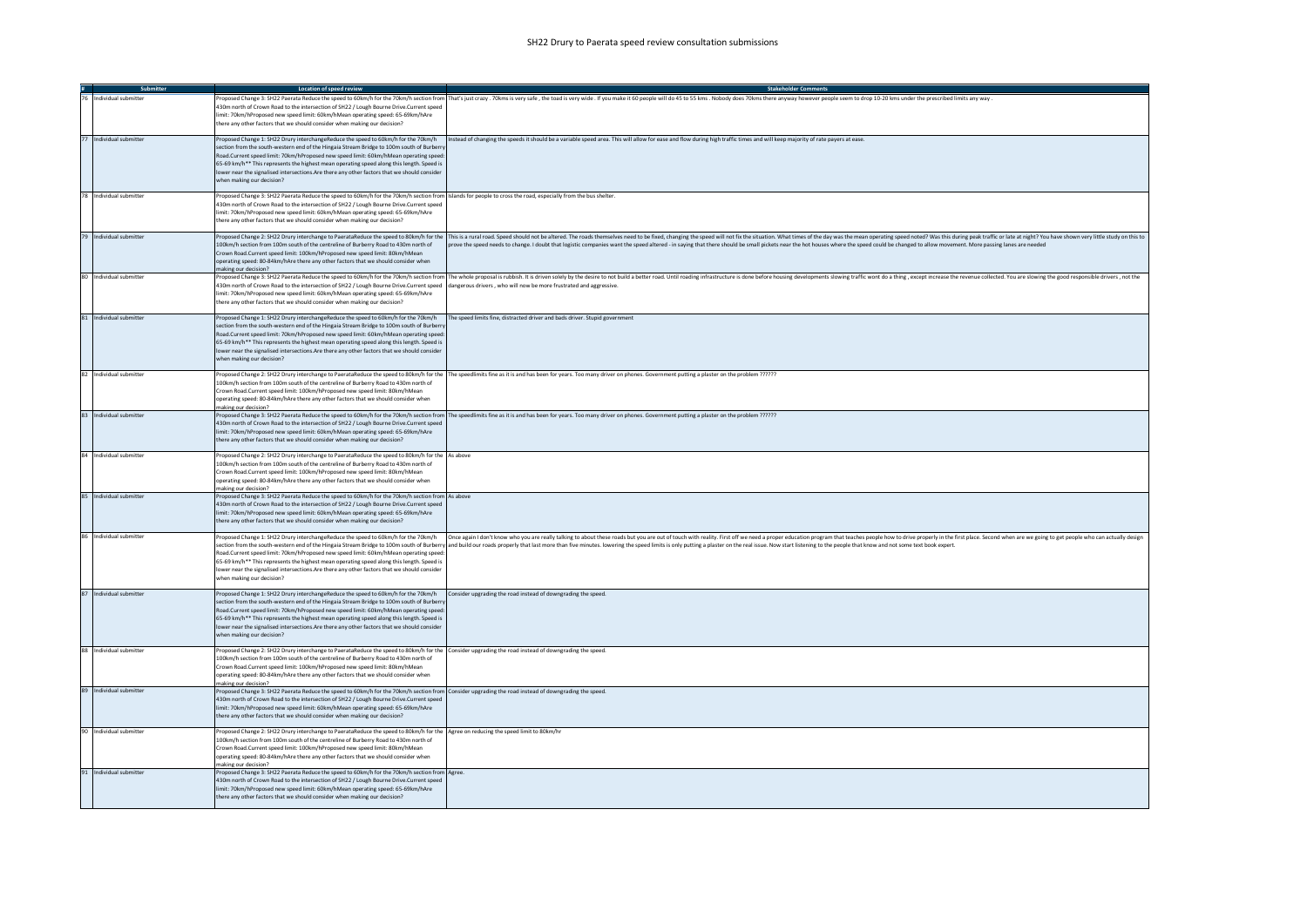|                         | <b>Location of speed review</b>                                                                                                                                                                                                                                                                                                                                                                                                                                                                                                                                               | <b>Stakeholder Comments</b>                                                                                                                                                                                                                                                                                                                                                                                                                                      |
|-------------------------|-------------------------------------------------------------------------------------------------------------------------------------------------------------------------------------------------------------------------------------------------------------------------------------------------------------------------------------------------------------------------------------------------------------------------------------------------------------------------------------------------------------------------------------------------------------------------------|------------------------------------------------------------------------------------------------------------------------------------------------------------------------------------------------------------------------------------------------------------------------------------------------------------------------------------------------------------------------------------------------------------------------------------------------------------------|
| Individual submitter    | 430m north of Crown Road to the intersection of SH22 / Lough Bourne Drive.Current speed<br>limit: 70km/hProposed new speed limit: 60km/hMean operating speed: 65-69km/hAre<br>there any other factors that we should consider when making our decision?                                                                                                                                                                                                                                                                                                                       | Proposed Change 3: SH22 Paerata Reduce the speed to 60km/h for the 70km/h section from That's just crazy . 70kms is very safe , the toad is very wide . If you make it 60 people will do 45 to 55 kms . Nobody does 70kms ther                                                                                                                                                                                                                                   |
| 77 Individual submitter | Proposed Change 1: SH22 Drury interchangeReduce the speed to 60km/h for the 70km/h<br>section from the south-western end of the Hingaia Stream Bridge to 100m south of Burberry<br>Road.Current speed limit: 70km/hProposed new speed limit: 60km/hMean operating speed<br>65-69 km/h** This represents the highest mean operating speed along this length. Speed is<br>lower near the signalised intersections.Are there any other factors that we should consider<br>when making our decision?                                                                              | Instead of changing the speeds it should be a variable speed area. This will allow for ease and flow during high traffic times and will keep majority of rate payers at ease.                                                                                                                                                                                                                                                                                    |
| 78 Individual submitter | Proposed Change 3: SH22 Paerata Reduce the speed to 60km/h for the 70km/h section from Islands for people to cross the road, especially from the bus shelter.<br>430m north of Crown Road to the intersection of SH22 / Lough Bourne Drive.Current speed<br>limit: 70km/hProposed new speed limit: 60km/hMean operating speed: 65-69km/hAre<br>there any other factors that we should consider when making our decision?                                                                                                                                                      |                                                                                                                                                                                                                                                                                                                                                                                                                                                                  |
| 79 Individual submitter | 100km/h section from 100m south of the centreline of Burberry Road to 430m north of<br>Crown Road.Current speed limit: 100km/hProposed new speed limit: 80km/hMean<br>operating speed: 80-84km/hAre there any other factors that we should consider when<br>making our decision?                                                                                                                                                                                                                                                                                              | Proposed Change 2: SH22 Drury interchange to PaerataReduce the speed to 80km/h for the  This is a rural road. Speed should not be altered. The roads themselves need to Both estimation what imes of the day was the man opera<br>prove the speed needs to change. I doubt that logistic companies want the speed altered - in saying that there should be small pickets near the hot houses where the speed could be changed to allow movement. More passing la |
| 80 Individual submitter | 430m north of Crown Road to the intersection of SH22 / Lough Bourne Drive.Current speed dangerous drivers , who will now be more frustrated and aggressive.<br>limit: 70km/hProposed new speed limit: 60km/hMean operating speed: 65-69km/hAre<br>there any other factors that we should consider when making our decision?                                                                                                                                                                                                                                                   | Proposed Change 3: SH22 Paerata Reduce the speed to 60km/h for the 20km/h section from The whole proposal is rubbish. It is driven solely by the desire to not build a better road. Until roading infrastructure is done befor                                                                                                                                                                                                                                   |
| 81 Individual submitter | Proposed Change 1: SH22 Drury interchangeReduce the speed to 60km/h for the 70km/h The speed limits fine, distracted driver and bads driver. Stupid government<br>section from the south-western end of the Hingaia Stream Bridge to 100m south of Burbern<br>Road.Current speed limit: 70km/hProposed new speed limit: 60km/hMean operating speed:<br>65-69 km/h** This represents the highest mean operating speed along this length. Speed is<br>lower near the signalised intersections. Are there any other factors that we should consider<br>when making our decision? |                                                                                                                                                                                                                                                                                                                                                                                                                                                                  |
| 82 Individual submitter | 100km/h section from 100m south of the centreline of Burberry Road to 430m north of<br>Crown Road.Current speed limit: 100km/hProposed new speed limit: 80km/hMean<br>operating speed: 80-84km/hAre there any other factors that we should consider when<br>naking our decision?                                                                                                                                                                                                                                                                                              | ?roposed Change 2: SH22 Drury interchange to PaerataReduce the speed to 80km/h for the The speedlimits fine as it is and has been for years. Too many driver on phones. Government putting a plaster on the problem ??????                                                                                                                                                                                                                                       |
| 83 Individual submitter | 430m north of Crown Road to the intersection of SH22 / Lough Bourne Drive.Current speed<br>limit: 70km/hProposed new speed limit: 60km/hMean operating speed: 65-69km/hAre<br>here any other factors that we should consider when making our decision?                                                                                                                                                                                                                                                                                                                        | Proposed Change 3: SH22 Paerata Reduce the speed to 60km/h for the 70km/h section from The speedlimits fine as it is and has been for years. Too many driver on phones. Government putting a plaster on the problem ??????                                                                                                                                                                                                                                       |
| 84 Individual submitter | Proposed Change 2: SH22 Drury interchange to PaerataReduce the speed to 80km/h for the As above<br>100km/h section from 100m south of the centreline of Burberry Road to 430m north of<br>Crown Road.Current speed limit: 100km/hProposed new speed limit: 80km/hMean<br>operating speed: 80-84km/hAre there any other factors that we should consider when<br>naking our decision?                                                                                                                                                                                           |                                                                                                                                                                                                                                                                                                                                                                                                                                                                  |
| 85 Individual submitter | Proposed Change 3: SH22 Paerata Reduce the speed to 60km/h for the 70km/h section from As above<br>430m north of Crown Road to the intersection of SH22 / Lough Bourne Drive.Current speed<br>limit: 70km/hProposed new speed limit: 60km/hMean operating speed: 65-69km/hAre<br>there any other factors that we should consider when making our decision?                                                                                                                                                                                                                    |                                                                                                                                                                                                                                                                                                                                                                                                                                                                  |
| 86 Individual submitter | Road.Current speed limit: 70km/hProposed new speed limit: 60km/hMean operating speed:<br>65-69 km/h** This represents the highest mean operating speed along this length. Speed is<br>lower near the signalised intersections.Are there any other factors that we should consider<br>when making our decision?                                                                                                                                                                                                                                                                | Proposed Change 1: SH22 Drury interchangeReduce the speed to 60km/h for the 70km/h (Once again I don't know who you are really talking to about these roads but you are out of touch with reality. First off we need a proper<br>section from the south-western end of the Hingaia Stream Bridge to 100m south of Burberry and build our roads properly that last more than five minutes. lowering the speed limits is only putting a plaster on the real issue  |
| 87 Individual submitter | Proposed Change 1: SH22 Drury interchangeReduce the speed to 60km/h for the 70km/h Consider upgrading the road instead of downgrading the speed.<br>section from the south-western end of the Hingaia Stream Bridge to 100m south of Burbern<br>Road.Current speed limit: 70km/hProposed new speed limit: 60km/hMean operating speed<br>65-69 km/h** This represents the highest mean operating speed along this length. Speed is<br>lower near the signalised intersections.Are there any other factors that we should consider<br>when making our decision?                 |                                                                                                                                                                                                                                                                                                                                                                                                                                                                  |
| 88 Individual submitter | Proposed Change 2: SH22 Drury interchange to PaerataReduce the speed to 80km/h for the Consider upgrading the road instead of downgrading the speed.<br>100km/h section from 100m south of the centreline of Burberry Road to 430m north of<br>Crown Road.Current speed limit: 100km/hProposed new speed limit: 80km/hMean<br>operating speed: 80-84km/hAre there any other factors that we should consider when<br>making our decision?                                                                                                                                      |                                                                                                                                                                                                                                                                                                                                                                                                                                                                  |
| 89 Individual submitter | Proposed Change 3: SH22 Paerata Reduce the speed to 60km/h for the 70km/h section from Consider upgrading the road instead of downgrading the speed.<br>430m north of Crown Road to the intersection of SH22 / Lough Bourne Drive.Current speed<br>imit: 70km/hProposed new speed limit: 60km/hMean operating speed: 65-69km/hAre<br>there any other factors that we should consider when making our decision?                                                                                                                                                                |                                                                                                                                                                                                                                                                                                                                                                                                                                                                  |
| 90 Individual submitter | Proposed Change 2: SH22 Drury interchange to PaerataReduce the speed to 80km/h for the Agree on reducing the speed limit to 80km/hr<br>100km/h section from 100m south of the centreline of Burberry Road to 430m north of<br>Crown Road.Current speed limit: 100km/hProposed new speed limit: 80km/hMean<br>operating speed: 80-84km/hAre there any other factors that we should consider when<br>making our decision?                                                                                                                                                       |                                                                                                                                                                                                                                                                                                                                                                                                                                                                  |
| 91 Individual submitter | Proposed Change 3: SH22 Paerata Reduce the speed to 60km/h for the 70km/h section from Agree.<br>430m north of Crown Road to the intersection of SH22 / Lough Bourne Drive.Current speed<br>limit: 70km/hProposed new speed limit: 60km/hMean operating speed: 65-69km/hAre<br>there any other factors that we should consider when making our decision?                                                                                                                                                                                                                      |                                                                                                                                                                                                                                                                                                                                                                                                                                                                  |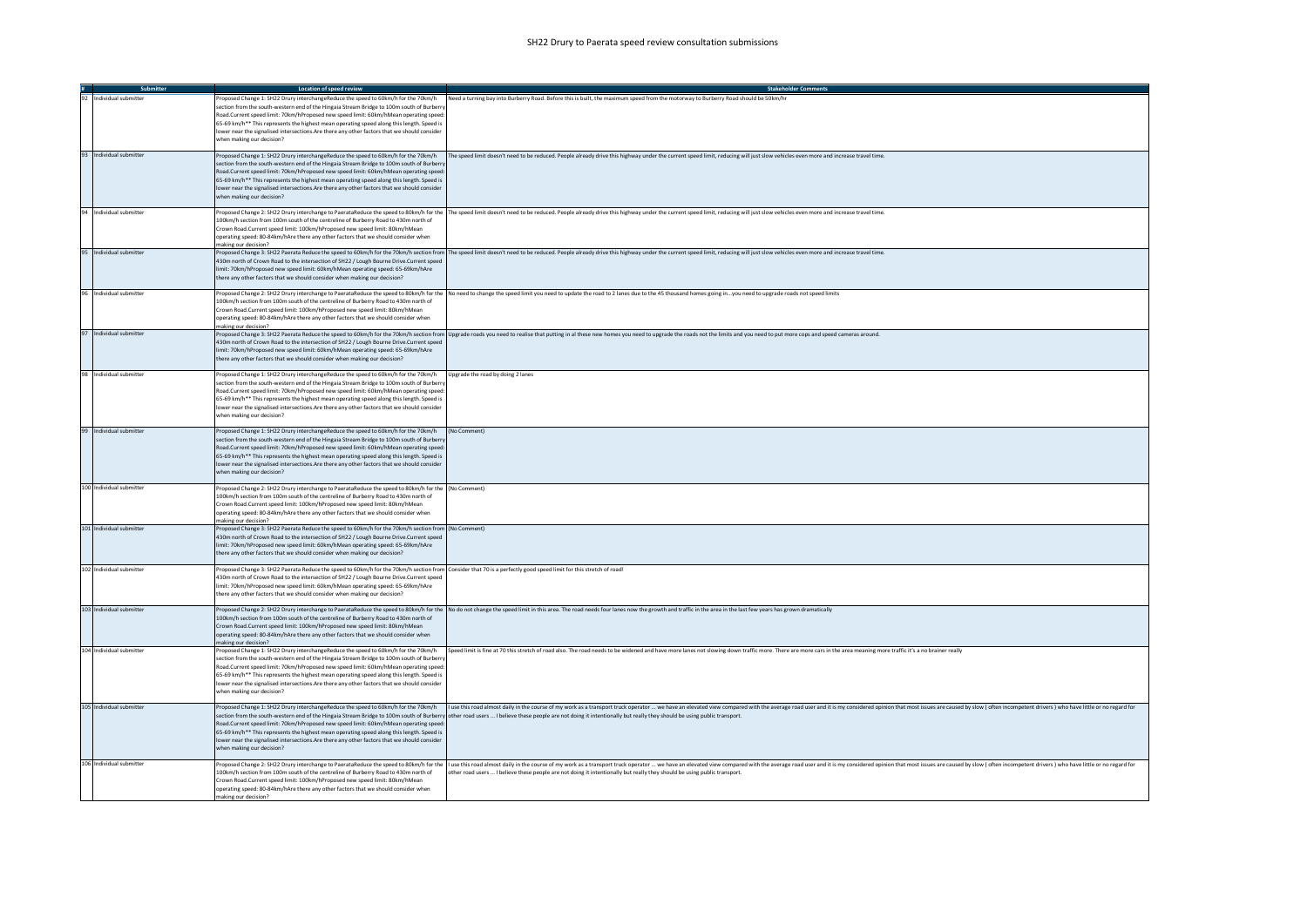| Submitter                | Location of speed review                                                                                                                                                                                                                                                                                                                                                                                                                                                                                       | <b>Stakeholder Comments</b>                                                                                                                                                                                                                                                                                                                                                                                                                        |
|--------------------------|----------------------------------------------------------------------------------------------------------------------------------------------------------------------------------------------------------------------------------------------------------------------------------------------------------------------------------------------------------------------------------------------------------------------------------------------------------------------------------------------------------------|----------------------------------------------------------------------------------------------------------------------------------------------------------------------------------------------------------------------------------------------------------------------------------------------------------------------------------------------------------------------------------------------------------------------------------------------------|
| 92 Individual submitter  | Proposed Change 1: SH22 Drury interchangeReduce the speed to 60km/h for the 70km/h<br>section from the south-western end of the Hingaia Stream Bridge to 100m south of Burbern<br>Road.Current speed limit: 70km/hProposed new speed limit: 60km/hMean operating speed<br>65-69 km/h** This represents the highest mean operating speed along this length. Speed is<br>lower near the signalised intersections. Are there any other factors that we should consider<br>when making our decision?               | Need a turning bay into Burberry Road. Before this is built, the maximum speed from the motorway to Burberry Road should be 50km/hi                                                                                                                                                                                                                                                                                                                |
| 93 Individual submitter  | Proposed Change 1: SH22 Drury interchangeReduce the speed to 60km/h for the 70km/h<br>section from the south-western end of the Hingaia Stream Bridge to 100m south of Burberr<br>Road.Current speed limit: 70km/hProposed new speed limit: 60km/hMean operating speed<br>65-69 km/h** This represents the highest mean operating speed along this length. Speed is<br>lower near the signalised intersections.Are there any other factors that we should consider<br>when making our decision?                | The speed limit doesn't need to be reduced. People already drive this highway under the current speed limit, reducing will just slow vehicles even more and increase travel time.                                                                                                                                                                                                                                                                  |
| 94 Individual submitter  | 100km/h section from 100m south of the centreline of Burberry Road to 430m north of<br>Crown Road Current speed limit: 100km/hProposed new speed limit: 80km/hMean<br>operating speed: 80-84km/hAre there any other factors that we should consider when<br>making our decision?                                                                                                                                                                                                                               | Proposed Change 2: SH22 Drury interchange to PaerataReduce the speed to 80km/h for the  The speed limit doesn't need to be reduced. People already drive this highway under the current speed limit, reducing will just slow v                                                                                                                                                                                                                     |
| 95 Individual submitter  | 430m north of Crown Road to the intersection of SH22 / Lough Bourne Drive.Current speed<br>limit: 70km/hProposed new speed limit: 60km/hMean operating speed: 65-69km/hAre<br>there any other factors that we should consider when making our decision?                                                                                                                                                                                                                                                        | Proposed Change 3: SH22 Paerata Reduce the speed to 60km/h for the 70km/h section from  The speed limit doesn't need to be reduced. People already drive this highway under the current speed limit, reducing will just slow v                                                                                                                                                                                                                     |
| 96 Individual submitter  | 100km/h section from 100m south of the centreline of Burberry Road to 430m north of<br>Crown Road.Current speed limit: 100km/hProposed new speed limit: 80km/hMean<br>operating speed: 80-84km/hAre there any other factors that we should consider when<br>making our decision?                                                                                                                                                                                                                               | Proposed Change 2: SH22 Drury interchange to PaerataReduce the speed to 80km/h for the No need to change the speed limit you need to update the road to 2 lanes due to the 45 thousand homes going inyou need to upgrade ro                                                                                                                                                                                                                        |
| 97 Individual submitter  | 430m north of Crown Road to the intersection of SH22 / Lough Bourne Drive.Current speed<br>limit: 70km/hProposed new speed limit: 60km/hMean operating speed: 65-69km/hAre<br>there any other factors that we should consider when making our decision?                                                                                                                                                                                                                                                        | Proposed Change 3: SH22 Paerata Reduce the speed to 60km/h for the 70km/h section from Upgrade roads you need to realise that putting in al these new homes you need to upgrade the roads not the limits and you need to put m                                                                                                                                                                                                                     |
| 98 Individual submitter  | Proposed Change 1: SH22 Drury interchangeReduce the speed to 60km/h for the 70km/h<br>section from the south-western end of the Hingaia Stream Bridge to 100m south of Burbern<br>Road.Current speed limit: 70km/hProposed new speed limit: 60km/hMean operating speed:<br>65-69 km/h** This represents the highest mean operating speed along this length. Speed is<br>lower near the signalised intersections. Are there any other factors that we should consider<br>when making our decision?              | Upgrade the road by doing 2 lanes                                                                                                                                                                                                                                                                                                                                                                                                                  |
| 99 Individual submitter  | Proposed Change 1: SH22 Drury interchangeReduce the speed to 60km/h for the 70km/h (No Comment)<br>section from the south-western end of the Hingaia Stream Bridge to 100m south of Burbern<br>Road.Current speed limit: 70km/hProposed new speed limit: 60km/hMean operating speed:<br>65-69 km/h** This represents the highest mean operating speed along this length. Speed is<br>lower near the signalised intersections. Are there any other factors that we should consider<br>when making our decision? |                                                                                                                                                                                                                                                                                                                                                                                                                                                    |
| 100 Individual submitter | Proposed Change 2: SH22 Drury interchange to PaerataReduce the speed to 80km/h for the (No Comment)<br>100km/h section from 100m south of the centreline of Burberry Road to 430m north of<br>Crown Road.Current speed limit: 100km/hProposed new speed limit: 80km/hMean<br>operating speed: 80-84km/hAre there any other factors that we should consider when<br>making our decision?                                                                                                                        |                                                                                                                                                                                                                                                                                                                                                                                                                                                    |
| 101 Individual submitter | Proposed Change 3: SH22 Paerata Reduce the speed to 60km/h for the 70km/h section from (No Comment)<br>430m north of Crown Road to the intersection of SH22 / Lough Bourne Drive.Current speed<br>limit: 70km/hProposed new speed limit: 60km/hMean operating speed: 65-69km/hAre<br>there any other factors that we should consider when making our decision?                                                                                                                                                 |                                                                                                                                                                                                                                                                                                                                                                                                                                                    |
| 102 Individual submitter | Proposed Change 3: SH22 Paerata Reduce the speed to 60km/h for the 70km/h section from Consider that 70 is a perfectly good speed limit for this stretch of road!<br>430m north of Crown Road to the intersection of SH22 / Lough Bourne Drive.Current speed<br>limit: 70km/hProposed new speed limit: 60km/hMean operating speed: 65-69km/hAre<br>there any other factors that we should consider when making our decision?                                                                                   |                                                                                                                                                                                                                                                                                                                                                                                                                                                    |
| 103 Individual submitter | 100km/h section from 100m south of the centreline of Burberry Road to 430m north of<br>Crown Road.Current speed limit: 100km/hProposed new speed limit: 80km/hMean<br>operating speed: 80-84km/hAre there any other factors that we should consider when<br>making our decision?                                                                                                                                                                                                                               | Proposed Change 2: SH22 Drury interchange to PaerataReduce the speed to 80km/h for the No do not change the speed limit in this area. The road needs four lanes now the growth and traffic in the area in the last few years h                                                                                                                                                                                                                     |
| 104 Individual submitter | section from the south-western end of the Hingaia Stream Bridge to 100m south of Burberry<br>Road.Current speed limit: 70km/hProposed new speed limit: 60km/hMean operating speed:<br>65-69 km/h** This represents the highest mean operating speed along this length. Speed is<br>lower near the signalised intersections. Are there any other factors that we should consider<br>when making our decision?                                                                                                   | Proposed Change 1: SH22 Drury interchangeReduce the speed to 60km/h for the 70km/h (Speed limit is fine at 70 this stretch of road also. The road needs to be widened and have more lanes not slowing down traffic more. There                                                                                                                                                                                                                     |
| 105 Individual submitter | Road.Current speed limit: 70km/hProposed new speed limit: 60km/hMean operating speed:<br>65-69 km/h** This represents the highest mean operating speed along this length. Speed is<br>lower near the signalised intersections. Are there any other factors that we should consider<br>when making our decision?                                                                                                                                                                                                | Proposed Change 1: SH22 Drury interchangeReduce the speed to 60km/h for the 70km/h (11 tuse this road almost daily in the course of my work as a transport truck operator  we have an elevated view compared with the avera<br>section from the south-western end of the Hingaia Stream Bridge to 100m south of Burberry other road users  I believe these people are not doing it intentionally but really they should be using public transport. |
| 106 Individual submitter | 100km/h section from 100m south of the centreline of Burberry Road to 430m north of<br>Crown Road Current speed limit: 100km/hProposed new speed limit: 80km/hMean<br>operating speed: 80-84km/hAre there any other factors that we should consider when<br>making our decision?                                                                                                                                                                                                                               | Proposed Change 2: SH22 Drury interchange to PaerataReduce the speed to 80km/h for the  luse this road almost daily in the course of my work as a transport truck operator  we have an elevated view compared with the aver<br>other road users  I believe these people are not doing it intentionally but really they should be using public transport.                                                                                           |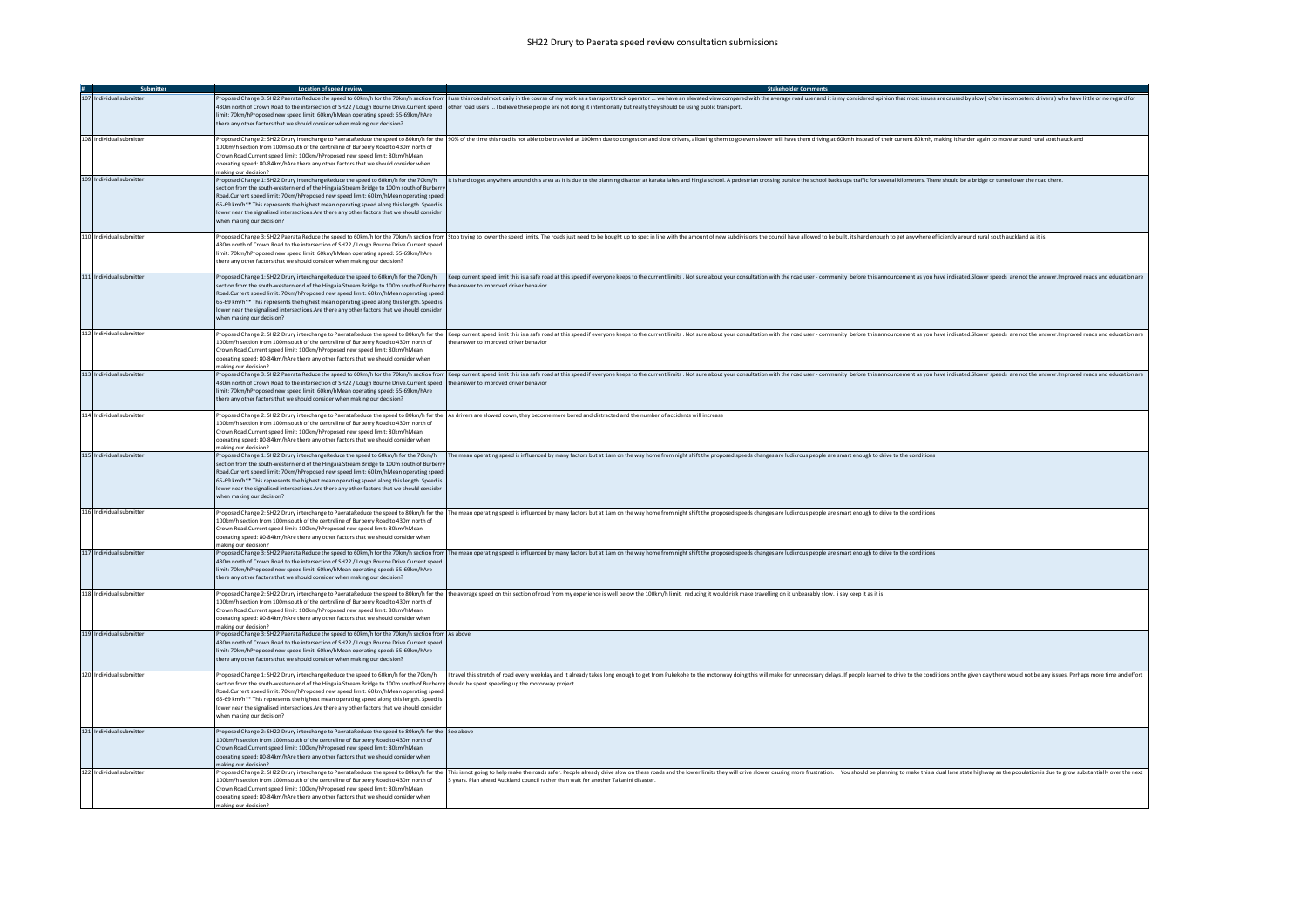|                          | <b>Location of speed review</b>                                                                                                                                                                                                                                                                                                                                                                                                                                | <b>Stakeholder Comments</b>                                                                                                                                                                                                                                                                                                                                                                                                                      |
|--------------------------|----------------------------------------------------------------------------------------------------------------------------------------------------------------------------------------------------------------------------------------------------------------------------------------------------------------------------------------------------------------------------------------------------------------------------------------------------------------|--------------------------------------------------------------------------------------------------------------------------------------------------------------------------------------------------------------------------------------------------------------------------------------------------------------------------------------------------------------------------------------------------------------------------------------------------|
| 107 Individual submitter | limit: 70km/hProposed new speed limit: 60km/hMean operating speed: 65-69km/hAre<br>there any other factors that we should consider when making our decision?                                                                                                                                                                                                                                                                                                   | Proposed Change 3: SH22 Paerata Reduce the speed to 60km/h for the 70km/h section from   I use this road almost dailly in the course of my work as a transport truck operator  we have an elevated view compared with the a<br>430m north of Crown Road to the intersection of SH22 / Lough Bourne Drive.Current speed other road users  I believe these people are not doing it intentionally but really they should be using public transport. |
| 108 Individual submitter | 100km/h section from 100m south of the centreline of Burberry Road to 430m north of<br>Crown Road Current speed limit: 100km/hPronosed new speed limit: 80km/hMean<br>operating speed: 80-84km/hAre there any other factors that we should consider when<br>making our decision?                                                                                                                                                                               | Proposed Change 2: SH22 Drury interchange to PaerataReduce the speed to 80km/h for the  90% of the time this road is not able to be traveled at 100kmh due to congestion and slow drivers, allowing them to go even slower wil                                                                                                                                                                                                                   |
| 109 Individual submitter | section from the south-western end of the Hingaia Stream Bridge to 100m south of Burbern<br>Road.Current speed limit: 70km/hProposed new speed limit: 60km/hMean operating speed:<br>65-69 km/h** This represents the highest mean operating speed along this length. Speed is<br>lower near the signalised intersections.Are there any other factors that we should consider<br>when making our decision?                                                     | Proposed Change 1: SH22 Drury interchangeReduce the speed to 60km/h for the 70km/h (the the 70km/h (the the Mumin this hard to get anywhere around this area as it is due to the planning disaster at karaka lakes and hingia                                                                                                                                                                                                                    |
| 110 Individual submitter | 430m north of Crown Road to the intersection of SH22 / Lough Bourne Drive.Current speed<br>limit: 70km/hProposed new speed limit: 60km/hMean operating speed: 65-69km/hAre<br>there any other factors that we should consider when making our decision?                                                                                                                                                                                                        | Proposed Change 3: SH22 Paerata Reduce the speed to 60km/h for the 70km/h section from Stop trying to lower the speed limits. The roads just need to be bought up to speci limits the with the amount of new subdivisions the                                                                                                                                                                                                                    |
| 111 Individual submitter | section from the south-western end of the Hingaia Stream Bridge to 100m south of Burberry the answer to improved driver behavio<br>Road.Current speed limit: 70km/hProposed new speed limit: 60km/hMean operating speed:<br>65-69 km/h** This represents the highest mean operating speed along this length. Speed is<br>lower near the signalised intersections. Are there any other factors that we should consider<br>when making our decision?             | Proposed Change 1: SH22 Drury interchangeReduce the speed to 60km/h for the 70km/h Keep current speed limit this is a safe road at this speed if everyone keeps to the current speed inter this. Surface and produced consulta                                                                                                                                                                                                                   |
| 112 Individual submitter | 100km/h section from 100m south of the centreline of Burberry Road to 430m north of<br>Crown Road Current speed limit: 100km/hProposed new speed limit: 80km/hMean<br>operating speed: 80-84km/hAre there any other factors that we should consider when<br>making our decision?                                                                                                                                                                               | Proposed Change 2: SH22 Drury interchange to PaerataReduce the speed to 80km/h for the Keep current speed imit this is a safe road at this speed if everyone keeps to the current limits. Not sure about your consultation wit<br>the answer to improved driver behavior                                                                                                                                                                         |
| 113 Individual submitter | 430m north of Crown Road to the intersection of SH22 / Lough Bourne Drive.Current speed the answer to improved driver behavior<br>limit: 70km/hProposed new speed limit: 60km/hMean operating speed: 65-69km/hAre<br>there any other factors that we should consider when making our decision?                                                                                                                                                                 | Proposed Change 3: SH22 Paerata Reduce the speed to 60km/h for the 70km/h section from  Keep current speed limit this is a safe road at this speed if everyone keeps to the current limits. Not sure about your consultation w                                                                                                                                                                                                                   |
| 114 Individual submitter | 100km/h section from 100m south of the centreline of Burberry Road to 430m north of<br>Crown Road.Current speed limit: 100km/hProposed new speed limit: 80km/hMean<br>operating speed: 80-84km/hAre there any other factors that we should consider when<br>making our decision?                                                                                                                                                                               | Proposed Change 2: SH22 Drury interchange to PaerataReduce the speed to 80km/h for the As drivers are slowed down, they become more bored and distracted and the number of accidents will increase                                                                                                                                                                                                                                               |
| 115 Individual submitter | section from the south-western end of the Hingaia Stream Bridge to 100m south of Burbern<br>Road.Current speed limit: 70km/hProposed new speed limit: 60km/hMean operating speed:<br>65-69 km/h** This represents the highest mean operating speed along this length. Speed is<br>lower near the signalised intersections. Are there any other factors that we should consider<br>when making our decision?                                                    | Proposed Change 1: SH22 Drury interchangeReduce the speed to 60km/h for the 70km/h (The mean operating speed is influenced by many factors but at 1am on the way home from night shift the proposed speeds changes are ludicro                                                                                                                                                                                                                   |
| 116 Individual submitter | 100km/h section from 100m south of the centreline of Burberry Road to 430m north of<br>Crown Road.Current speed limit: 100km/hProposed new speed limit: 80km/hMean<br>operating speed: 80-84km/hAre there any other factors that we should consider when<br>making our decision?                                                                                                                                                                               | Proposed Change 2: SH22 Drury interchange to PaerataReduce the speed to 80km/h for the  The mean operating speed is influenced by many factors but at 1am on the way home from night shift the proposed speeds changes are lud                                                                                                                                                                                                                   |
| 117 Individual submitter | 430m north of Crown Road to the intersection of SH22 / Lough Bourne Drive.Current speed<br>limit: 70km/hProposed new speed limit: 60km/hMean operating speed: 65-69km/hAre<br>there any other factors that we should consider when making our decision?                                                                                                                                                                                                        | Proposed Change 3: SH22 Paerata Reduce the speed to 60km/h for the 70km/h section from  The mean operating speed is influenced by many factors but at 1am on the way home from night shift the proposed speeds changes are lud                                                                                                                                                                                                                   |
| 118 Individual submitter | 100km/h section from 100m south of the centreline of Burberry Road to 430m north of<br>Crown Road.Current speed limit: 100km/hProposed new speed limit: 80km/hMean<br>operating speed: 80-84km/hAre there any other factors that we should consider when<br>making our decision?                                                                                                                                                                               | Proposed Change 2: SH22 Drury interchange to PaerataReduce the speed to 80km/h for the the average speed on this section of road from my experience is well below the 100km/h limit. reducing it would risk make travelling on                                                                                                                                                                                                                   |
| 119 Individual submitter | Proposed Change 3: SH22 Paerata Reduce the speed to 60km/h for the 70km/h section from As above<br>430m north of Crown Road to the intersection of SH22 / Lough Bourne Drive.Current speed<br>limit: 70km/hProposed new speed limit: 60km/hMean operating speed: 65-69km/hAre<br>there any other factors that we should consider when making our decision?                                                                                                     |                                                                                                                                                                                                                                                                                                                                                                                                                                                  |
| 120 Individual submitter | section from the south-western end of the Hingaia Stream Bridge to 100m south of Burberry should be spent speeding up the motorway project.<br>Road.Current speed limit: 70km/hProposed new speed limit: 60km/hMean operating speed:<br>65-69 km/h** This represents the highest mean operating speed along this length. Speed is<br>lower near the signalised intersections. Are there any other factors that we should consider<br>when making our decision? | Proposed Change 1: SH22 Drury interchangeReduce the speed to 60km/h for the 70km/h (I travel this stretch of road every weekday and It already takes long enough to get from Pukekohe to the motorway doing this will make for                                                                                                                                                                                                                   |
| 121 Individual submitter | Proposed Change 2: SH22 Drury interchange to PaerataReduce the speed to 80km/h for the See above<br>100km/h section from 100m south of the centreline of Burberry Road to 430m north of<br>Crown Road.Current speed limit: 100km/hProposed new speed limit: 80km/hMean<br>operating speed: 80-84km/hAre there any other factors that we should consider when<br>making our decision?                                                                           |                                                                                                                                                                                                                                                                                                                                                                                                                                                  |
| 122 Individual submitter | 100km/h section from 100m south of the centreline of Burberry Road to 430m north of<br>Crown Road.Current speed limit: 100km/hProposed new speed limit: 80km/hMean<br>operating speed: 80-84km/hAre there any other factors that we should consider when<br>making our decision?                                                                                                                                                                               | Proposed Change 2: SH22 Drury interchange to PaerataReduce the speed to 80km/h for the   This is not going to help make the roads safer. People already drive slow on these roads and the low or imits they will drive slower<br>5 years. Plan ahead Auckland council rather than wait for another Takanini disaster.                                                                                                                            |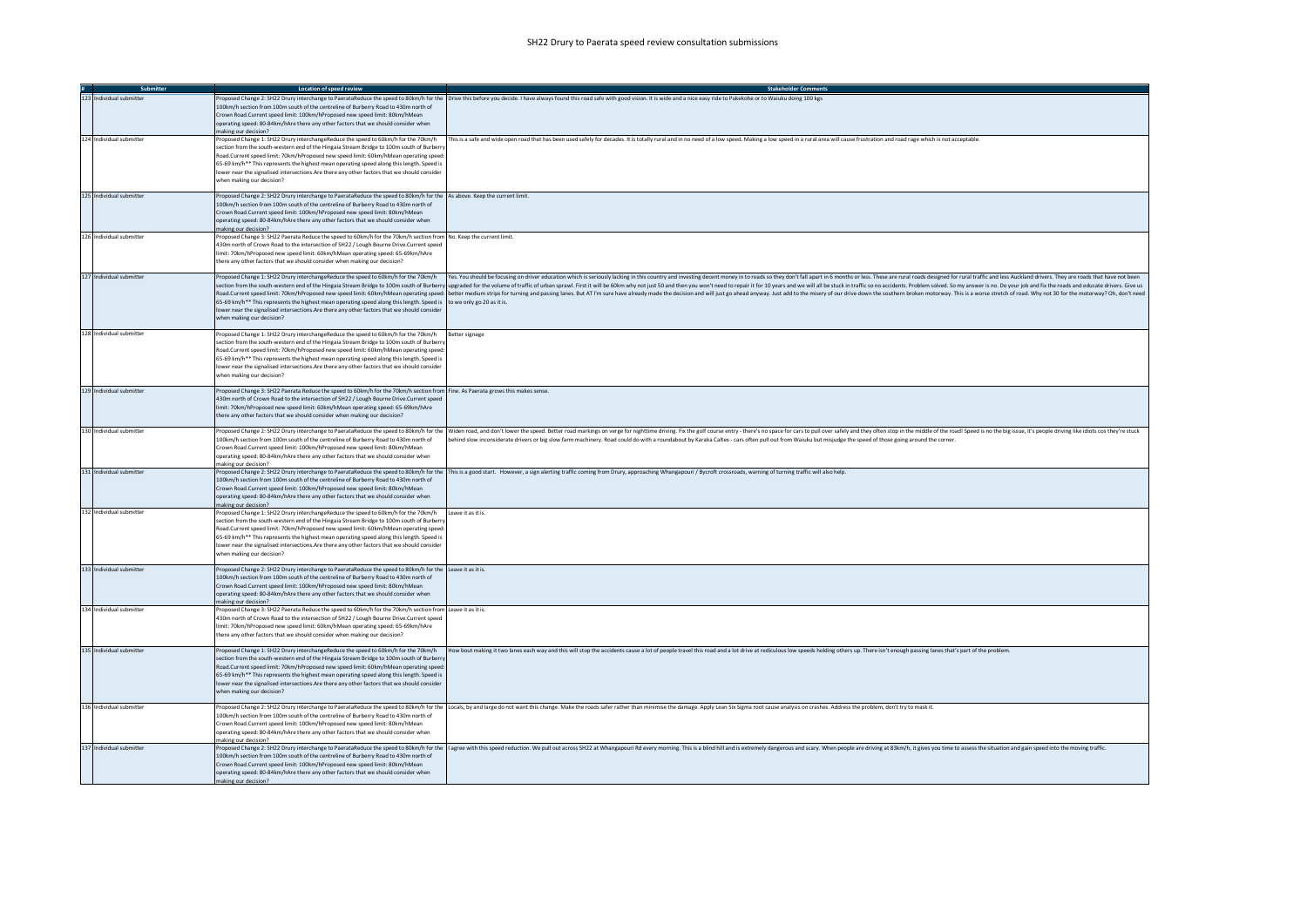| Submitter                | <b>Location of speed review</b>                                                                                                                                                                                                                                                                                                                                                                                                                                                                                      | <b>Stakeholder Comments</b>                                                                                                                                                                                                                                                                                                                                                                                                                                                                                                                                                                                                                                                                      |
|--------------------------|----------------------------------------------------------------------------------------------------------------------------------------------------------------------------------------------------------------------------------------------------------------------------------------------------------------------------------------------------------------------------------------------------------------------------------------------------------------------------------------------------------------------|--------------------------------------------------------------------------------------------------------------------------------------------------------------------------------------------------------------------------------------------------------------------------------------------------------------------------------------------------------------------------------------------------------------------------------------------------------------------------------------------------------------------------------------------------------------------------------------------------------------------------------------------------------------------------------------------------|
| 123 Individual submitter | 100km/h section from 100m south of the centreline of Burberry Road to 430m north of<br>Crown Road.Current speed limit: 100km/hProposed new speed limit: 80km/hMean<br>operating speed: 80-84km/hAre there any other factors that we should consider when                                                                                                                                                                                                                                                             | Proposed Change 2: SH22 Drury interchange to PaerataReduce the speed to 80km/h for the Drive this before you decide. I have always found this road safe with good vision. It is wide and a nice easy ride to Pukekohe or to Wa                                                                                                                                                                                                                                                                                                                                                                                                                                                                   |
|                          | making our decision?                                                                                                                                                                                                                                                                                                                                                                                                                                                                                                 |                                                                                                                                                                                                                                                                                                                                                                                                                                                                                                                                                                                                                                                                                                  |
| 124 Individual submitter | Proposed Change 1: SH22 Drury interchangeReduce the speed to 60km/h for the 70km/h<br>section from the south-western end of the Hingaia Stream Bridge to 100m south of Burbern<br>Road Current speed limit: 70km/hProposed new speed limit: 60km/hMean operating speed:<br>65-69 km/h** This represents the highest mean operating speed along this length. Speed is<br>lower near the signalised intersections.Are there any other factors that we should consider<br>when making our decision?                     | This is a safe and wide open road that has been used safely for decades. It is totally rural and in no need of a low speed. Making a low speed in a rural area will cause frustration and road rage which is not acceptable.                                                                                                                                                                                                                                                                                                                                                                                                                                                                     |
| 125 Individual submitter | Proposed Change 2: SH22 Drury interchange to PaerataReduce the speed to 80km/h for the As above. Keep the current limit.<br>100km/h section from 100m south of the centreline of Burberry Road to 430m north of<br>Crown Road.Current speed limit: 100km/hProposed new speed limit: 80km/hMean<br>operating speed: 80-84km/hAre there any other factors that we should consider when<br>making our decision?                                                                                                         |                                                                                                                                                                                                                                                                                                                                                                                                                                                                                                                                                                                                                                                                                                  |
| 126 Individual submitter | Proposed Change 3: SH22 Paerata Reduce the speed to 60km/h for the 70km/h section from No. Keep the current limit.<br>430m north of Crown Road to the intersection of SH22 / Lough Bourne Drive.Current speed<br>limit: 70km/hProposed new speed limit: 60km/hMean operating speed: 65-69km/hAre<br>there any other factors that we should consider when making our decision?                                                                                                                                        |                                                                                                                                                                                                                                                                                                                                                                                                                                                                                                                                                                                                                                                                                                  |
| 127 Individual submitter | 65-69 km/h** This represents the highest mean operating speed along this length. Speed is to we only go 20 as it is.<br>lower near the signalised intersections. Are there any other factors that we should consider<br>when making our decision?                                                                                                                                                                                                                                                                    | Proposed Change 1: SH22 Drury interchangeReduce the speed to 60km/h for the 70km/h (res. You should be focusing on driver education which is seriously lacking in this country and investing decent money in to roads so they<br>section from the south-western end of the Hingaia Stream Bridge to 100m south of Burberry upgraded for the volume of traffic of urban sprawl. First it will be 60km why not just 50 and then you won't need to repair it for 1<br>Road.Current speed limit: 70km/hProposed new speed limit: 60km/hMean operating speed:  better medium strips for turning and passing lanes. But AT I'm sure have already made the decision and will just go ahead anyway. Just |
| 128 Individual submitter | Proposed Change 1: SH22 Drury interchangeReduce the speed to 60km/h for the 70km/h Better signage<br>section from the south-western end of the Hingaia Stream Bridge to 100m south of Burberry<br>Road.Current speed limit: 70km/hProposed new speed limit: 60km/hMean operating speed:<br>65-69 km/h** This represents the highest mean operating speed along this length. Speed is<br>lower near the signalised intersections.Are there any other factors that we should consider<br>when making our decision?     |                                                                                                                                                                                                                                                                                                                                                                                                                                                                                                                                                                                                                                                                                                  |
| 129 Individual submitter | Proposed Change 3: SH22 Paerata Reduce the speed to 60km/h for the 70km/h section from Fine. As Paerata grows this makes sense.<br>430m north of Crown Road to the intersection of SH22 / Lough Bourne Drive.Current speed<br>imit: 70km/hProposed new speed limit: 60km/hMean operating speed: 65-69km/hAre<br>there any other factors that we should consider when making our decision?                                                                                                                            |                                                                                                                                                                                                                                                                                                                                                                                                                                                                                                                                                                                                                                                                                                  |
| 130 Individual submitter | 100km/h section from 100m south of the centreline of Burberry Road to 430m north of<br>Crown Road.Current speed limit: 100km/hProposed new speed limit: 80km/hMean<br>operating speed: 80-84km/hAre there any other factors that we should consider when<br>making our decision?                                                                                                                                                                                                                                     | Proposed Change 2: SH22 Drury interchange to PaerataReduce the speed to 80km/h for the Widen road, and don't lower the speed. Better road markings on verge for nighttime driving. Fix the golf course entry - there's no spac<br>behind slow inconsiderate drivers or big slow farm machinery. Road could do with a roundabout by Karaka Caltex - cars often pull out from Waiuku but misjudge the speed of those going around the corner.                                                                                                                                                                                                                                                      |
| 131 Individual submitter | 100km/h section from 100m south of the centreline of Burberry Road to 430m north of<br>Crown Road.Current speed limit: 100km/hProposed new speed limit: 80km/hMean<br>operating speed: 80-84km/hAre there any other factors that we should consider when<br>making our decision?                                                                                                                                                                                                                                     | Proposed Change 2: SH22 Drury interchange to PaerataReduce the speed to 80km/h for the This is a good start. However, a sign alerting traffic coming from Drury, approaching Whangapouri / Bycroft crossroads, warning of turn                                                                                                                                                                                                                                                                                                                                                                                                                                                                   |
| 132 Individual submitter | Proposed Change 1: SH22 Drury interchangeReduce the speed to 60km/h for the 70km/h Leave it as it is.<br>section from the south-western end of the Hingaia Stream Bridge to 100m south of Burbern<br>Road.Current speed limit: 70km/hProposed new speed limit: 60km/hMean operating speed:<br>65-69 km/h** This represents the highest mean operating speed along this length. Speed is<br>lower near the signalised intersections. Are there any other factors that we should consider<br>when making our decision? |                                                                                                                                                                                                                                                                                                                                                                                                                                                                                                                                                                                                                                                                                                  |
| 133 Individual submitter | Proposed Change 2: SH22 Drury interchange to PaerataReduce the speed to 80km/h for the Leave it as it is.<br>100km/h section from 100m south of the centreline of Burberry Road to 430m north of<br>Crown Road.Current speed limit: 100km/hProposed new speed limit: 80km/hMean<br>operating speed: 80-84km/hAre there any other factors that we should consider when<br>making our decision?                                                                                                                        |                                                                                                                                                                                                                                                                                                                                                                                                                                                                                                                                                                                                                                                                                                  |
| 134 Individual submitter | Proposed Change 3: SH22 Paerata Reduce the speed to 60km/h for the 70km/h section from Leave it as it is.<br>430m north of Crown Road to the intersection of SH22 / Lough Bourne Drive.Current speed<br>limit: 70km/hProposed new speed limit: 60km/hMean operating speed: 65-69km/hAre<br>there any other factors that we should consider when making our decision?                                                                                                                                                 |                                                                                                                                                                                                                                                                                                                                                                                                                                                                                                                                                                                                                                                                                                  |
| 135 Individual submitter | section from the south-western end of the Hingaia Stream Bridge to 100m south of Burberry<br>Road.Current speed limit: 70km/hProposed new speed limit: 60km/hMean operating speed:<br>65-69 km/h** This represents the highest mean operating speed along this length. Speed is<br>lower near the signalised intersections. Are there any other factors that we should consider<br>when making our decision?                                                                                                         | Proposed Change 1: SH22 Drury interchangeReduce the speed to 60km/h for the 70km/h (or the 70km/h How bout making it two lanes each way and this will stop the accidents cause a lot of people travel this road and a lot driv                                                                                                                                                                                                                                                                                                                                                                                                                                                                   |
| 136 Individual submitter | 100km/h section from 100m south of the centreline of Burberry Road to 430m north of<br>Crown Road.Current speed limit: 100km/hProposed new speed limit: 80km/hMean<br>operating speed: 80-84km/hAre there any other factors that we should consider when<br>making our decision?                                                                                                                                                                                                                                     | Proposed Change 2: SH22 Drury interchange to PaerataReduce the speed to 80km/h for the Locals, by and large do not want this change. Make the roads safer rather than minimise the damage. Apply Lean Six Sigma root cause ana                                                                                                                                                                                                                                                                                                                                                                                                                                                                   |
| 137 Individual submitter | 100km/h section from 100m south of the centreline of Burberry Road to 430m north of<br>Crown Road Current speed limit: 100km/hProposed new speed limit: 80km/hMean<br>operating speed: 80-84km/hAre there any other factors that we should consider when<br>making our decision?                                                                                                                                                                                                                                     | Proposed Change 2: SH22 Drury interchange to PaerataReduce the speed to 80km/h for the  l agree with this speed reduction. We pull out across SH22 at Whangapouri Rd every morning. This is a blind hill and is extremely dang                                                                                                                                                                                                                                                                                                                                                                                                                                                                   |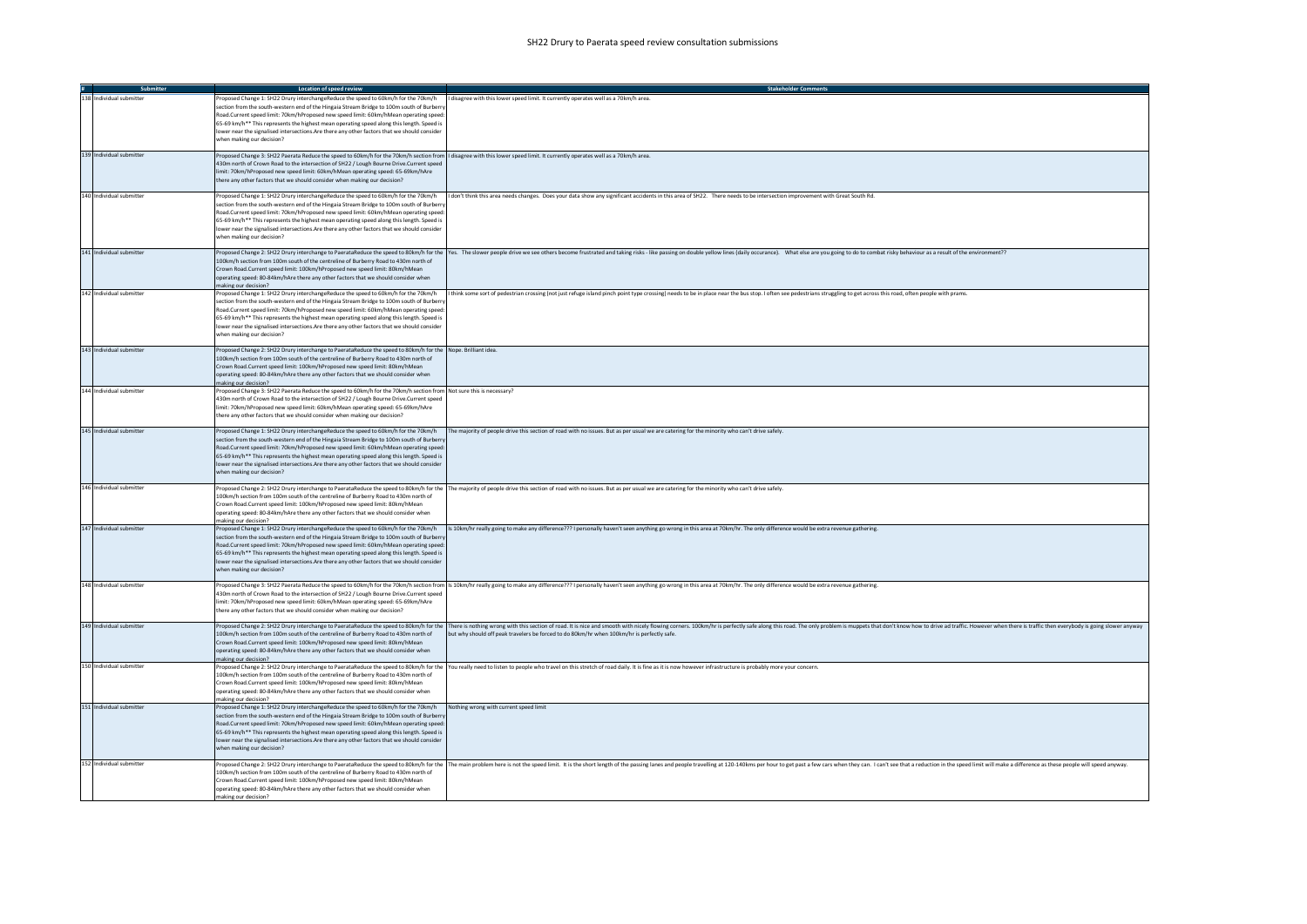| Submitter                | Location of speed review                                                                                                                                                                                                                                                                                                                                                                                                                                                                                                                                                                 | <b>Stakeholder Comments</b>                                                                                                                                                                                                                                                                                                 |
|--------------------------|------------------------------------------------------------------------------------------------------------------------------------------------------------------------------------------------------------------------------------------------------------------------------------------------------------------------------------------------------------------------------------------------------------------------------------------------------------------------------------------------------------------------------------------------------------------------------------------|-----------------------------------------------------------------------------------------------------------------------------------------------------------------------------------------------------------------------------------------------------------------------------------------------------------------------------|
| 138 Individual submitter | Proposed Change 1: SH22 Drury interchangeReduce the speed to 60km/h for the 70km/h   I disagree with this lower speed limit. It currently operates well as a 70km/h area.<br>section from the south-western end of the Hingaia Stream Bridge to 100m south of Burbern<br>Road.Current speed limit: 70km/hProposed new speed limit: 60km/hMean operating speed:<br>65-69 km/h** This represents the highest mean operating speed along this length. Speed is<br>lower near the signalised intersections. Are there any other factors that we should consider<br>when making our decision? |                                                                                                                                                                                                                                                                                                                             |
| 139 Individual submitter | Proposed Change 3: SH22 Paerata Reduce the speed to 60km/h for the 70km/h section from   disagree with this lower speed limit. It currently operates well as a 70km/h area.<br>430m north of Crown Road to the intersection of SH22 / Lough Bourne Drive.Current speed<br>limit: 70km/hProposed new speed limit: 60km/hMean operating speed: 65-69km/hAre<br>there any other factors that we should consider when making our decision?                                                                                                                                                   |                                                                                                                                                                                                                                                                                                                             |
| 140 Individual submitter | section from the south-western end of the Hingaia Stream Bridge to 100m south of Burbern<br>Road.Current speed limit: 70km/hProposed new speed limit: 60km/hMean operating speed:<br>65-69 km/h** This represents the highest mean operating speed along this length. Speed is<br>lower near the signalised intersections. Are there any other factors that we should consider<br>when making our decision?                                                                                                                                                                              | Proposed Change 1: SH22 Drury interchangeReduce the speed to 60km/h for the 70km/h   I don't think this area needs changes. Does your data show any significant accidents in this area of SH22. There needs to be intersection                                                                                              |
| 141 Individual submitter | 100km/h section from 100m south of the centreline of Burberry Road to 430m north of<br>Crown Road.Current speed limit: 100km/hProposed new speed limit: 80km/hMean<br>operating speed: 80-84km/hAre there any other factors that we should consider when<br>making our decision?                                                                                                                                                                                                                                                                                                         | Proposed Change 2: SH22 Drury interchange to PaerataReduce the speed to 80km/h for the Yes. The slower people drive we see others become frustrated and taking risks - like passing on double yellow lines (daily occurance).                                                                                               |
| 142 Individual submitter | section from the south-western end of the Hingaia Stream Bridge to 100m south of Burberr<br>Road.Current speed limit: 70km/hProposed new speed limit: 60km/hMean operating speed:<br>65-69 km/h** This represents the highest mean operating speed along this length. Speed is<br>lower near the signalised intersections. Are there any other factors that we should consider<br>when making our decision?                                                                                                                                                                              | Proposed Change 1: SH22 Drury interchangeReduce the speed to 60km/h for the 70km/h   think some sort of pedestrian crossing (not just refuge island pinch point type crossing) needs to be in place near the bus stop. I often                                                                                              |
| 143 Individual submitter | Proposed Change 2: SH22 Drury interchange to PaerataReduce the speed to 80km/h for the Nope, Brilliant idea.<br>100km/h section from 100m south of the centreline of Burberry Road to 430m north of<br>Crown Road.Current speed limit: 100km/hProposed new speed limit: 80km/hMean<br>operating speed: 80-84km/hAre there any other factors that we should consider when<br>making our decision?                                                                                                                                                                                         |                                                                                                                                                                                                                                                                                                                             |
| 144 Individual submitter | Proposed Change 3: SH22 Paerata Reduce the speed to 60km/h for the 70km/h section from Not sure this is necessary?<br>430m north of Crown Road to the intersection of SH22 / Lough Bourne Drive.Current speed<br>limit: 70km/hProposed new speed limit: 60km/hMean operating speed: 65-69km/hAre<br>there any other factors that we should consider when making our decision?                                                                                                                                                                                                            |                                                                                                                                                                                                                                                                                                                             |
| 145 Individual submitter | Proposed Change 1: SH22 Drury interchangeReduce the speed to 60km/h for the 70km/h<br>section from the south-western end of the Hingaia Stream Bridge to 100m south of Burbern<br>Road.Current speed limit: 70km/hProposed new speed limit: 60km/hMean operating speed:<br>65-69 km/h** This represents the highest mean operating speed along this length. Speed is<br>lower near the signalised intersections.Are there any other factors that we should consider<br>when making our decision?                                                                                         | The majority of people drive this section of road with no issues. But as per usual we are catering for the minority who can't drive safely.                                                                                                                                                                                 |
| 146 Individual submitter | 100km/h section from 100m south of the centreline of Burberry Road to 430m north of<br>Crown Road.Current speed limit: 100km/hProposed new speed limit: 80km/hMean<br>operating speed: 80-84km/hAre there any other factors that we should consider when<br>making our decision?                                                                                                                                                                                                                                                                                                         | Proposed Change 2: SH22 Drury interchange to PaerataReduce the speed to 80km/h for the  The majority of people drive this section of road with no issues. But as per usual we are catering for the minority who can't drive sa                                                                                              |
| 147 Individual submitter | section from the south-western end of the Hingaia Stream Bridge to 100m south of Burbern<br>Road.Current speed limit: 70km/hProposed new speed limit: 60km/hMean operating speed:<br>65-69 km/h** This represents the highest mean operating speed along this length. Speed is<br>lower near the signalised intersections. Are there any other factors that we should consider<br>when making our decision?                                                                                                                                                                              | Proposed Change 1: SH22 Drury interchangeReduce the speed to 60km/h for the 70km/h rs allkm/hr really going to make any difference??? I personally haven't seen anything go wrong in this area at 70km/hr. The only difference                                                                                              |
| 148 Individual submitter | 430m north of Crown Road to the intersection of SH22 / Lough Bourne Drive.Current speed<br>limit: 70km/hProposed new speed limit: 60km/hMean operating speed: 65-69km/hAre<br>there any other factors that we should consider when making our decision?                                                                                                                                                                                                                                                                                                                                  | Proposed Change 3: SH22 Paerata Reduce the speed to 60km/h for the 70km/h section from  s 10km/hr really going to make any difference??? I personally haven't seen anything go wrong in this area at 70km/hr. The only differe                                                                                              |
| 149 Individual submitter | 100km/h section from 100m south of the centreline of Burberry Road to 430m north of<br>Crown Road Current speed limit: 100km/hProposed new speed limit: 80km/hMean<br>operating speed: 80-84km/hAre there any other factors that we should consider when<br>making our decision?                                                                                                                                                                                                                                                                                                         | Proposed Change 2: SH22 Drury interchange to PaerataReduce the speed to 80km/h for the  There is nothing wrong with this section of road. It is nice and smooth with nicely flowing corners. 100km/hr is perfectly safe along<br>but why should off peak travelers be forced to do 80km/hr when 100km/hr is perfectly safe. |
| 150 Individual submitter | 100km/h section from 100m south of the centreline of Burberry Road to 430m north of<br>Crown Road.Current speed limit: 100km/hProposed new speed limit: 80km/hMean<br>operating speed: 80-84km/hAre there any other factors that we should consider when<br>making our decision?                                                                                                                                                                                                                                                                                                         | Proposed Change 2: SH22 Drury interchange to PaerataReduce the speed to 80km/h for the You really need to listen to people who travel on this stretch of road daily. It is fine as it is now however infrastructure is probabl                                                                                              |
| 151 Individual submitter | Proposed Change 1: SH22 Drury interchangeReduce the speed to 60km/h for the 70km/h<br>section from the south-western end of the Hingaia Stream Bridge to 100m south of Burbern<br>Road.Current speed limit: 70km/hProposed new speed limit: 60km/hMean operating speed<br>65-69 km/h** This represents the highest mean operating speed along this length. Speed is<br>lower near the signalised intersections. Are there any other factors that we should consider<br>when making our decision?                                                                                         | Nothing wrong with current speed limit                                                                                                                                                                                                                                                                                      |
| 152 Individual submitter | 100km/h section from 100m south of the centreline of Burberry Road to 430m north of<br>Crown Road Current speed limit: 100km/hProposed new speed limit: 80km/hMean<br>operating speed: 80-84km/hAre there any other factors that we should consider when<br>making our decision?                                                                                                                                                                                                                                                                                                         | Proposed Change 2: SH22 Drury interchange to PaerataReduce the speed to 80km/h for the  The main problem here is not the speed limit. It is the short length of the passing lanes and people travelling at 120-140kms per hour                                                                                              |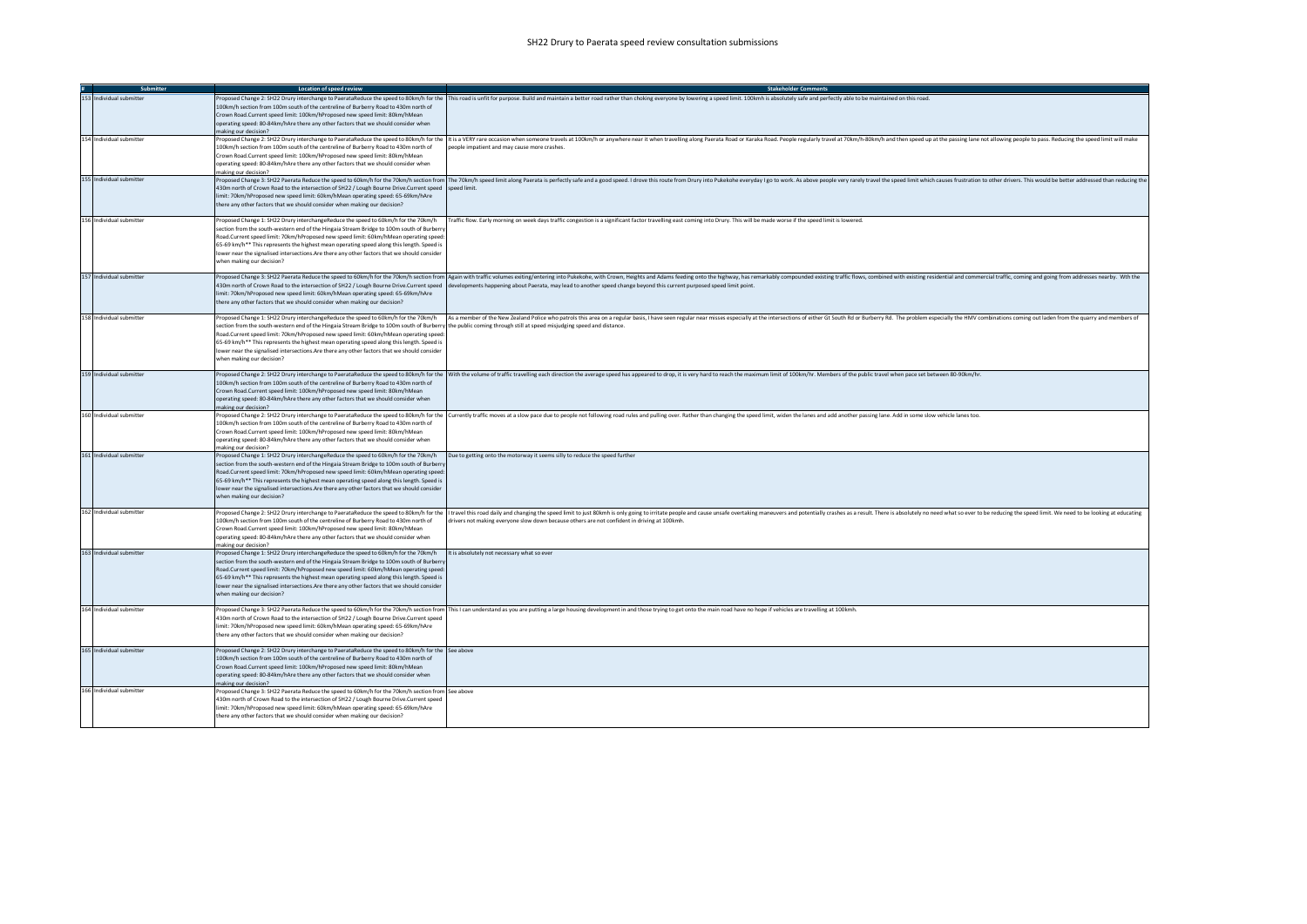| Submitter                | Location of speed review                                                                                                                                                                                                                                                                                                                                                                                                                                                                                                                                                     | <b>Stakeholder Comments</b>                                                                                                                                                                                                                                                                                                                                                                                                                        |
|--------------------------|------------------------------------------------------------------------------------------------------------------------------------------------------------------------------------------------------------------------------------------------------------------------------------------------------------------------------------------------------------------------------------------------------------------------------------------------------------------------------------------------------------------------------------------------------------------------------|----------------------------------------------------------------------------------------------------------------------------------------------------------------------------------------------------------------------------------------------------------------------------------------------------------------------------------------------------------------------------------------------------------------------------------------------------|
| 153 Individual submitter | 100km/h section from 100m south of the centreline of Burberry Road to 430m north of<br>Crown Road.Current speed limit: 100km/hProposed new speed limit: 80km/hMean<br>operating speed: 80-84km/hAre there any other factors that we should consider when<br>naking our decision?                                                                                                                                                                                                                                                                                             | Proposed Change 2: SH22 Drury interchange to PaerataReduce the speed to 80km/h for the This road is unfit for purpose. Build and maintain a better road rather than choking everyone by lowering a speed limit. 100kmh is abso                                                                                                                                                                                                                     |
| 154 Individual submitter | 100km/h section from 100m south of the centreline of Burberry Road to 430m north of<br>Crown Road.Current speed limit: 100km/hProposed new speed limit: 80km/hMean<br>operating speed: 80-84km/hAre there any other factors that we should consider when<br>making our decision?                                                                                                                                                                                                                                                                                             | Proposed Change 2: SH22 Drury interchange to PaerataReduce the speed to 80km/h for the  It is a VERY rare occasion when someone travels at 100km/h or anywhere near it when travelling along Paerata Road or Karaka Road. Peop<br>people impatient and may cause more crashes.                                                                                                                                                                     |
| 155 Individual submitter | 430m north of Crown Road to the intersection of SH22 / Lough Bourne Drive.Current speed speed limit.<br>limit: 70km/hProposed new speed limit: 60km/hMean operating speed: 65-69km/hAre<br>there any other factors that we should consider when making our decision?                                                                                                                                                                                                                                                                                                         | Proposed Change 3: SH22 Paerata Reduce the speed to 60km/h for the 70km/h section from   The 70km/h section from   The 70km/h speed limit along Paerata is perfectly safe and a good speed. I drove this route from Drury into                                                                                                                                                                                                                     |
| 156 Individual submitter | Proposed Change 1: SH22 Drury interchangeReduce the speed to 60km/h for the 70km/h<br>section from the south-western end of the Hingaia Stream Bridge to 100m south of Burberr<br>Road.Current speed limit: 70km/hProposed new speed limit: 60km/hMean operating speed:<br>65-69 km/h** This represents the highest mean operating speed along this length. Speed is<br>lower near the signalised intersections.Are there any other factors that we should consider<br>when making our decision?                                                                             | Traffic flow. Early morning on week days traffic congestion is a significant factor travelling east coming into Drury. This will be made worse if the speed limit is lowered.                                                                                                                                                                                                                                                                      |
| 157 Individual submitter | limit: 70km/hProposed new speed limit: 60km/hMean operating speed: 65-69km/hAre<br>there any other factors that we should consider when making our decision?                                                                                                                                                                                                                                                                                                                                                                                                                 | Proposed Change 3: SH22 Paerata Reduce the speed to 60km/h for the 70km/h section from Again with traffic volumes exiting/entering into Pukekohe, with Crown, Heights and Adams feeding onto the highway, has remarkably compo<br>430m north of Crown Road to the intersection of SH22 / Lough Bourne Drive.Current speed   developments happening about Paerata, may lead to another speed change beyond this current purposed speed limit point. |
| 158 Individual submitter | Proposed Change 1: SH22 Drury interchangeReduce the speed to 60km/h for the 70km/h<br>section from the south-western end of the Hingaia Stream Bridge to 100m south of Burberry the public coming through still at speed misjudging speed and distance.<br>Road.Current speed limit: 70km/hProposed new speed limit: 60km/hMean operating speed:<br>65-69 km/h** This represents the highest mean operating speed along this length. Speed is<br>lower near the signalised intersections.Are there any other factors that we should consider<br>when making our decision?    | As a member of the New Zealand Police who patrols this area on a regular basis, I have seen regular near misses especially at the intersections of either Gt South Rd or Burberry Rd. The problem especially the HMV combinati                                                                                                                                                                                                                     |
| 159 Individual submitter | 100km/h section from 100m south of the centreline of Burberry Road to 430m north of<br>Crown Road.Current speed limit: 100km/hProposed new speed limit: 80km/hMean<br>operating speed: 80-84km/hAre there any other factors that we should consider when<br>making our decision?                                                                                                                                                                                                                                                                                             | Proposed Change 2: SH22 Drury interchange to PaerataReduce the speed to 80km/h for the   With the volume of traffic travelling each direction the average speed has appeared to drop, it is very hard to reach the maximum lim                                                                                                                                                                                                                     |
| 160 Individual submitter | 100km/h section from 100m south of the centreline of Burberry Road to 430m north of<br>Crown Road.Current speed limit: 100km/hProposed new speed limit: 80km/hMean<br>operating speed: 80-84km/hAre there any other factors that we should consider when<br>making our decision?                                                                                                                                                                                                                                                                                             | Proposed Change 2: SH22 Drury interchange to PaerataReduce the speed to 80km/h for the   Currently traffic moves at a slow pace due to people not following road rules and pulling over. Rather than changing the speed limit,                                                                                                                                                                                                                     |
| 161 Individual submitter | Proposed Change 1: SH22 Drury interchangeReduce the speed to 60km/h for the 70km/h Due to getting onto the motorway it seems silly to reduce the speed further<br>section from the south-western end of the Hingaia Stream Bridge to 100m south of Burbern<br>Road.Current speed limit: 70km/hProposed new speed limit: 60km/hMean operating speed:<br>65-69 km/h** This represents the highest mean operating speed along this length. Speed is<br>lower near the signalised intersections.Are there any other factors that we should consider<br>when making our decision? |                                                                                                                                                                                                                                                                                                                                                                                                                                                    |
| 162 Individual submitter | 100km/h section from 100m south of the centreline of Burberry Road to 430m north of<br>Crown Road Current speed limit: 100km/hProposed new speed limit: 80km/hMean<br>operating speed: 80-84km/hAre there any other factors that we should consider when<br>making our decision?                                                                                                                                                                                                                                                                                             | Proposed Change 2: SH22 Drury interchange to PaerataReduce the speed to 80km/h for the  I travel this road daily and changing the speed timit to just 80km in sonly going to irritate people and cause unsafe overtaking maneu<br>drivers not making everyone slow down because others are not confident in driving at 100kmh.                                                                                                                     |
| 163 Individual submitter | Proposed Change 1: SH22 Drury interchangeReduce the speed to 60km/h for the 70km/h<br>section from the south-western end of the Hingaia Stream Bridge to 100m south of Burberry<br>Road.Current speed limit: 70km/hProposed new speed limit: 60km/hMean operating speed:<br>65-69 km/h** This represents the highest mean operating speed along this length. Speed is<br>lower near the signalised intersections.Are there any other factors that we should consider<br>when making our decision?                                                                            | It is absolutely not necessary what so ever                                                                                                                                                                                                                                                                                                                                                                                                        |
| 164 Individual submitter | 430m north of Crown Road to the intersection of SH22 / Lough Bourne Drive.Current speed<br>limit: 70km/hProposed new speed limit: 60km/hMean operating speed: 65-69km/hAre<br>there any other factors that we should consider when making our decision?                                                                                                                                                                                                                                                                                                                      | Proposed Change 3: SH22 Paerata Reduce the speed to 60km/h for the 70km/h section from This I can understand as you are putting a large housing development in and those trying to get onto the main road have no hope if vehi                                                                                                                                                                                                                     |
| 165 Individual submitter | Proposed Change 2: SH22 Drury interchange to PaerataReduce the speed to 80km/h for the See above<br>LOOkm/h section from 100m south of the centreline of Burberry Road to 430m north of<br>Crown Road.Current speed limit: 100km/hProposed new speed limit: 80km/hMean<br>operating speed: 80-84km/hAre there any other factors that we should consider when<br>naking our decision?                                                                                                                                                                                         |                                                                                                                                                                                                                                                                                                                                                                                                                                                    |
| 166 Individual submitter | Proposed Change 3: SH22 Paerata Reduce the speed to 60km/h for the 70km/h section from See above<br>430m north of Crown Road to the intersection of SH22 / Lough Bourne Drive.Current speed<br>limit: 70km/hProposed new speed limit: 60km/hMean operating speed: 65-69km/hAre<br>there any other factors that we should consider when making our decision?                                                                                                                                                                                                                  |                                                                                                                                                                                                                                                                                                                                                                                                                                                    |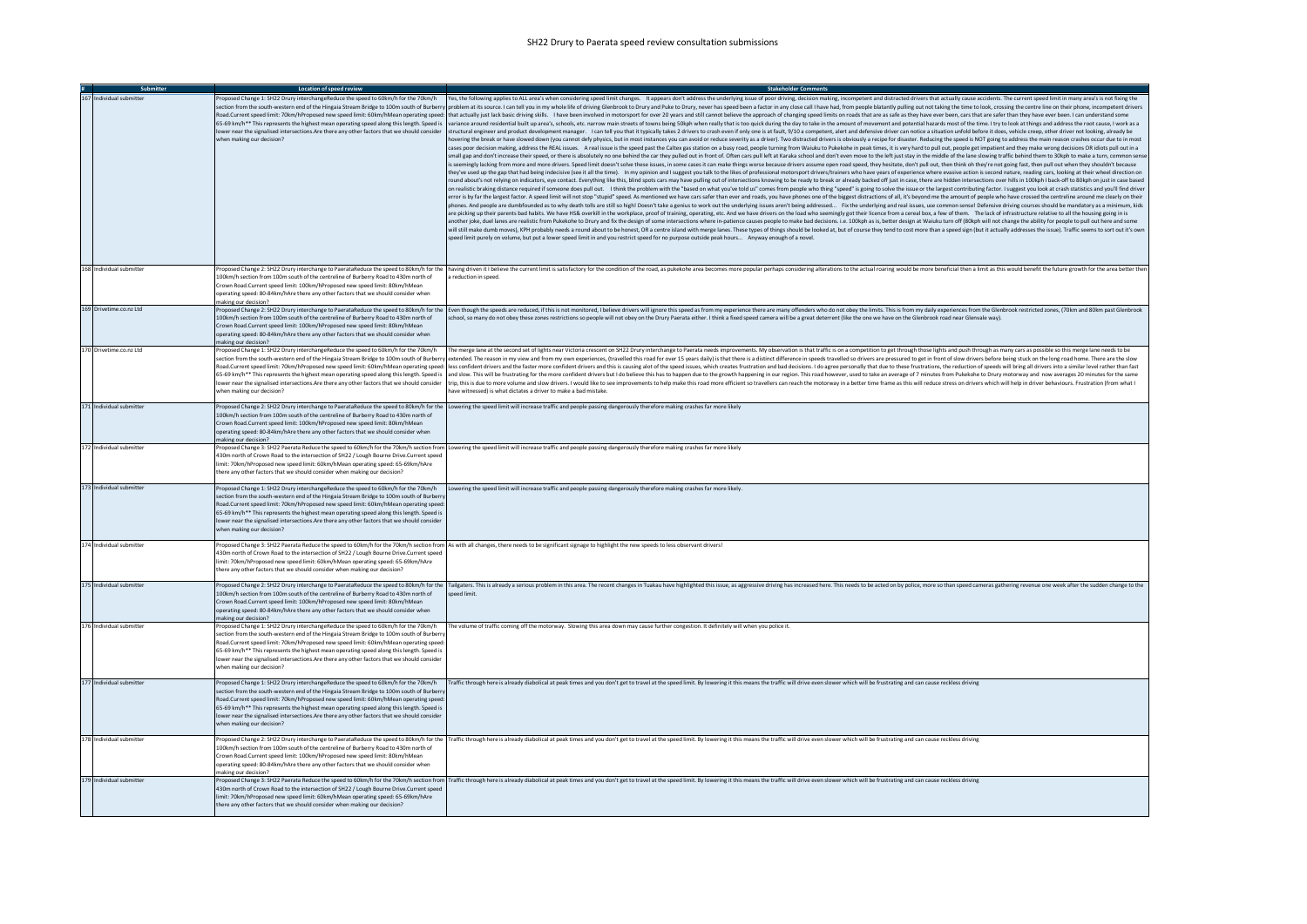## SH22 Drury to Paerata speed review consultation submissions

| Submitter                | Location of speed review                                                                                                                                                                                                                                                                                                                                                                                                                                                                         | <b>Stakeholder Comments</b>                                                                                                                                                                                                                                                                                                                                                                                                                                                                                                                                                                                                                                                                                                                                                                                                                                                                                                                                                                                                                                                                                                                                                                                                                                                                                                                                                                                                                                                                                                                                                                                                                                                                                                                                                                                                                                                                                                                                                                                                                                                                                                                                                                                                                                                                                                                                                                                                                                                                                                                                                                                                                                                                                                                                                                                                                                                                                                                                                                                                                                                                                                                                                                                                                                                                                                                                                                                                                                                                                                                                                                                                                                                                                                                                                                                                                                                                                                                                                                                                                                                                                                                |
|--------------------------|--------------------------------------------------------------------------------------------------------------------------------------------------------------------------------------------------------------------------------------------------------------------------------------------------------------------------------------------------------------------------------------------------------------------------------------------------------------------------------------------------|--------------------------------------------------------------------------------------------------------------------------------------------------------------------------------------------------------------------------------------------------------------------------------------------------------------------------------------------------------------------------------------------------------------------------------------------------------------------------------------------------------------------------------------------------------------------------------------------------------------------------------------------------------------------------------------------------------------------------------------------------------------------------------------------------------------------------------------------------------------------------------------------------------------------------------------------------------------------------------------------------------------------------------------------------------------------------------------------------------------------------------------------------------------------------------------------------------------------------------------------------------------------------------------------------------------------------------------------------------------------------------------------------------------------------------------------------------------------------------------------------------------------------------------------------------------------------------------------------------------------------------------------------------------------------------------------------------------------------------------------------------------------------------------------------------------------------------------------------------------------------------------------------------------------------------------------------------------------------------------------------------------------------------------------------------------------------------------------------------------------------------------------------------------------------------------------------------------------------------------------------------------------------------------------------------------------------------------------------------------------------------------------------------------------------------------------------------------------------------------------------------------------------------------------------------------------------------------------------------------------------------------------------------------------------------------------------------------------------------------------------------------------------------------------------------------------------------------------------------------------------------------------------------------------------------------------------------------------------------------------------------------------------------------------------------------------------------------------------------------------------------------------------------------------------------------------------------------------------------------------------------------------------------------------------------------------------------------------------------------------------------------------------------------------------------------------------------------------------------------------------------------------------------------------------------------------------------------------------------------------------------------------------------------------------------------------------------------------------------------------------------------------------------------------------------------------------------------------------------------------------------------------------------------------------------------------------------------------------------------------------------------------------------------------------------------------------------------------------------------------------------------------|
| 167 Individual submitter | when making our decision?                                                                                                                                                                                                                                                                                                                                                                                                                                                                        | Proposed Change 1: SH22 Drury interchangeReduce the speed to 60km/h for the 70km/h  Yes, the following applies to ALL area's when considering speed limit changes. It appears don't address the underlying issue of poor drivi<br>section from the south-western end of the Hingaia Stream Bridge to 100m south of Burberry   problem at its source. I can tell you in my whole life of driving Glenbrook to Drury and Puke to Drury, never has speed been a fac<br>Road.Current speed limit: 70km/hProposed new speed limit: 60km/hMean operating speed: that actually just lack basic driving skills. I have been involved in motorsport for over 20 years and still cannot believe the approach<br>65-69 km/h** This represents the highest mean operating speed along this length. Speed is variance around residential built up area's, schools, etc. narrow main streets of towns being 50kph when really that is too quick du<br>lower near the signalised intersections.Are there any other factors that we should consider structural engineer and product development manager. I can tell you that it typically takes 2 drivers to crash even if only one is<br>novering the break or have slowed down (you cannot defy physics, but in most instances you can avoid or reduce severity as a driver). Two distracted drivers is obviously a recipe for disaster. Reducing the speed is NOT goi<br>cases poor decision making, address the REAL issues. A real issue is the speed past the Caltex gas station on a busy road, people turning from Waiuku to Pukekohe in peak times, it is very hard to pull out, people get impat<br>small gap and don't increase their speed, or there is absolutely no one behind the car they pulled out in front of. Often cars pull left at Karaka school and don't even move to the left just stay in the middle of the lane<br>is seemingly lacking from more and more drivers. Speed limit doesn't solve these issues, in some cases it can make things worse because drivers assume open road speed, they hesitate, don't pull out, then think oh they're n<br>they've used up the gap that had being indecisive (see it all the time). In my opinion and I suggest you talk to the likes of professional motorsport drivers/trainers who have years of experience where evasive action is se<br>round about's not relying on indicators, eye contact. Everything like this, blind spots cars may have pulling out of intersections knowing to be ready to break or already backed off just in case, there are hidden intersect<br>on realistic braking distance required if someone does pull out. I think the problem with the "based on what you've told us" comes from people who thing "speed" is going to solve the issue or the largest contributing facto<br>error is by far the largest factor. A speed limit will not stop "stupid" speed. As mentioned we have cars safer than ever and roads, you have phones one of the biggest distractions of all, it's beyond me the amount of peop<br>phones. And people are dumbfounded as to why death tolls are still so high! Doesn't take a genius to work out the underlying issues aren't being addressed Fix the underlying and real issues, use common sense! Defensive<br>are picking up their parents bad habits. We have HS& overkill in the workplace, proof of training, operating, etc. And we have drivers on the load who seemingly got their licence from a cereal box, a few of them. The lack<br>another joke, duel lanes are realistic from Pukekohe to Drury and fix the design of some intersections where in-patience causes people to make bad decisions. i.e. 100kph as is, better design at Waiuku turn off (80kph will<br>will still make dumb moves), KPH probably needs a round about to be honest, OR a centre island with merge lanes. These types of things should be looked at, but of course they tend to cost more than a speed sign (but it act<br>speed limit purely on volume, but put a lower speed limit in and you restrict speed for no purpose outside peak hours Anyway enough of a novel. |
| 168 Individual submitter | 100km/h section from 100m south of the centreline of Burberry Road to 430m north of<br>Crown Road.Current speed limit: 100km/hProposed new speed limit: 80km/hMean<br>operating speed: 80-84km/hAre there any other factors that we should consider when<br>making our decision?                                                                                                                                                                                                                 | Proposed Change 2: SH22 Drury interchange to PaerataReduce the speed to 80km/h for the  having driven it I believe the current limit is satisfactory for the condition of the road, as pukekohe area becomes more popular perh<br>a reduction in speed.                                                                                                                                                                                                                                                                                                                                                                                                                                                                                                                                                                                                                                                                                                                                                                                                                                                                                                                                                                                                                                                                                                                                                                                                                                                                                                                                                                                                                                                                                                                                                                                                                                                                                                                                                                                                                                                                                                                                                                                                                                                                                                                                                                                                                                                                                                                                                                                                                                                                                                                                                                                                                                                                                                                                                                                                                                                                                                                                                                                                                                                                                                                                                                                                                                                                                                                                                                                                                                                                                                                                                                                                                                                                                                                                                                                                                                                                                    |
| 169 Drivetime.co.nz Ltd  | 100km/h section from 100m south of the centreline of Burberry Road to 430m north of<br>Crown Road.Current speed limit: 100km/hProposed new speed limit: 80km/hMean<br>operating speed: 80-84km/hAre there any other factors that we should consider when<br>making our decision?                                                                                                                                                                                                                 | Proposed Change 2: SH22 Drury interchange to PaerataReduce the speed to 80km/h for the [Even though the speeds are reduced, if this is not monitored, I believe drivers will ignore this speed as from my experience there are<br>school, so many do not obey these zones restrictions so people will not obey on the Drury Paerata either. I think a fixed speed camera will be a great deterrent (like the one we have on the Glenbrook road near Glenvale way                                                                                                                                                                                                                                                                                                                                                                                                                                                                                                                                                                                                                                                                                                                                                                                                                                                                                                                                                                                                                                                                                                                                                                                                                                                                                                                                                                                                                                                                                                                                                                                                                                                                                                                                                                                                                                                                                                                                                                                                                                                                                                                                                                                                                                                                                                                                                                                                                                                                                                                                                                                                                                                                                                                                                                                                                                                                                                                                                                                                                                                                                                                                                                                                                                                                                                                                                                                                                                                                                                                                                                                                                                                                           |
| 170 Drivetime.co.nz Ltd  | Proposed Change 1: SH22 Drury interchangeReduce the speed to 60km/h for the 70km/h<br>lower near the signalised intersections.Are there any other factors that we should consider<br>when making our decision?                                                                                                                                                                                                                                                                                   | The merge lane at the second set of lights near Victoria crescent on SH22 Drury interchange to Paerata needs improvements. My observation is that traffic is on a competition to get through those lights and push through as<br>section from the south-western end of the Hingaia Stream Bridge to 100m south of Burberry extended. The reason in my view and from my own experiences. (travelled this road for over 15 years daily) is that there is a distin<br>Road.Current speed limit: 70km/hProposed new speed limit: 60km/hMean operating speed:  less confident drivers and the faster more confident drivers and this is causing alot of the speed ssues, which creates frustration and<br>65-69 km/h** This represents the highest mean operating speed along this length. Speed is  and slow. This will be frustrating for the more confident drivers but I do believe this has to happen due to the growth happening i<br>trip, this is due to more volume and slow drivers. I would like to see improvements to help make this road more efficient so travellers can reach the motorway in a better time frame as this will reduce stress on drivers wh<br>have witnessed) is what dictates a driver to make a bad mistake.                                                                                                                                                                                                                                                                                                                                                                                                                                                                                                                                                                                                                                                                                                                                                                                                                                                                                                                                                                                                                                                                                                                                                                                                                                                                                                                                                                                                                                                                                                                                                                                                                                                                                                                                                                                                                                                                                                                                                                                                                                                                                                                                                                                                                                                                                                                                                                                                                                                                                                                                                                                                                                                                                                                                                                                                                                                                                                  |
| 171 Individual submitter | 100km/h section from 100m south of the centreline of Burberry Road to 430m north of<br>Crown Road.Current speed limit: 100km/hProposed new speed limit: 80km/hMean<br>operating speed: 80-84km/hAre there any other factors that we should consider when<br>making our decision?                                                                                                                                                                                                                 | Proposed Change 2: SH22 Drury interchange to PaerataReduce the speed to 80km/h for the Lowering the speed limit will increase traffic and people passing dangerously therefore making crashes far more likely                                                                                                                                                                                                                                                                                                                                                                                                                                                                                                                                                                                                                                                                                                                                                                                                                                                                                                                                                                                                                                                                                                                                                                                                                                                                                                                                                                                                                                                                                                                                                                                                                                                                                                                                                                                                                                                                                                                                                                                                                                                                                                                                                                                                                                                                                                                                                                                                                                                                                                                                                                                                                                                                                                                                                                                                                                                                                                                                                                                                                                                                                                                                                                                                                                                                                                                                                                                                                                                                                                                                                                                                                                                                                                                                                                                                                                                                                                                              |
| 172 Individual submitter | 430m north of Crown Road to the intersection of SH22 / Lough Bourne Drive.Current speed<br>limit: 70km/hProposed new speed limit: 60km/hMean operating speed: 65-69km/hAre<br>there any other factors that we should consider when making our decision?                                                                                                                                                                                                                                          | Proposed Change 3: SH22 Paerata Reduce the speed to 60km/h for the 70km/h section from Lowering the speed limit will increase traffic and people passing dangerously therefore making crashes far more likely                                                                                                                                                                                                                                                                                                                                                                                                                                                                                                                                                                                                                                                                                                                                                                                                                                                                                                                                                                                                                                                                                                                                                                                                                                                                                                                                                                                                                                                                                                                                                                                                                                                                                                                                                                                                                                                                                                                                                                                                                                                                                                                                                                                                                                                                                                                                                                                                                                                                                                                                                                                                                                                                                                                                                                                                                                                                                                                                                                                                                                                                                                                                                                                                                                                                                                                                                                                                                                                                                                                                                                                                                                                                                                                                                                                                                                                                                                                              |
| 173 Individual submitter | Proposed Change 1: SH22 Drury interchangeReduce the speed to 60km/h for the 70km/h<br>section from the south-western end of the Hingaia Stream Bridge to 100m south of Burber<br>Road.Current speed limit: 70km/hProposed new speed limit: 60km/hMean operating speed:<br>65-69 km/h** This represents the highest mean operating speed along this length. Speed is<br>lower near the signalised intersections. Are there any other factors that we should consider<br>when making our decision? | owering the speed limit will increase traffic and people passing dangerously therefore making crashes far more likely.                                                                                                                                                                                                                                                                                                                                                                                                                                                                                                                                                                                                                                                                                                                                                                                                                                                                                                                                                                                                                                                                                                                                                                                                                                                                                                                                                                                                                                                                                                                                                                                                                                                                                                                                                                                                                                                                                                                                                                                                                                                                                                                                                                                                                                                                                                                                                                                                                                                                                                                                                                                                                                                                                                                                                                                                                                                                                                                                                                                                                                                                                                                                                                                                                                                                                                                                                                                                                                                                                                                                                                                                                                                                                                                                                                                                                                                                                                                                                                                                                     |
| 174 Individual submitter | 430m north of Crown Road to the intersection of SH22 / Lough Bourne Drive.Current speed<br>limit: 70km/hProposed new speed limit: 60km/hMean operating speed: 65-69km/hAre<br>there any other factors that we should consider when making our decision?                                                                                                                                                                                                                                          | Proposed Change 3: SH22 Paerata Reduce the speed to 60km/h for the 70km/h section from As with all changes, there needs to be significant signage to highlight the new speeds to less observant drivers!                                                                                                                                                                                                                                                                                                                                                                                                                                                                                                                                                                                                                                                                                                                                                                                                                                                                                                                                                                                                                                                                                                                                                                                                                                                                                                                                                                                                                                                                                                                                                                                                                                                                                                                                                                                                                                                                                                                                                                                                                                                                                                                                                                                                                                                                                                                                                                                                                                                                                                                                                                                                                                                                                                                                                                                                                                                                                                                                                                                                                                                                                                                                                                                                                                                                                                                                                                                                                                                                                                                                                                                                                                                                                                                                                                                                                                                                                                                                   |
| 175 Individual submitter | Proposed Change 2: SH22 Drury interchange to PaerataReduce the speed to 80km/h for the<br>100km/h section from 100m south of the centreline of Burberry Road to 430m north of<br>Crown Road.Current speed limit: 100km/hProposed new speed limit: 80km/hMean<br>operating speed: 80-84km/hAre there any other factors that we should consider when<br>making our decision?                                                                                                                       | Tailgaters. This is already a serious problem in this area. The recent changes in Tuakau have highlighted this issue, as aggressive driving has increased here. This needs to be acted on by police, more so than speed camera<br>timil been:                                                                                                                                                                                                                                                                                                                                                                                                                                                                                                                                                                                                                                                                                                                                                                                                                                                                                                                                                                                                                                                                                                                                                                                                                                                                                                                                                                                                                                                                                                                                                                                                                                                                                                                                                                                                                                                                                                                                                                                                                                                                                                                                                                                                                                                                                                                                                                                                                                                                                                                                                                                                                                                                                                                                                                                                                                                                                                                                                                                                                                                                                                                                                                                                                                                                                                                                                                                                                                                                                                                                                                                                                                                                                                                                                                                                                                                                                              |
| 176 Individual submitter | Proposed Change 1: SH22 Drury interchangeReduce the speed to 60km/h for the 70km/h<br>ection from the south-western end of the Hingaia Stream Bridge to 100m south of Burber<br>Road.Current speed limit: 70km/hProposed new speed limit: 60km/hMean operating speed:<br>65-69 km/h** This represents the highest mean operating speed along this length. Speed is<br>lower near the signalised intersections. Are there any other factors that we should consider<br>when making our decision?  | The volume of traffic coming off the motorway. Slowing this area down may cause further congestion. It definitely will when you police it.                                                                                                                                                                                                                                                                                                                                                                                                                                                                                                                                                                                                                                                                                                                                                                                                                                                                                                                                                                                                                                                                                                                                                                                                                                                                                                                                                                                                                                                                                                                                                                                                                                                                                                                                                                                                                                                                                                                                                                                                                                                                                                                                                                                                                                                                                                                                                                                                                                                                                                                                                                                                                                                                                                                                                                                                                                                                                                                                                                                                                                                                                                                                                                                                                                                                                                                                                                                                                                                                                                                                                                                                                                                                                                                                                                                                                                                                                                                                                                                                 |
| 177 Individual submitter | section from the south-western end of the Hingaia Stream Bridge to 100m south of Burbern<br>Road.Current speed limit: 70km/hProposed new speed limit: 60km/hMean operating speed:<br>65-69 km/h** This represents the highest mean operating speed along this length. Speed is<br>lower near the signalised intersections. Are there any other factors that we should consider<br>when making our decision?                                                                                      | Proposed Change 1: SH22 Drury interchangeReduce the speed to 60km/h for the 70km/h = Traffic through here is already diabolical at peak times and you don't get to travel at the speed limit. By lowering it this means the tr                                                                                                                                                                                                                                                                                                                                                                                                                                                                                                                                                                                                                                                                                                                                                                                                                                                                                                                                                                                                                                                                                                                                                                                                                                                                                                                                                                                                                                                                                                                                                                                                                                                                                                                                                                                                                                                                                                                                                                                                                                                                                                                                                                                                                                                                                                                                                                                                                                                                                                                                                                                                                                                                                                                                                                                                                                                                                                                                                                                                                                                                                                                                                                                                                                                                                                                                                                                                                                                                                                                                                                                                                                                                                                                                                                                                                                                                                                             |
| 178 Individual submitter | 100km/h section from 100m south of the centreline of Burberry Road to 430m north of<br>Crown Road.Current speed limit: 100km/hProposed new speed limit: 80km/hMean<br>operating speed: 80-84km/hAre there any other factors that we should consider when<br>making our decision?                                                                                                                                                                                                                 | Proposed Change 2: SH22 Drury interchange to PaerataReduce the speed to 80km/h for the  Traffic through here is already diabolical at peak times and you don't get to travel at the speed limit. By lowering it this means the                                                                                                                                                                                                                                                                                                                                                                                                                                                                                                                                                                                                                                                                                                                                                                                                                                                                                                                                                                                                                                                                                                                                                                                                                                                                                                                                                                                                                                                                                                                                                                                                                                                                                                                                                                                                                                                                                                                                                                                                                                                                                                                                                                                                                                                                                                                                                                                                                                                                                                                                                                                                                                                                                                                                                                                                                                                                                                                                                                                                                                                                                                                                                                                                                                                                                                                                                                                                                                                                                                                                                                                                                                                                                                                                                                                                                                                                                                             |
| 179 Individual submitter | 430m north of Crown Road to the intersection of SH22 / Lough Bourne Drive.Current speed<br>limit: 70km/hProposed new speed limit: 60km/hMean operating speed: 65-69km/hAre<br>there any other factors that we should consider when making our decision?                                                                                                                                                                                                                                          | Proposed Change 3: SH22 Paerata Reduce the speed to 60km/h for the 70km/h section from  Traffic through here is already diabolical at peak times and you don't get to travel at the speed limit. By lowering it this means the                                                                                                                                                                                                                                                                                                                                                                                                                                                                                                                                                                                                                                                                                                                                                                                                                                                                                                                                                                                                                                                                                                                                                                                                                                                                                                                                                                                                                                                                                                                                                                                                                                                                                                                                                                                                                                                                                                                                                                                                                                                                                                                                                                                                                                                                                                                                                                                                                                                                                                                                                                                                                                                                                                                                                                                                                                                                                                                                                                                                                                                                                                                                                                                                                                                                                                                                                                                                                                                                                                                                                                                                                                                                                                                                                                                                                                                                                                             |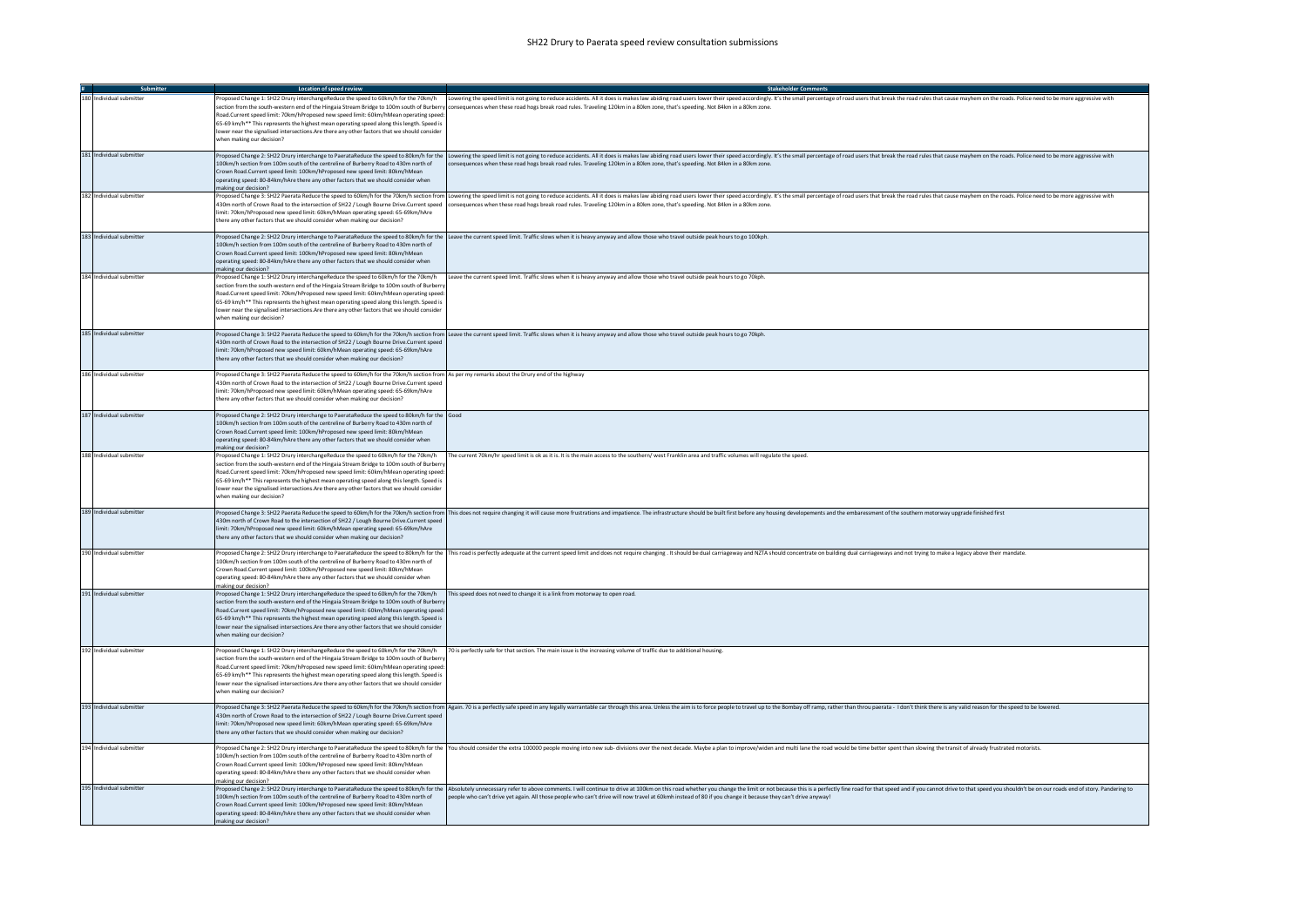| Submitter                | Location of speed review                                                                                                                                                                                                                                                                                                                                                                                                                                                                                                                                                      |                                                                                                                                                                                                                                                                                                                                                                                                                                                           |
|--------------------------|-------------------------------------------------------------------------------------------------------------------------------------------------------------------------------------------------------------------------------------------------------------------------------------------------------------------------------------------------------------------------------------------------------------------------------------------------------------------------------------------------------------------------------------------------------------------------------|-----------------------------------------------------------------------------------------------------------------------------------------------------------------------------------------------------------------------------------------------------------------------------------------------------------------------------------------------------------------------------------------------------------------------------------------------------------|
| 180 Individual submitter | Road.Current speed limit: 70km/hProposed new speed limit: 60km/hMean operating speed:<br>65-69 km/h** This represents the highest mean operating speed along this length. Speed is<br>lower near the signalised intersections.Are there any other factors that we should consider<br>when making our decision?                                                                                                                                                                                                                                                                | Proposed Change 1: SH22 Drury interchangeReduce the speed to 60km/h for the 70km/h wering the speed limit is not going to reduce accidents. All it does is makes law abiding road users lower their speed accordingly. It's th<br>section from the south-western end of the Hingaia Stream Bridge to 100m south of Burberry consequences when these road hogs break road rules. Traveling 120km in a 80km zone, that's speeding. Not 84km in a 80km zone. |
| 181 Individual submitter | 100km/h section from 100m south of the centreline of Burberry Road to 430m north of<br>Crown Road.Current speed limit: 100km/hProposed new speed limit: 80km/hMean<br>operating speed: 80-84km/hAre there any other factors that we should consider when<br>making our decision?                                                                                                                                                                                                                                                                                              | Proposed Change 2: SH22 Drury interchange to PaerataReduce the soeed to 80km/h for the lLowering the speed limit is not going to reduce accidents. All it does is makes law abiding road users lower their speed accordingly.<br>consequences when these road hogs break road rules. Traveling 120km in a 80km zone, that's speeding. Not 84km in a 80km zone                                                                                             |
| 182 Individual submitter | limit: 70km/hProposed new speed limit: 60km/hMean operating speed: 65-69km/hAre<br>there any other factors that we should consider when making our decision?                                                                                                                                                                                                                                                                                                                                                                                                                  | Proposed Change 3: SH22 Paerata Reduce the speed to 60km/h for the 70km/h section from   Lowering the speed limit is not going to reduce accidents. All it does is makes law abiding road users lower their speed accordingly.<br>430m north of Crown Road to the intersection of SH22 / Lough Bourne Drive.Current speed consequences when these road hogs break road rules. Traveling 120km in a 80km zone, that's speeding. Not 84km in a 80km zone.   |
| 183 Individual submitter | 100km/h section from 100m south of the centreline of Burberry Road to 430m north of<br>Crown Road.Current speed limit: 100km/hProposed new speed limit: 80km/hMean<br>operating speed: 80-84km/hAre there any other factors that we should consider when<br>making our decision?                                                                                                                                                                                                                                                                                              | Proposed Change 2: SH22 Drury interchange to PaerataReduce the speed to 80km/h for the Leave the current speed limit. Traffic slows when it is heavy anyway and allow those who travel outside peak hours to go 100kph.                                                                                                                                                                                                                                   |
| 184 Individual submitter | section from the south-western end of the Hingaia Stream Bridge to 100m south of Burberry<br>Road.Current speed limit: 70km/hProposed new speed limit: 60km/hMean operating speed:<br>65-69 km/h** This represents the highest mean operating speed along this length. Speed is<br>lower near the signalised intersections.Are there any other factors that we should consider<br>when making our decision?                                                                                                                                                                   | Proposed Change 1: SH22 Drury interchangeReduce the speed to 60km/h for the 70km/h leave the current speed limit. Traffic slows when it is heavy anyway and allow those who travel outside peak hours to go 70kph.                                                                                                                                                                                                                                        |
| 185 Individual submitter | 430m north of Crown Road to the intersection of SH22 / Lough Bourne Drive.Current speed<br>limit: 70km/hProposed new speed limit: 60km/hMean operating speed: 65-69km/hAre<br>there any other factors that we should consider when making our decision?                                                                                                                                                                                                                                                                                                                       | Proposed Change 3: SH22 Paerata Reduce the speed to 60km/h for the 70km/h section from Leave the current speed limit. Traffic slows when it is heavy anyway and allow those who travel outside peak hours to go 70kph.                                                                                                                                                                                                                                    |
| 186 Individual submitter | Proposed Change 3: SH22 Paerata Reduce the speed to 60km/h for the 70km/h section from As per my remarks about the Drury end of the highway<br>430m north of Crown Road to the intersection of SH22 / Lough Bourne Drive.Current speed<br>limit: 70km/hProposed new speed limit: 60km/hMean operating speed: 65-69km/hAre<br>there any other factors that we should consider when making our decision?                                                                                                                                                                        |                                                                                                                                                                                                                                                                                                                                                                                                                                                           |
| 187 Individual submitter | Proposed Change 2: SH22 Drury interchange to PaerataReduce the speed to 80km/h for the Good<br>100km/h section from 100m south of the centreline of Burberry Road to 430m north of<br>Crown Road.Current speed limit: 100km/hProposed new speed limit: 80km/hMean<br>operating speed: 80-84km/hAre there any other factors that we should consider when<br>making our decision?                                                                                                                                                                                               |                                                                                                                                                                                                                                                                                                                                                                                                                                                           |
| 188 Individual submitter | section from the south-western end of the Hingaia Stream Bridge to 100m south of Burberry<br>Road.Current speed limit: 70km/hProposed new speed limit: 60km/hMean operating speed:<br>65-69 km/h** This represents the highest mean operating speed along this length. Speed is<br>lower near the signalised intersections.Are there any other factors that we should consider<br>when making our decision?                                                                                                                                                                   | Proposed Change 1: SH22 Drury interchangeReduce the speed to 60km/h for the 70km/h The current 70km/hr speed limit is ok as it is. It is the main access to the southern/ west Franklin area and traffic volumes will regulate                                                                                                                                                                                                                            |
| 189 Individual submitter | 430m north of Crown Road to the intersection of SH22 / Lough Bourne Drive.Current speed<br>limit: 70km/hProposed new speed limit: 60km/hMean operating speed: 65-69km/hAre<br>there any other factors that we should consider when making our decision?                                                                                                                                                                                                                                                                                                                       | Proposed Change 3: SH22 Paerata Reduce the speed to 60km/h for the 70km/h section from   This does not require changing it will cause more frustrations and impatience. The infrastructure should be built first before any ho                                                                                                                                                                                                                            |
| 190 Individual submitter | 100km/h section from 100m south of the centreline of Burberry Road to 430m north of<br>Crown Road.Current speed limit: 100km/hProposed new speed limit: 80km/hMean<br>operating speed: 80-84km/hAre there any other factors that we should consider when<br>making our decision?                                                                                                                                                                                                                                                                                              | Proposed Change 2: SH22 Drury interchange to PaerataReduce the speed to 80km/h for the   This road is perfectly adequate at the current speed limit and does not require changing. It should be dual carriageway and NZTA shou                                                                                                                                                                                                                            |
| 191 Individual submitter | Proposed Change 1: SH22 Drury interchangeReduce the speed to 60km/h for the 70km/h This speed does not need to change it is a link from motorway to open road.<br>section from the south-western end of the Hingaia Stream Bridge to 100m south of Burberry<br>Road.Current speed limit: 70km/hProposed new speed limit: 60km/hMean operating speed:<br>65-69 km/h** This represents the highest mean operating speed along this length. Speed is<br>lower near the signalised intersections.Are there any other factors that we should consider<br>when making our decision? |                                                                                                                                                                                                                                                                                                                                                                                                                                                           |
| 192 Individual submitter | section from the south-western end of the Hingaia Stream Bridge to 100m south of Burberry<br>Road.Current speed limit: 70km/hProposed new speed limit: 60km/hMean operating speed:<br>65-69 km/h** This represents the highest mean operating speed along this length. Speed is<br>lower near the signalised intersections.Are there any other factors that we should consider<br>when making our decision?                                                                                                                                                                   | Proposed Change 1: SH22 Drury interchangeReduce the speed to 60km/h for the 70km/h 70 is perfectly safe for that section. The main issue is the increasing volume of traffic due to additional housing.                                                                                                                                                                                                                                                   |
| 193 Individual submitter | 430m north of Crown Road to the intersection of SH22 / Lough Bourne Drive.Current speed<br>limit: 70km/hProposed new speed limit: 60km/hMean operating speed: 65-69km/hAre<br>there any other factors that we should consider when making our decision?                                                                                                                                                                                                                                                                                                                       | Proposed Change 3: SH22 Paerata Reduce the speed to 60km/h for the 70km/h section from  Again. 70 is a perfectly safe speed in any legally warrantable car through this area. Unless the aim is to force people to travel up t                                                                                                                                                                                                                            |
| 194 Individual submitter | 100km/h section from 100m south of the centreline of Burberry Road to 430m north of<br>Crown Road.Current speed limit: 100km/hProposed new speed limit: 80km/hMean<br>operating speed: 80-84km/hAre there any other factors that we should consider when<br>making our decision?                                                                                                                                                                                                                                                                                              | Proposed Change 2: SH22 Drury interchange to PaerataReduce the speed to 80km/h for the You should consider the extra 100000 people moving into new sub-divisions over the next decade. Maybe a plan to improve/widen and multi                                                                                                                                                                                                                            |
| 195 Individual submitter | 100km/h section from 100m south of the centreline of Burberry Road to 430m north of<br>Crown Road.Current speed limit: 100km/hProposed new speed limit: 80km/hMean<br>operating speed: 80-84km/hAre there any other factors that we should consider when<br>naking our decision?                                                                                                                                                                                                                                                                                              | Proposed Change 2: SH22 Drury interchange to PaerataReduce the speed to 80km/h for the   Absolutely unnecessary refer to above comments. I will continue to drive at 100km on this road whether you change the limit or not be<br>people who can't drive yet again. All those people who can't drive will now travel at 60kmh instead of 80 if you change it because they can't drive anyway!                                                             |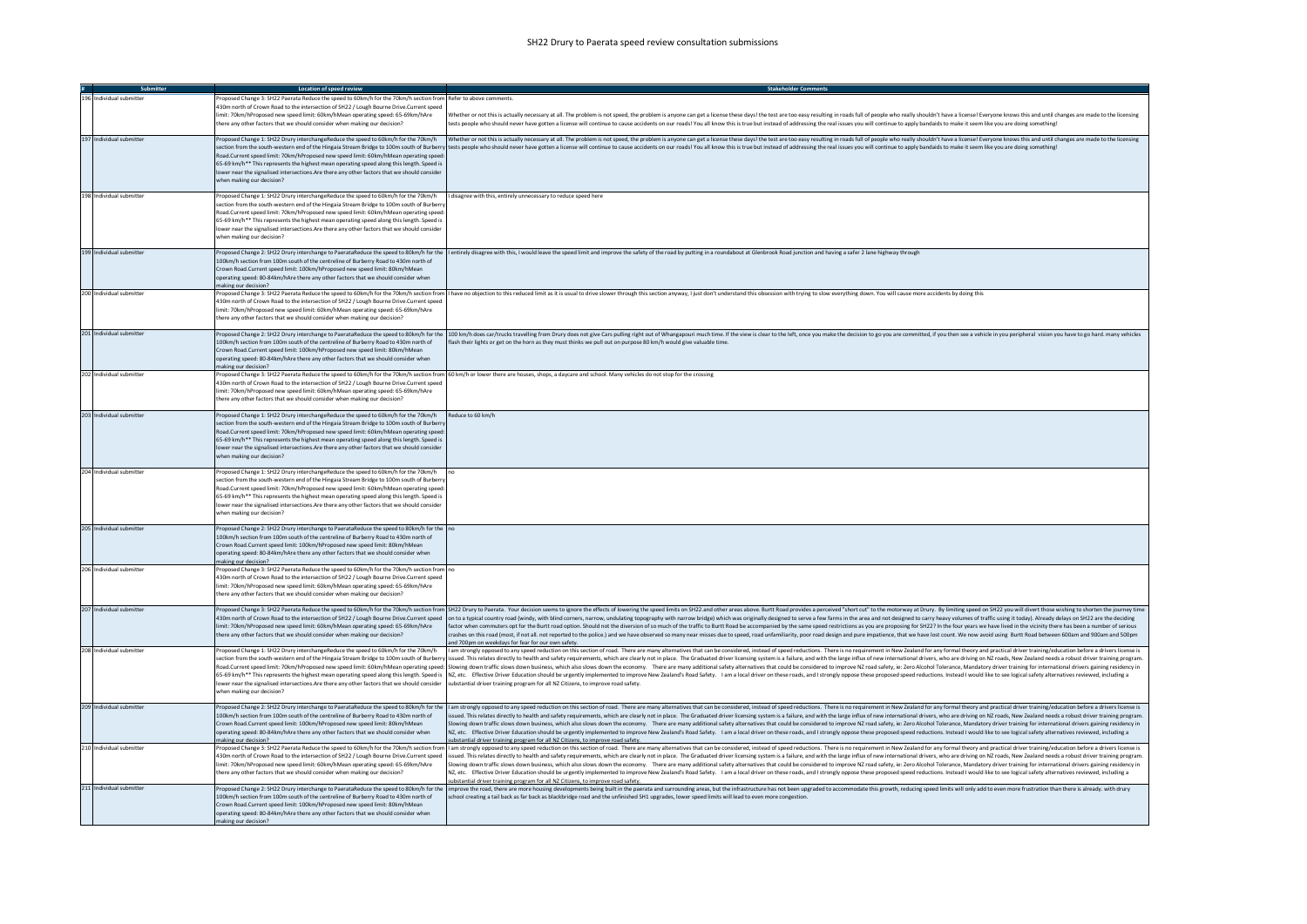| Submitter                | Location of speed review                                                                                                                                                                                                                                                                                                                                                                                                                                                                                                                                         |                                                                                                                                                                                                                                                                                                                                                                                                                                                                                                                                                                                                                                                                                                                                                                                                                                                                                                                                                                                                                          |
|--------------------------|------------------------------------------------------------------------------------------------------------------------------------------------------------------------------------------------------------------------------------------------------------------------------------------------------------------------------------------------------------------------------------------------------------------------------------------------------------------------------------------------------------------------------------------------------------------|--------------------------------------------------------------------------------------------------------------------------------------------------------------------------------------------------------------------------------------------------------------------------------------------------------------------------------------------------------------------------------------------------------------------------------------------------------------------------------------------------------------------------------------------------------------------------------------------------------------------------------------------------------------------------------------------------------------------------------------------------------------------------------------------------------------------------------------------------------------------------------------------------------------------------------------------------------------------------------------------------------------------------|
| 196 Individual submitter | Proposed Change 3: SH22 Paerata Reduce the speed to 60km/h for the 70km/h section from Refer to above comments<br>430m north of Crown Road to the intersection of SH22 / Lough Bourne Drive.Current speed<br>imit: 70km/hProposed new speed limit: 60km/hMean operating speed: 65-69km/hAre<br>there any other factors that we should consider when making our decision?                                                                                                                                                                                         | Whether or not this is actually necessary at all. The problem is not speed, the problem is anyone can get a license these days! the test are too easy resulting in roads full of people who really shouldn't have a license! E<br>tests people who should never have gotten a license will continue to cause accidents on our roads! You all know this is true but instead of addressing the real issues you will continue to apply bandaids to make it seem lik                                                                                                                                                                                                                                                                                                                                                                                                                                                                                                                                                         |
| 197 Individual submitter | Road.Current speed limit: 70km/hProposed new speed limit: 60km/hMean operating speed<br>65-69 km/h** This represents the highest mean operating speed along this length. Speed is<br>lower near the signalised intersections. Are there any other factors that we should consider<br>when making our decision?                                                                                                                                                                                                                                                   | Proposed Change 1: SH22 Drury interchangeReduce the speed to 60km/h for the 70km/h whether or not this is actually necessary at all. The problem is and append the problem is anyone can get a license these days! the test ar<br>section from the south-western end of the Hingaia Stream Bridge to 100m south of Burberry ltests people who should never have gotten a license will continue to cause accidents on our roads! You all know this is true but in                                                                                                                                                                                                                                                                                                                                                                                                                                                                                                                                                         |
| 198 Individual submitter | Proposed Change 1: SH22 Drury interchangeReduce the speed to 60km/h for the 70km/h I disagree with this, entirely unnecessary to reduce speed here<br>section from the south-western end of the Hingaia Stream Bridge to 100m south of Burber<br>Road.Current speed limit: 70km/hProposed new speed limit: 60km/hMean operating speed:<br>65-69 km/h** This represents the highest mean operating speed along this length. Speed is<br>lower near the signalised intersections. Are there any other factors that we should consider<br>when making our decision? |                                                                                                                                                                                                                                                                                                                                                                                                                                                                                                                                                                                                                                                                                                                                                                                                                                                                                                                                                                                                                          |
| 199 Individual submitter | 100km/h section from 100m south of the centreline of Burberry Road to 430m north of<br>Crown Road.Current speed limit: 100km/hProposed new speed limit: 80km/hMean<br>operating speed: 80-84km/hAre there any other factors that we should consider when<br>making our decision?                                                                                                                                                                                                                                                                                 | Proposed Change 2: SH22 Drury interchange to PaerataReduce the speed to 80km/h for the   entirely disagree with this, I would leave the speed limit and improve the safety of the road by putting in a roundabout at Glenbrook                                                                                                                                                                                                                                                                                                                                                                                                                                                                                                                                                                                                                                                                                                                                                                                           |
| 200 Individual submitter | 430m north of Crown Road to the intersection of SH22 / Lough Bourne Drive.Current speed<br>limit: 70km/hProposed new speed limit: 60km/hMean operating speed: 65-69km/hAre<br>there any other factors that we should consider when making our decision?                                                                                                                                                                                                                                                                                                          | Proposed Change 3: SH22 Paerata Reduce the speed to 60km/h for the 70km/h section from  I have no objection to this reduced limit as it is usual to drive slower through this section anyway, I just don't understand this obs                                                                                                                                                                                                                                                                                                                                                                                                                                                                                                                                                                                                                                                                                                                                                                                           |
| 201 Individual submitter | 100km/h section from 100m south of the centreline of Burberry Road to 430m north of<br>Crown Road.Current speed limit: 100km/hProposed new speed limit: 80km/hMean<br>operating speed: 80-84km/hAre there any other factors that we should consider when<br>making our decision?                                                                                                                                                                                                                                                                                 | Proposed Change 2: SH22 Drury interchange to PaerataReduce the speed to 80km/h for the 100 km/h does car/trucks travelling from Drury does not give Cars pulling right out of Whangapouri much time. If the view is clear to t<br>flash their lights or get on the horn as they must thinks we pull out on purpose 80 km/h would give valuable time.                                                                                                                                                                                                                                                                                                                                                                                                                                                                                                                                                                                                                                                                     |
| 202 Individual submitter | 430m north of Crown Road to the intersection of SH22 / Lough Bourne Drive.Current speed<br>limit: 70km/hProposed new speed limit: 60km/hMean operating speed: 65-69km/hAre<br>here any other factors that we should consider when making our decision?                                                                                                                                                                                                                                                                                                           | Proposed Change 3: SH22 Paerata Reduce the speed to 60km/h for the 70km/h section from 60 km/h or lower there are houses, shops, a daycare and school. Many vehicles do not stop for the crossing                                                                                                                                                                                                                                                                                                                                                                                                                                                                                                                                                                                                                                                                                                                                                                                                                        |
| 203 Individual submitter | Proposed Change 1: SH22 Drury interchangeReduce the speed to 60km/h for the 70km/h<br>section from the south-western end of the Hingaia Stream Bridge to 100m south of Burber<br>Road.Current speed limit: 70km/hProposed new speed limit: 60km/hMean operating speed:<br>65-69 km/h** This represents the highest mean operating speed along this length. Speed is<br>lower near the signalised intersections. Are there any other factors that we should consider<br>when making our decision?                                                                 | Reduce to 60 km/h                                                                                                                                                                                                                                                                                                                                                                                                                                                                                                                                                                                                                                                                                                                                                                                                                                                                                                                                                                                                        |
| 204 Individual submitter | Proposed Change 1: SH22 Drury interchangeReduce the speed to 60km/h for the 70km/h<br>section from the south-western end of the Hingaia Stream Bridge to 100m south of Burberry<br>Road.Current speed limit: 70km/hProposed new speed limit: 60km/hMean operating speed:<br>65-69 km/h** This represents the highest mean operating speed along this length. Speed is<br>lower near the signalised intersections. Are there any other factors that we should consider<br>when making our decision?                                                               |                                                                                                                                                                                                                                                                                                                                                                                                                                                                                                                                                                                                                                                                                                                                                                                                                                                                                                                                                                                                                          |
| 205 Individual submitter | Proposed Change 2: SH22 Drury interchange to PaerataReduce the speed to 80km/h for the no<br>100km/h section from 100m south of the centreline of Burberry Road to 430m north of<br>Crown Road Current speed limit: 100km/hProposed new speed limit: 80km/hMean<br>operating speed: 80-84km/hAre there any other factors that we should consider when<br>making our decision?                                                                                                                                                                                    |                                                                                                                                                                                                                                                                                                                                                                                                                                                                                                                                                                                                                                                                                                                                                                                                                                                                                                                                                                                                                          |
| 206 Individual submitter | Proposed Change 3: SH22 Paerata Reduce the speed to 60km/h for the 70km/h section from no<br>430m north of Crown Road to the intersection of SH22 / Lough Bourne Drive.Current speed<br>imit: 70km/hProposed new speed limit: 60km/hMean operating speed: 65-69km/hAre<br>there any other factors that we should consider when making our decision?                                                                                                                                                                                                              |                                                                                                                                                                                                                                                                                                                                                                                                                                                                                                                                                                                                                                                                                                                                                                                                                                                                                                                                                                                                                          |
| 207 Individual submitter | limit: 70km/hProposed new speed limit: 60km/hMean operating speed: 65-69km/hAre<br>there any other factors that we should consider when making our decision?                                                                                                                                                                                                                                                                                                                                                                                                     | Proposed Change 3: SH22 Paerata Reduce the speed to 60km/h for the 70km/h section from SH22 Drury to Paerata. Your decision seems to ignore the effects of lowering the speed limits on SH22.and other areas above. Buttt Road<br>430m north of Crown Road to the intersection of SH22 / Lough Bourne Drive.Current speed  on to a typical country road (windy, with blind corners, narrow, undulating topography with narrow bridge) which was originally desig<br>factor when commuters opt for the Burtt road option. Should not the diversion of so much of the traffic to Burtt Road be accompanied by the same speed restrictions as you are proposing for SH22? In the four years we have l<br>crashes on this road (most, if not all. not reported to the police.) and we have observed so many near misses due to speed, road unfamiliarity, poor road design and pure impatience, that we have lost count. We now avoid us<br>nd 700pm on weekdays for fear for our own safety.                                |
| 208 Individual submitter | Proposed Change 1: SH22 Drury interchangeReduce the speed to 60km/h for the 70km/h<br>section from the south-western end of the Hingaia Stream Bridge to 100m south of Burberry<br>lower near the signalised intersections. Are there any other factors that we should consider<br>when making our decision?                                                                                                                                                                                                                                                     | I am strongly opposed to any speed reduction on this section of road. There are many alternatives that can be considered, instead of speed reductions. There is no requirement in New Zealand for any formal theory and practi<br>issued. This relates directly to health and safety requirements, which are clearly not in place. The Graduated driver licensing system is a failure, and with the large influx of new international drivers, who are driving o<br>Road.Current speed limit: 70km/hProposed new speed limit: 60km/hMean operating speed: Slowing down traffic slows down business, which also slows down the economy. There are many additional safety alternatives that could be<br>65-69 km/h** This represents the highest mean operating speed along this length. Speed is   NZ, etc. Effective Driver Education should be urgently implemented to improve New Zealand's Road Safety. I am a local driver on th<br>substantial driver training program for all NZ Citizens, to improve road safety. |
| 209 Individual submitter | 100km/h section from 100m south of the centreline of Burberry Road to 430m north of<br>Crown Road.Current speed limit: 100km/hProposed new speed limit: 80km/hMean<br>operating speed: 80-84km/hAre there any other factors that we should consider when<br>making our decision?                                                                                                                                                                                                                                                                                 | Proposed Change 2: SH22 Drury interchange to PaerataReduce the speed to 80km/h for the  I am strongly opposed to any speed reduction on this section of road. There are many alternatives that can be considered, instead of s<br>ssued. This relates directly to health and safety requirements, which are clearly not in place. The Graduated driver licensing system is a failure, and with the large influx of new international drivers, who are driving on<br>Slowing down traffic slows down business, which also slows down the economy. There are many additional safety alternatives that could be considered to improve NZ road safety, ie: Zero Alcohol Tolerance, Mandatory driver tr<br>NZ, etc. Effective Driver Education should be urgently implemented to improve New Zealand's Road Safety. I am a local driver on these roads, and I strongly oppose these proposed speed reductions. Instead I would like to se<br>ubstantial driver training program for all NZ Citizens, to improve road safety.  |
| 210 Individual submitter | 430m north of Crown Road to the intersection of SH22 / Lough Bourne Drive.Current speed<br>limit: 70km/hProposed new speed limit: 60km/hMean operating speed: 65-69km/hAre<br>here any other factors that we should consider when making our decision?                                                                                                                                                                                                                                                                                                           | roposed Change 3: SH22 Paerata Reduce the speed to 60km/h for the 70km/h section from   I am strongly opposed to any speed reduction on this section of road. There are many alternatives that can be considered, instead of s<br>issued. This relates directly to health and safety requirements, which are clearly not in place. The Graduated driver licensing system is a failure, and with the large influx of new international drivers, who are driving o<br>Slowing down traffic slows down business, which also slows down the economy. There are many additional safety alternatives that could be considered to improve NZ road safety, ie: Zero Alcohol Tolerance, Mandatory driver tr<br>NZ, etc. Effective Driver Education should be urgently implemented to improve New Zealand's Road Safety. I am a local driver on these roads, and I strongly oppose these proposed speed reductions. Instead I would like to se<br>substantial driver training program for all NZ Citizens, to improve road safety. |
| 211 Individual submitter | Proposed Change 2: SH22 Drury interchange to PaerataReduce the speed to 80km/h for the<br>100km/h section from 100m south of the centreline of Burberry Road to 430m north of<br>Crown Road.Current speed limit: 100km/hProposed new speed limit: 80km/hMean<br>operating speed: 80-84km/hAre there any other factors that we should consider when<br>making our decision?                                                                                                                                                                                       | mprove the road, there are more housing developments being built in the paerata and surrounding areas, but the infrastructure has not been upgraded to accommodate this growth, reducing speed limits will only add to even mo<br>school creating a tail back as far back as blackbridge road and the unfinished SH1 upgrades, lower speed limits will lead to even more congestion.                                                                                                                                                                                                                                                                                                                                                                                                                                                                                                                                                                                                                                     |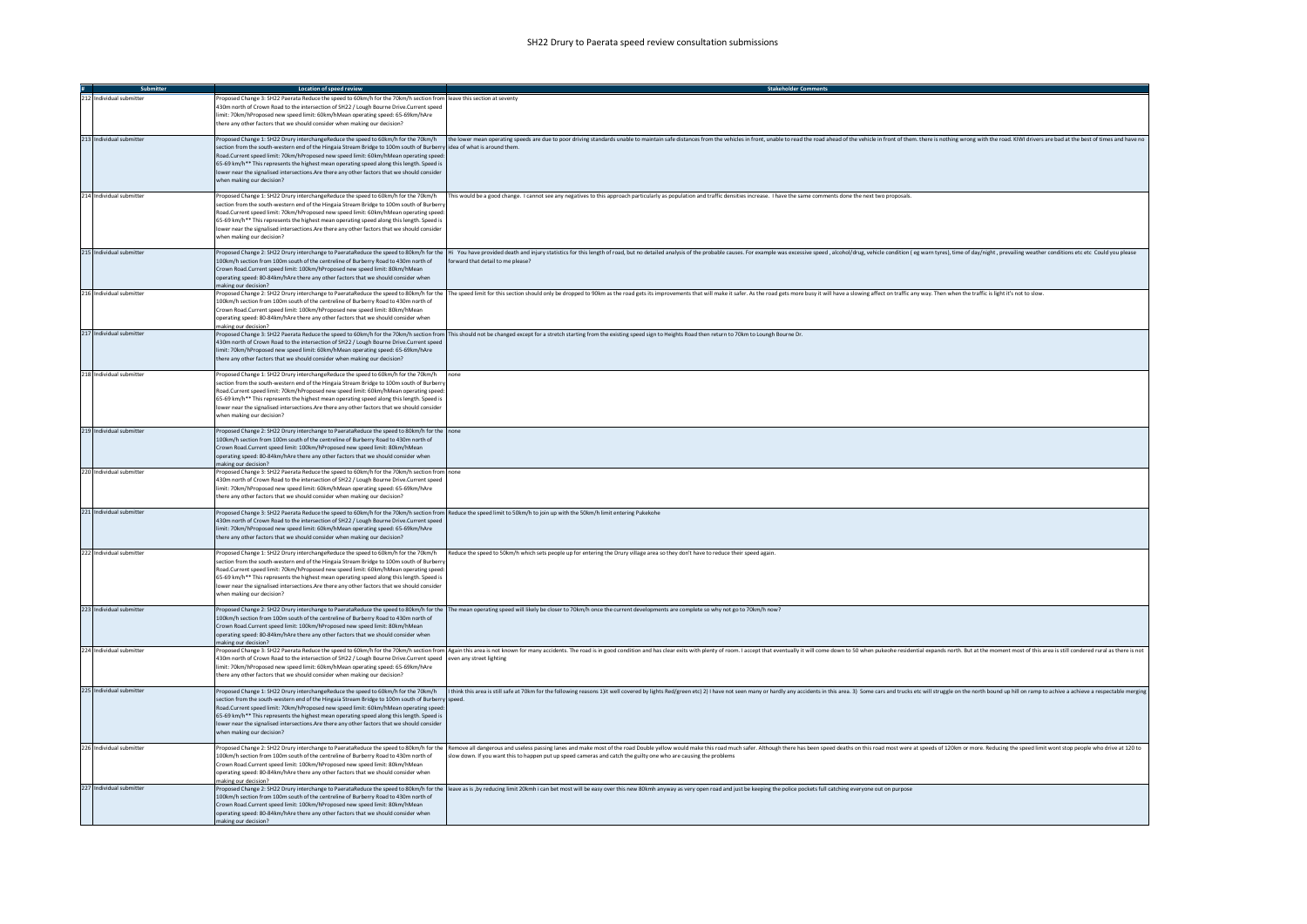| Submitter                | Location of speed review                                                                                                                                                                                                                                                                                                                                                                                                                                                                          | <b>Stakeholder Com</b>                                                                                                                                                                                                                                                                                                                            |
|--------------------------|---------------------------------------------------------------------------------------------------------------------------------------------------------------------------------------------------------------------------------------------------------------------------------------------------------------------------------------------------------------------------------------------------------------------------------------------------------------------------------------------------|---------------------------------------------------------------------------------------------------------------------------------------------------------------------------------------------------------------------------------------------------------------------------------------------------------------------------------------------------|
| 212 Individual submitter | Proposed Change 3: SH22 Paerata Reduce the speed to 60km/h for the 70km/h section from leave this section at seventy<br>430m north of Crown Road to the intersection of SH22 / Lough Bourne Drive.Current speed<br>imit: 70km/hProposed new speed limit: 60km/hMean operating speed: 65-69km/hAre<br>there any other factors that we should consider when making our decision?                                                                                                                    |                                                                                                                                                                                                                                                                                                                                                   |
| 213 Individual submitter | section from the south-western end of the Hingaia Stream Bridge to 100m south of Burberry idea of what is around them.<br>Road.Current speed limit: 70km/hProposed new speed limit: 60km/hMean operating speed:<br>65-69 km/h** This represents the highest mean operating speed along this length. Speed is<br>lower near the signalised intersections.Are there any other factors that we should consider<br>when making our decision?                                                          | Proposed Change 1: SH22 Drury interchangeReduce the speed to 60km/h for the 70km/h the 10km/h the lower mean operating speeds are due to poor driving standards unable to maintain safe distances from the vehicles in front,                                                                                                                     |
| 214 Individual submitter | section from the south-western end of the Hingaia Stream Bridge to 100m south of Burbern<br>Road.Current speed limit: 70km/hProposed new speed limit: 60km/hMean operating speed:<br>65-69 km/h** This represents the highest mean operating speed along this length. Speed is<br>lower near the signalised intersections.Are there any other factors that we should consider<br>when making our decision?                                                                                        | Proposed Change 1: SH22 Drury interchangeReduce the speed to 60km/h for the 70km/h   This would be a good change. I cannot see any negatives to this approach particularly as population and traffic densities increase. I hav                                                                                                                    |
| 215 Individual submitter | 100km/h section from 100m south of the centreline of Burberry Road to 430m north of<br>Crown Road.Current speed limit: 100km/hProposed new speed limit: 80km/hMean<br>operating speed: 80-84km/hAre there any other factors that we should consider when<br>making our decision?                                                                                                                                                                                                                  | Proposed Change 2: SH22 Drury interchange to PaerataReduce the speed to 80km/h for the  Hi You have provided death and injury statistics for this length of road, but no detailed analysis of the probable causes. For example<br>forward that detail to me please?                                                                               |
| 216 Individual submitter | 100km/h section from 100m south of the centreline of Burberry Road to 430m north of<br>Crown Road.Current speed limit: 100km/hProposed new speed limit: 80km/hMean<br>operating speed: 80-84km/hAre there any other factors that we should consider when<br>making our decision?                                                                                                                                                                                                                  | Proposed Change 2: SH22 Drury interchange to PaerataReduce the speed to 80km/h for the The speed limit for this section should only be dropped to 90km as the road gets its improvements that will make it safer. As the road                                                                                                                     |
| 217 Individual submitter | 430m north of Crown Road to the intersection of SH22 / Lough Bourne Drive.Current speed<br>limit: 70km/hProposed new speed limit: 60km/hMean operating speed: 65-69km/hAre<br>there any other factors that we should consider when making our decision?                                                                                                                                                                                                                                           | Proposed Change 3: SH22 Paerata Reduce the speed to 60km/h for the 70km/h section from This should not be changed except for a stretch starting from the existing speed sign to Heights Road then return to 70km to Loungh Bou                                                                                                                    |
| 218 Individual submitter | Proposed Change 1: SH22 Drury interchangeReduce the speed to 60km/h for the 70km/h<br>section from the south-western end of the Hingaia Stream Bridge to 100m south of Burbern<br>Road.Current speed limit: 70km/hProposed new speed limit: 60km/hMean operating speed:<br>65-69 km/h** This represents the highest mean operating speed along this length. Speed is<br>lower near the signalised intersections. Are there any other factors that we should consider<br>when making our decision? |                                                                                                                                                                                                                                                                                                                                                   |
| 219 Individual submitter | Proposed Change 2: SH22 Drury interchange to PaerataReduce the speed to 80km/h for the none<br>100km/h section from 100m south of the centreline of Burberry Road to 430m north of<br>Crown Road.Current speed limit: 100km/hProposed new speed limit: 80km/hMean<br>operating speed: 80-84km/hAre there any other factors that we should consider when<br>making our decision?                                                                                                                   |                                                                                                                                                                                                                                                                                                                                                   |
| 220 Individual submitter | Proposed Change 3: SH22 Paerata Reduce the speed to 60km/h for the 70km/h section from none<br>430m north of Crown Road to the intersection of SH22 / Lough Bourne Drive.Current speed<br>limit: 70km/hProposed new speed limit: 60km/hMean operating speed: 65-69km/hAre<br>there any other factors that we should consider when making our decision?                                                                                                                                            |                                                                                                                                                                                                                                                                                                                                                   |
| 221 Individual submitter | Proposed Change 3: SH22 Paerata Reduce the speed to 60km/h for the 70km/h section from Reduce the speed limit to 50km/h to join up with the 50km/h limit entering Pukekohe<br>430m north of Crown Road to the intersection of SH22 / Lough Bourne Drive.Current speed<br>limit: 70km/hProposed new speed limit: 60km/hMean operating speed: 65-69km/hAre<br>there any other factors that we should consider when making our decision?                                                             |                                                                                                                                                                                                                                                                                                                                                   |
| 222 Individual submitter | section from the south-western end of the Hingaia Stream Bridge to 100m south of Burbern<br>Road.Current speed limit: 70km/hProposed new speed limit: 60km/hMean operating speed:<br>65-69 km/h** This represents the highest mean operating speed along this length. Speed is<br>lower near the signalised intersections.Are there any other factors that we should consider<br>when making our decision?                                                                                        | Proposed Change 1: SH22 Drury interchangeReduce the speed to 60km/h for the 70km/h Reduce the speed to 50km/h which sets people up for entering the Drury village area so they don't have to reduce their speed again.                                                                                                                            |
| 223 Individual submitter | 100km/h section from 100m south of the centreline of Burberry Road to 430m north of<br>Crown Road.Current speed limit: 100km/hProposed new speed limit: 80km/hMean<br>operating speed: 80-84km/hAre there any other factors that we should consider when<br>making our decision?                                                                                                                                                                                                                  | Proposed Change 2: SH22 Drury interchange to PaerataReduce the speed to 80km/h for the The mean operating speed will likely be closer to 70km/h once the current developments are complete so why not go to 70km/h now?                                                                                                                           |
| 224 Individual submitter | 430m north of Crown Road to the intersection of SH22 / Lough Bourne Drive.Current speed even any street lighting<br>imit: 70km/hProposed new speed limit: 60km/hMean operating speed: 65-69km/hAre<br>there any other factors that we should consider when making our decision?                                                                                                                                                                                                                   | Proposed Change 3: SH22 Paerata Reduce the speed to 60km/h for the 70km/h section from Again this area is not known for many accidents. The road is in good condition and has clear exits with plenty of room. I accept that e                                                                                                                    |
| 225 Individual submitter | section from the south-western end of the Hingaia Stream Bridge to 100m south of Burberry speed.<br>Road.Current speed limit: 70km/hProposed new speed limit: 60km/hMean operating speed:<br>65-69 km/h** This represents the highest mean operating speed along this length. Speed is<br>lower near the signalised intersections.Are there any other factors that we should consider<br>when making our decision?                                                                                | Proposed Change 1: SH22 Drury interchangeReduce the speed to 60km/h for the 70km/h (Ithink this area is still safe at 70km for the following reasons 1)it well covered by lights Red/green etc) 2) I have not seen many or har                                                                                                                    |
| 226 Individual submitter | 100km/h section from 100m south of the centreline of Burberry Road to 430m north of<br>Crown Road.Current speed limit: 100km/hProposed new speed limit: 80km/hMean<br>operating speed: 80-84km/hAre there any other factors that we should consider when<br>making our decision?                                                                                                                                                                                                                  | Proposed Change 2: SH22 Drury interchange to PaerataReduce the speed to 80km/h for the Remove all dangerous and useless passing lanes and make most of the road Double yellow would make this road much safer. Although there<br>slow down. If you want this to happen put up speed cameras and catch the guilty one who are causing the problems |
| 227 Individual submitter | 100km/h section from 100m south of the centreline of Burberry Road to 430m north of<br>Crown Road.Current speed limit: 100km/hProposed new speed limit: 80km/hMean<br>operating speed: 80-84km/hAre there any other factors that we should consider when<br>aking our decision?                                                                                                                                                                                                                   | Proposed Change 2: SH22 Drury interchange to PaerataReduce the speed to 80km/h for the  leave as is, by reducing limit 20kmh i can bet most will be easy over this new 80kmh anyway as very open road and just be keeping the                                                                                                                     |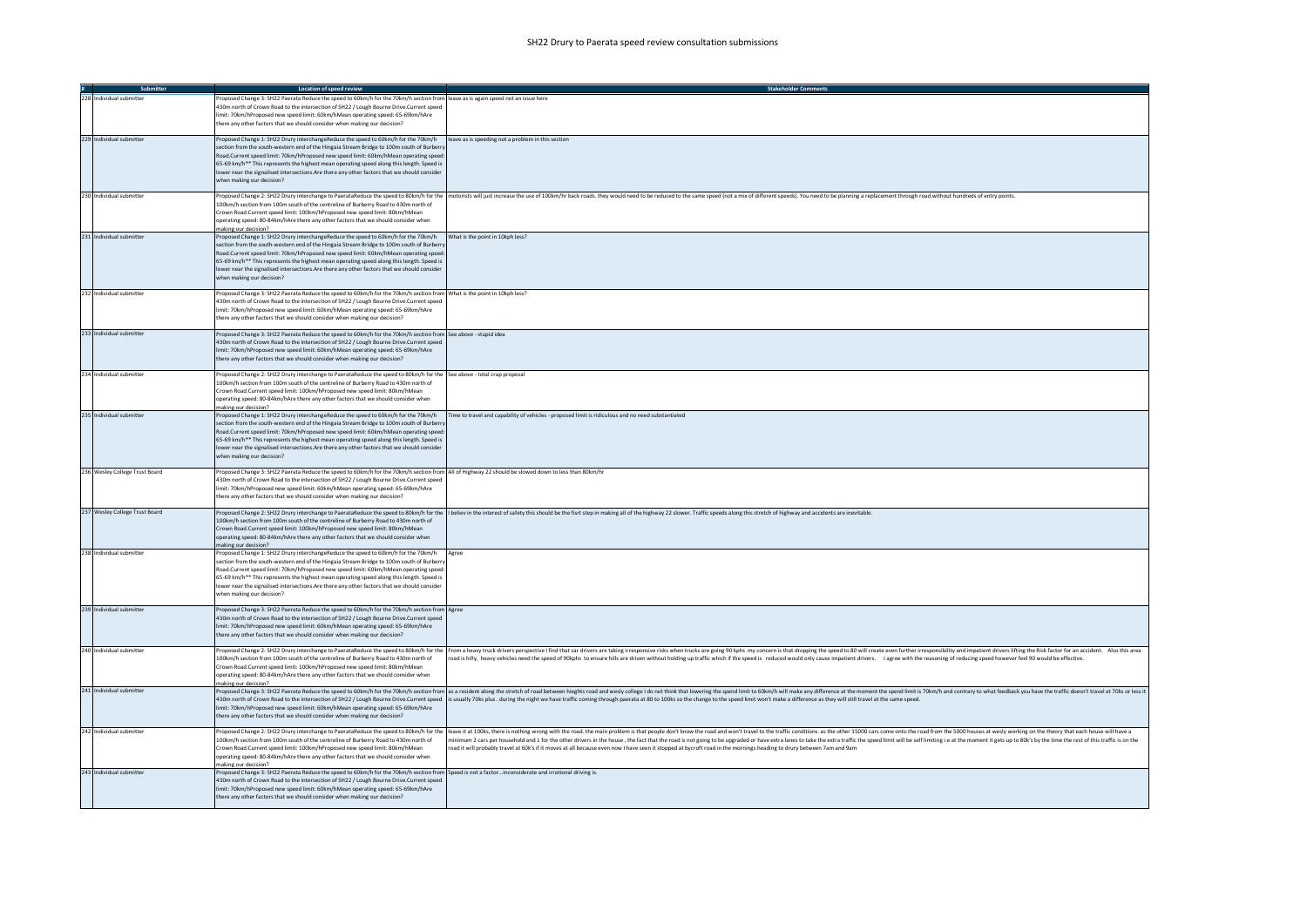|                                | Location of speed review                                                                                                                                                                                                                                                                                                                                                                                                                                                                                                           | <b>Stakeholder Comments</b>                                                                                                                                                                                                                                                                                                                                                                                                                                                                                                                                                                                                               |
|--------------------------------|------------------------------------------------------------------------------------------------------------------------------------------------------------------------------------------------------------------------------------------------------------------------------------------------------------------------------------------------------------------------------------------------------------------------------------------------------------------------------------------------------------------------------------|-------------------------------------------------------------------------------------------------------------------------------------------------------------------------------------------------------------------------------------------------------------------------------------------------------------------------------------------------------------------------------------------------------------------------------------------------------------------------------------------------------------------------------------------------------------------------------------------------------------------------------------------|
| 228 Individual submitte        | Proposed Change 3: SH22 Paerata Reduce the speed to 60km/h for the 70km/h section from leave as is again speed not an issue here<br>430m north of Crown Road to the intersection of SH22 / Lough Bourne Drive.Current speed<br>imit: 70km/hProposed new speed limit: 60km/hMean operating speed: 65-69km/hAre<br>there any other factors that we should consider when making our decision?                                                                                                                                         |                                                                                                                                                                                                                                                                                                                                                                                                                                                                                                                                                                                                                                           |
| 229 Individual submitter       | Proposed Change 1: SH22 Drury interchangeReduce the speed to 60km/h for the 70km/h<br>section from the south-western end of the Hingaia Stream Bridge to 100m south of Burbern<br>Road.Current speed limit: 70km/hProposed new speed limit: 60km/hMean operating speed<br>65-69 km/h** This represents the highest mean operating speed along this length. Speed is<br>lower near the signalised intersections. Are there any other factors that we should consider<br>when making our decision?                                   | leave as is speeding not a problem in this section                                                                                                                                                                                                                                                                                                                                                                                                                                                                                                                                                                                        |
| 230 Individual submitter       | 100km/h section from 100m south of the centreline of Burberry Road to 430m north of<br>Crown Road.Current speed limit: 100km/hProposed new speed limit: 80km/hMean<br>operating speed: 80-84km/hAre there any other factors that we should consider when<br>making our decision?                                                                                                                                                                                                                                                   | Proposed Change 2: SH22 Drury interchange to PaerataReduce the speed to 80km/h for the  motorists will just increase the use of 100km/hr back roads. they would need to be reduced to the same speed (not a mix of different s                                                                                                                                                                                                                                                                                                                                                                                                            |
| 231 Individual submitter       | Proposed Change 1: SH22 Drury interchangeReduce the speed to 60km/h for the 70km/h What is the point in 10kph less?<br>section from the south-western end of the Hingaia Stream Bridge to 100m south of Burbern<br>Road.Current speed limit: 70km/hProposed new speed limit: 60km/hMean operating speed:<br>65-69 km/h** This represents the highest mean operating speed along this length. Speed is<br>lower near the signalised intersections. Are there any other factors that we should consider<br>when making our decision? |                                                                                                                                                                                                                                                                                                                                                                                                                                                                                                                                                                                                                                           |
| 232 Individual submitter       | Proposed Change 3: SH22 Paerata Reduce the speed to 60km/h for the 70km/h section from What is the point in 10kph less?<br>430m north of Crown Road to the intersection of SH22 / Lough Bourne Drive.Current speed<br>limit: 70km/hProposed new speed limit: 60km/hMean operating speed: 65-69km/hAre<br>there any other factors that we should consider when making our decision?                                                                                                                                                 |                                                                                                                                                                                                                                                                                                                                                                                                                                                                                                                                                                                                                                           |
| 233 Individual submitter       | Proposed Change 3: SH22 Paerata Reduce the speed to 60km/h for the 70km/h section from See above - stupid idea<br>430m north of Crown Road to the intersection of SH22 / Lough Bourne Drive.Current speed<br>limit: 70km/hProposed new speed limit: 60km/hMean operating speed: 65-69km/hAre<br>there any other factors that we should consider when making our decision?                                                                                                                                                          |                                                                                                                                                                                                                                                                                                                                                                                                                                                                                                                                                                                                                                           |
| 234 Individual submitter       | Proposed Change 2: SH22 Drury interchange to PaerataReduce the speed to 80km/h for the See above - total crap proposal<br>100km/h section from 100m south of the centreline of Burberry Road to 430m north of<br>Crown Road.Current speed limit: 100km/hProposed new speed limit: 80km/hMean<br>operating speed: 80-84km/hAre there any other factors that we should consider when<br>making our decision?                                                                                                                         |                                                                                                                                                                                                                                                                                                                                                                                                                                                                                                                                                                                                                                           |
| 235 Individual submitter       | Proposed Change 1: SH22 Drury interchangeReduce the speed to 60km/h for the 70km/h<br>section from the south-western end of the Hingaia Stream Bridge to 100m south of Burberry<br>Road.Current speed limit: 70km/hProposed new speed limit: 60km/hMean operating speed:<br>65-69 km/h** This represents the highest mean operating speed along this length. Speed is<br>lower near the signalised intersections. Are there any other factors that we should consider<br>when making our decision?                                 | Time to travel and capability of vehicles - proposed limit is ridiculous and no need substantiated                                                                                                                                                                                                                                                                                                                                                                                                                                                                                                                                        |
| 236 Wesley College Trust Board | Proposed Change 3: SH22 Paerata Reduce the speed to 60km/h for the 70km/h section from All of Highway 22 should be slowed down to less than 80km/hr<br>430m north of Crown Road to the intersection of SH22 / Lough Bourne Drive.Current speed<br>limit: 70km/hProposed new speed limit: 60km/hMean operating speed: 65-69km/hAre<br>there any other factors that we should consider when making our decision?                                                                                                                     |                                                                                                                                                                                                                                                                                                                                                                                                                                                                                                                                                                                                                                           |
| 237 Wesley College Trust Board | 100km/h section from 100m south of the centreline of Burberry Road to 430m north of<br>Crown Road.Current speed limit: 100km/hProposed new speed limit: 80km/hMean<br>operating speed: 80-84km/hAre there any other factors that we should consider when<br>making our decision?                                                                                                                                                                                                                                                   | Proposed Change 2: SH22 Drury interchange to PaerataReduce the speed to 80km/h for the  I believ in the interest of safety this should be the fisrt step in making all of the highway 22 slower. Traffic speeds along this str                                                                                                                                                                                                                                                                                                                                                                                                            |
| 238 Individual submitter       | Proposed Change 1: SH22 Drury interchangeReduce the speed to 60km/h for the 70km/h<br>section from the south-western end of the Hingaia Stream Bridge to 100m south of Burbern<br>Road.Current speed limit: 70km/hProposed new speed limit: 60km/hMean operating speed:<br>65-69 km/h** This represents the highest mean operating speed along this length. Speed is<br>lower near the signalised intersections.Are there any other factors that we should consider<br>when making our decision?                                   | Agree                                                                                                                                                                                                                                                                                                                                                                                                                                                                                                                                                                                                                                     |
| 239 Individual submitter       | Proposed Change 3: SH22 Paerata Reduce the speed to 60km/h for the 70km/h section from Agree<br>430m north of Crown Road to the intersection of SH22 / Lough Bourne Drive.Current speed<br>limit: 70km/hProposed new speed limit: 60km/hMean operating speed: 65-69km/hAre<br>there any other factors that we should consider when making our decision?                                                                                                                                                                            |                                                                                                                                                                                                                                                                                                                                                                                                                                                                                                                                                                                                                                           |
| 240 Individual submitter       | 100km/h section from 100m south of the centreline of Burberry Road to 430m north of<br>Crown Road.Current speed limit: 100km/hProposed new speed limit: 80km/hMean<br>operating speed: 80-84km/hAre there any other factors that we should consider when<br>making our decision?                                                                                                                                                                                                                                                   | Proposed Change 2: SH22 Drury interchange to PaerataReduce the speed to 80km/h for the From a heavy truck drivers perspective I find that car drivers are taking irresponsive risks when trucks are going 90 kphs my concern i<br>road is hilly, heavy vehicles need the speed of 90kohs to ensure hills are driven without holding up traffic which if the speed is reduced would only cause impatient drivers. I agree with the reasoning of reducing speed ho                                                                                                                                                                          |
| 241 Individual submitter       | 430m north of Crown Road to the intersection of SH22 / Lough Bourne Drive.Current speed<br>limit: 70km/hProposed new speed limit: 60km/hMean operating speed: 65-69km/hAre<br>there any other factors that we should consider when making our decision?                                                                                                                                                                                                                                                                            | Proposed Change 3: SH22 Paerata Reduce the speed to 60km/h for the 70km/h section from as a resident along the stretch of road between hieghts road and wesly college I do not think that lowering the spend limit to 60km/h w<br>is usually 70ks plus . during the night we have traffic coming through paerata at 80 to 100ks so the change to the speed limit won't make a difference as they will still travel at the same speed.                                                                                                                                                                                                     |
| 242 Individual submitter       | 100km/h section from 100m south of the centreline of Burberry Road to 430m north of<br>Crown Road.Current speed limit: 100km/hProposed new speed limit: 80km/hMean<br>operating speed: 80-84km/hAre there any other factors that we should consider when<br>making our decision?                                                                                                                                                                                                                                                   | Proposed Change 2: SH22 Drury interchange to PaerataReduce the speed to 80km/h for the  leave it at 100ks, there is nothing wrong with the road. the main problem is that people don't know the road and won't travel to the t<br>minimum 2 cars per household and 1 for the other drivers in the house, the fact that the road is not going to be upgraded or have extra lanes to take the extra faffit the speed limit will be self limiting i.e at the moment<br>road it will probably travel at 60k's if it moves at all because even now I have seen it stopped at bycroft road in the mornings heading to drury between 7am and 9am |
| 243 Individual submitter       | Proposed Change 3: SH22 Paerata Reduce the speed to 60km/h for the 70km/h section from Speed is not a factorinconsiderate and irrational driving is.<br>430m north of Crown Road to the intersection of SH22 / Lough Bourne Drive.Current speed<br>limit: 70km/hProposed new speed limit: 60km/hMean operating speed: 65-69km/hAre<br>there any other factors that we should consider when making our decision?                                                                                                                    |                                                                                                                                                                                                                                                                                                                                                                                                                                                                                                                                                                                                                                           |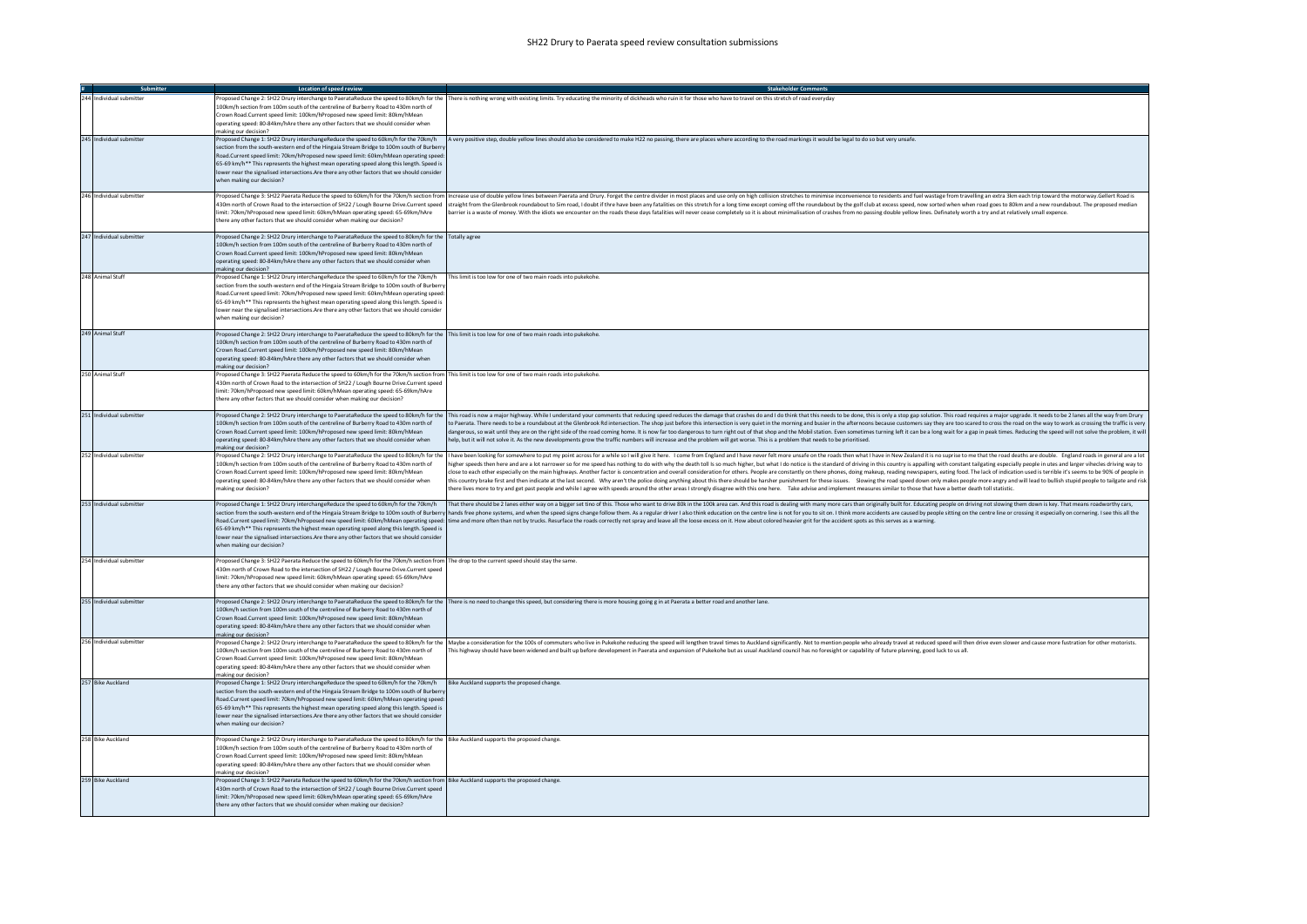|                          | Location of speed review                                                                                                                                                                                                                                                                                                                                                                                                                                                                          |                                                                                                                                                                                                                                                                                                                                                                                                                                                                                                                                                                                                                                                                                                                                                                                                                                                                                                                                                                                                                                                                                                                                                                       |
|--------------------------|---------------------------------------------------------------------------------------------------------------------------------------------------------------------------------------------------------------------------------------------------------------------------------------------------------------------------------------------------------------------------------------------------------------------------------------------------------------------------------------------------|-----------------------------------------------------------------------------------------------------------------------------------------------------------------------------------------------------------------------------------------------------------------------------------------------------------------------------------------------------------------------------------------------------------------------------------------------------------------------------------------------------------------------------------------------------------------------------------------------------------------------------------------------------------------------------------------------------------------------------------------------------------------------------------------------------------------------------------------------------------------------------------------------------------------------------------------------------------------------------------------------------------------------------------------------------------------------------------------------------------------------------------------------------------------------|
| 244 Individual submitter | 100km/h section from 100m south of the centreline of Burberry Road to 430m north of<br>Crown Road.Current speed limit: 100km/hProposed new speed limit: 80km/hMean<br>operating speed: 80-84km/hAre there any other factors that we should consider when<br>making our decision?                                                                                                                                                                                                                  | Proposed Change 2: SH22 Drury interchange to PaerataReduce the speed to 80km/h for the There is nothing wrong with existing limits. Try educating the minority of dickheads who ruin it for those who have to travel on this s                                                                                                                                                                                                                                                                                                                                                                                                                                                                                                                                                                                                                                                                                                                                                                                                                                                                                                                                        |
| 245 Individual submitter | Proposed Change 1: SH22 Drury interchangeReduce the speed to 60km/h for the 70km/h<br>section from the south-western end of the Hingaia Stream Bridge to 100m south of Burberr<br>Road.Current speed limit: 70km/hProposed new speed limit: 60km/hMean operating speed:<br>65-69 km/h** This represents the highest mean operating speed along this length. Speed is<br>lower near the signalised intersections.Are there any other factors that we should consider<br>when making our decision?  | A very positive step, double yellow lines should also be considered to make H22 no passing, there are places where according to the road markings it would be legal to do so but very unsafe.                                                                                                                                                                                                                                                                                                                                                                                                                                                                                                                                                                                                                                                                                                                                                                                                                                                                                                                                                                         |
| 246 Individual submitter | limit: 70km/hProposed new speed limit: 60km/hMean operating speed: 65-69km/hAre<br>there any other factors that we should consider when making our decision?                                                                                                                                                                                                                                                                                                                                      | Proposed Change 3: SH22 Paerata Reduce the speed to 60km/h for the 70km/h section from  Increase use of double vellow lines between Paerata and Drury. Forget the centre divider in most places and use only on high collision<br>430m north of Crown Road to the intersection of SH22 / Lough Bourne Drive.Current speed  straight from the Glenbrook roundabout to Sim road, I doubt if thre have been any fatalities on this stretch for a long time except c<br>arrier is a waste of money. With the idiots we encounter on the roads these days fatalities will never cease completely so it is about minimalisation of crashes from no passing double yellow lines. Definately worth a try a                                                                                                                                                                                                                                                                                                                                                                                                                                                                    |
| 247 Individual submitter | Proposed Change 2: SH22 Drury interchange to PaerataReduce the speed to 80km/h for the Totally agree<br>100km/h section from 100m south of the centreline of Burberry Road to 430m north of<br>Crown Road.Current speed limit: 100km/hProposed new speed limit: 80km/hMean<br>operating speed: 80-84km/hAre there any other factors that we should consider when<br>making our decision?                                                                                                          |                                                                                                                                                                                                                                                                                                                                                                                                                                                                                                                                                                                                                                                                                                                                                                                                                                                                                                                                                                                                                                                                                                                                                                       |
| 248 Animal Stuff         | Proposed Change 1: SH22 Drury interchangeReduce the speed to 60km/h for the 70km/h<br>section from the south-western end of the Hingaia Stream Bridge to 100m south of Burberr<br>Road.Current speed limit: 70km/hProposed new speed limit: 60km/hMean operating speed:<br>65-69 km/h** This represents the highest mean operating speed along this length. Speed is<br>lower near the signalised intersections. Are there any other factors that we should consider<br>when making our decision? | This limit is too low for one of two main roads into pukekohe.                                                                                                                                                                                                                                                                                                                                                                                                                                                                                                                                                                                                                                                                                                                                                                                                                                                                                                                                                                                                                                                                                                        |
| 249 Animal Stuff         | Proposed Change 2: SH22 Drury interchange to PaerataReduce the speed to 80km/h for the This limit is too low for one of two main roads into pukekohe.<br>100km/h section from 100m south of the centreline of Burberry Road to 430m north of<br>Crown Road.Current speed limit: 100km/hProposed new speed limit: 80km/hMean<br>operating speed: 80-84km/hAre there any other factors that we should consider when<br>making our decision?                                                         |                                                                                                                                                                                                                                                                                                                                                                                                                                                                                                                                                                                                                                                                                                                                                                                                                                                                                                                                                                                                                                                                                                                                                                       |
| 250 Animal Stuf          | Proposed Change 3: SH22 Paerata Reduce the speed to 60km/h for the 70km/h section from This limit is too low for one of two main roads into pukekohe.<br>430m north of Crown Road to the intersection of SH22 / Lough Bourne Drive.Current speed<br>limit: 70km/hProposed new speed limit: 60km/hMean operating speed: 65-69km/hAre<br>there any other factors that we should consider when making our decision?                                                                                  |                                                                                                                                                                                                                                                                                                                                                                                                                                                                                                                                                                                                                                                                                                                                                                                                                                                                                                                                                                                                                                                                                                                                                                       |
| 251 Individual submitter | 100km/h section from 100m south of the centreline of Burberry Road to 430m north of<br>Crown Road.Current speed limit: 100km/hProposed new speed limit: 80km/hMean<br>operating speed: 80-84km/hAre there any other factors that we should consider when<br>naking our decision?                                                                                                                                                                                                                  | Proposed Change 2: SH22 Drury interchange to PaerataReduce the speed to 80km/h for the  This road is now a major highway. While I understand your comments that reducing speed reduces the damage that crashes do and I do thi<br>to Paerata. There needs to be a roundabout at the Glenbrook Rd intersection. The shop just before this intersection is very quiet in the morning and busier in the afternoons because customers say they are too scared to cro<br>dangerous, so wait until they are on the right side of the road coming home. It is now far too dangerous to turn right out of that shop and the Mobil station. Even sometimes turning left it can be a long wait for a gap in<br>help, but it will not solve it. As the new developments grow the traffic numbers will increase and the problem will get worse. This is a problem that needs to be prioritised.                                                                                                                                                                                                                                                                                   |
| 252 Individual submitter | 100km/h section from 100m south of the centreline of Burberry Road to 430m north of<br>Crown Road.Current speed limit: 100km/hProposed new speed limit: 80km/hMear<br>operating speed: 80-84km/hAre there any other factors that we should consider when<br>making our decision?                                                                                                                                                                                                                  | Proposed Change 2: SH22 Drury interchange to PaerataReduce the speed to 80km/h for the   have been looking for somewhere to put my point across for a while so I will give it here. I come from England and I have never felt<br>higher speeds then here and are a lot narrower so for me speed has nothing to do with why the death toll Is so much higher, but what I do notice is the standard of driving in this country is appalling with constant tailgat<br>lose to each other especially on the main highways. Another factor is concentration and overall consideration for others. People are constantly on there phones, doing makeup, reading newspapers, eating food. The lack of in<br>this country brake first and then indicate at the last second. Why aren't the police doing anything about this there should be harsher punishment for these issues. Slowing the road speed down only makes people more angry a<br>there lives more to try and get past people and while I agree with speeds around the other areas I strongly disagree with this one here. Take advise and implement measures similar to those that have a better death toll sta |
| 253 Individual submitter | Proposed Change 1: SH22 Drury interchangeReduce the speed to 60km/h for the 70km/h<br>65-69 km/h** This represents the highest mean operating speed along this length. Speed is<br>lower near the signalised intersections. Are there any other factors that we should consider<br>when making our decision?                                                                                                                                                                                      | That there should be 2 lanes either way on a bigger set tino of this. Those who want to drive 80k in the 100k area can. And this road is dealing with many more cars than originally built for. Educating people on driving no<br>section from the south-western end of the Hingaia Stream Bridge to 100m south of Burberry hands free phone systems, and when the speed signs change follow them. As a regular driver I also think education on the centre line<br>Road.Current speed limit: 70km/hProposed new speed limit: 60km/hMean operating speed: time and more often than not by trucks. Resurface the roads correctly not spray and leave all the loose excess on it. How about colored                                                                                                                                                                                                                                                                                                                                                                                                                                                                     |
| 254 Individual submitter | Proposed Change 3: SH22 Paerata Reduce the speed to 60km/h for the 70km/h section from The drop to the current speed should stay the same.<br>430m north of Crown Road to the intersection of SH22 / Lough Bourne Drive.Current speed<br>limit: 70km/hProposed new speed limit: 60km/hMean operating speed: 65-69km/hAre<br>there any other factors that we should consider when making our decision?                                                                                             |                                                                                                                                                                                                                                                                                                                                                                                                                                                                                                                                                                                                                                                                                                                                                                                                                                                                                                                                                                                                                                                                                                                                                                       |
| 255 Individual submitter | 100km/h section from 100m south of the centreline of Burberry Road to 430m north of<br>Crown Road Current speed limit: 100km/hProposed new speed limit: 80km/hMean<br>operating speed: 80-84km/hAre there any other factors that we should consider when<br>making our decision?                                                                                                                                                                                                                  | Proposed Change 2: SH22 Drury interchange to PaerataReduce the speed to 80km/h for the There is no need to change this speed, but considering there is more housing going g in at Paerata a better road and another lane.                                                                                                                                                                                                                                                                                                                                                                                                                                                                                                                                                                                                                                                                                                                                                                                                                                                                                                                                             |
| 256 Individual submitter | 100km/h section from 100m south of the centreline of Burberry Road to 430m north of<br>Crown Road.Current speed limit: 100km/hProposed new speed limit: 80km/hMear<br>operating speed: 80-84km/hAre there any other factors that we should consider when<br>naking our decision?                                                                                                                                                                                                                  | Proposed Change 2: SH22 Drury interchange to PaerataReduce the speed to 80km/h for the Maybe a consideration for the 100s of commuters who live in Pukekohe reducing the speed will lengthen travel times to Auckland signific<br>This highway should have been widened and built up before development in Paerata and expansion of Pukekohe but as usual Auckland council has no foresight or capability of future planning, good luck to us all.                                                                                                                                                                                                                                                                                                                                                                                                                                                                                                                                                                                                                                                                                                                    |
| 257 Bike Auckland        | Proposed Change 1: SH22 Drury interchangeReduce the speed to 60km/h for the 70km/h<br>section from the south-western end of the Hingaia Stream Bridge to 100m south of Burbern<br>Road.Current speed limit: 70km/hProposed new speed limit: 60km/hMean operating speed:<br>65-69 km/h** This represents the highest mean operating speed along this length. Speed is<br>lower near the signalised intersections. Are there any other factors that we should consider<br>when making our decision? | Bike Auckland supports the proposed change.                                                                                                                                                                                                                                                                                                                                                                                                                                                                                                                                                                                                                                                                                                                                                                                                                                                                                                                                                                                                                                                                                                                           |
| 258 Bike Auckland        | Proposed Change 2: SH22 Drury interchange to PaerataReduce the speed to 80km/h for the Bike Auckland supports the proposed change.<br>100km/h section from 100m south of the centreline of Burberry Road to 430m north of<br>Crown Road.Current speed limit: 100km/hProposed new speed limit: 80km/hMean<br>operating speed: 80-84km/hAre there any other factors that we should consider when<br>making our decision?                                                                            |                                                                                                                                                                                                                                                                                                                                                                                                                                                                                                                                                                                                                                                                                                                                                                                                                                                                                                                                                                                                                                                                                                                                                                       |
| 259 Bike Auckland        | Proposed Change 3: SH22 Paerata Reduce the speed to 60km/h for the 70km/h section from Bike Auckland supports the proposed change.<br>430m north of Crown Road to the intersection of SH22 / Lough Bourne Drive.Current speed<br>limit: 70km/hProposed new speed limit: 60km/hMean operating speed: 65-69km/hAre<br>there any other factors that we should consider when making our decision?                                                                                                     |                                                                                                                                                                                                                                                                                                                                                                                                                                                                                                                                                                                                                                                                                                                                                                                                                                                                                                                                                                                                                                                                                                                                                                       |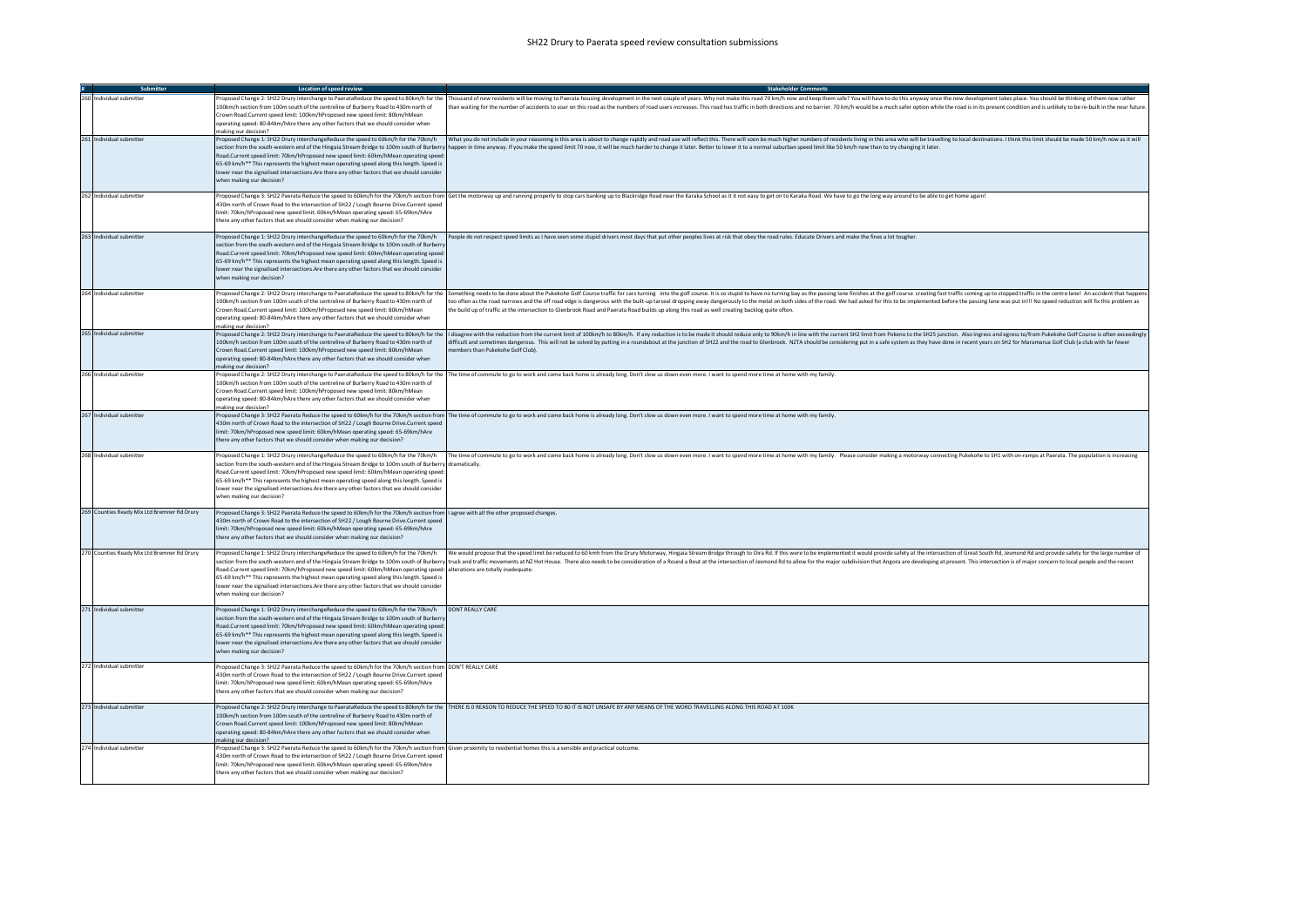|                                             | Location of speed review                                                                                                                                                                      | <b>Stakeholder Comments</b>                                                                                                                                                                                                    |
|---------------------------------------------|-----------------------------------------------------------------------------------------------------------------------------------------------------------------------------------------------|--------------------------------------------------------------------------------------------------------------------------------------------------------------------------------------------------------------------------------|
| 260 Individual submitter                    |                                                                                                                                                                                               | Proposed Change 2: SH22 Drury interchange to PaerataReduce the speed to 80km/h for the   Thousand of new residents will be moving to Paerata housing develooment in the next couple of years. Why not make this road 70 km/h n |
|                                             | 100km/h section from 100m south of the centreline of Burberry Road to 430m north of                                                                                                           | than waiting for the number of accidents to soar on this road as the numbers of road users increases. This road has traffic in both directions and no barrier. 70 km/h would be a much safer option while the road is in its p |
|                                             | Crown Road.Current speed limit: 100km/hProposed new speed limit: 80km/hMean                                                                                                                   |                                                                                                                                                                                                                                |
|                                             | operating speed: 80-84km/hAre there any other factors that we should consider when                                                                                                            |                                                                                                                                                                                                                                |
| 261 Individual submitter                    | making our decision?                                                                                                                                                                          | Proposed Change 1: SH22 Drury interchangeReduce the speed to 60km/h for the 70km/h what you do not include in your reasoning is this area is about to change rapidly and road use will reflect this. There will soon be much h |
|                                             |                                                                                                                                                                                               | section from the south-western end of the Hingaia Stream Bridge to 100m south of Burberry happen in time anyway. If you make the speed limit 70 now, it will be much harder to change it later. Better to lower it to a normal |
|                                             | Road.Current speed limit: 70km/hProposed new speed limit: 60km/hMean operating speed:                                                                                                         |                                                                                                                                                                                                                                |
|                                             | 65-69 km/h** This represents the highest mean operating speed along this length. Speed is                                                                                                     |                                                                                                                                                                                                                                |
|                                             | lower near the signalised intersections. Are there any other factors that we should consider                                                                                                  |                                                                                                                                                                                                                                |
|                                             | when making our decision?                                                                                                                                                                     |                                                                                                                                                                                                                                |
|                                             |                                                                                                                                                                                               |                                                                                                                                                                                                                                |
| 262 Individual submitter                    |                                                                                                                                                                                               | Proposed Change 3: SH22 Paerata Reduce the speed to 60km/h for the 70km/h section from Get the motorway up and running properly to stop cars banking up to Blackridge Road near the Karaka School as it it not easy to get on  |
|                                             | 430m north of Crown Road to the intersection of SH22 / Lough Bourne Drive.Current speed<br>imit: 70km/hProposed new speed limit: 60km/hMean operating speed: 65-69km/hAre                     |                                                                                                                                                                                                                                |
|                                             | there any other factors that we should consider when making our decision?                                                                                                                     |                                                                                                                                                                                                                                |
|                                             |                                                                                                                                                                                               |                                                                                                                                                                                                                                |
| 263 Individual submitter                    | Proposed Change 1: SH22 Drury interchangeReduce the speed to 60km/h for the 70km/h                                                                                                            | People do not respect speed limits as I have seen some stupid drivers most days that put other peoples lives at risk that obey the road rules. Educate Drivers and make the fines a lot tougher.                               |
|                                             | section from the south-western end of the Hingaia Stream Bridge to 100m south of Burberry                                                                                                     |                                                                                                                                                                                                                                |
|                                             | Road.Current speed limit: 70km/hProposed new speed limit: 60km/hMean operating speed:                                                                                                         |                                                                                                                                                                                                                                |
|                                             | 65-69 km/h** This represents the highest mean operating speed along this length. Speed is<br>lower near the signalised intersections. Are there any other factors that we should consider     |                                                                                                                                                                                                                                |
|                                             | when making our decision?                                                                                                                                                                     |                                                                                                                                                                                                                                |
|                                             |                                                                                                                                                                                               |                                                                                                                                                                                                                                |
| 264 Individual submitter                    |                                                                                                                                                                                               | Proposed Change 2: SH22 Drury interchange to PaerataReduce the speed to 80km/h for the Something needs to be done about the Pukekohe Golf Course traffic for cars turning into the exolf course. It is so studid to have no tu |
|                                             | 100km/h section from 100m south of the centreline of Burberry Road to 430m north of                                                                                                           | too often as the road narrows and the off road edge is dangerous with the built-up tarseal dropping away dangerously to the metal on both sides of the road. We had asked for this to be implemented before the passing lane w |
|                                             | Crown Road.Current speed limit: 100km/hProposed new speed limit: 80km/hMean                                                                                                                   | the build up of traffic at the intersection to Glenbrook Road and Paerata Road builds up along this road as well creating backlog quite often.                                                                                 |
|                                             | operating speed: 80-84km/hAre there any other factors that we should consider when                                                                                                            |                                                                                                                                                                                                                                |
| 265 Individual submitter                    | making our decision?                                                                                                                                                                          | Proposed Change 2: SH22 Drury interchange to PaerataReduce the speed to 80km/h for the  I disagree with the reduction from the current limit of 100km/h to flourer limit of 100km/h. If any reduction is to be made it should  |
|                                             | 100km/h section from 100m south of the centreline of Burberry Road to 430m north of                                                                                                           | difficult and sometimes dangerous. This will not be solved by putting in a roundabout at the junction of SH22 and the road to Glenbrook. NZTA should be considering put in a safe system as they have done in recent years on  |
|                                             | Crown Road.Current speed limit: 100km/hProposed new speed limit: 80km/hMean                                                                                                                   | embers than Pukekohe Golf Club).                                                                                                                                                                                               |
|                                             | operating speed: 80-84km/hAre there any other factors that we should consider when                                                                                                            |                                                                                                                                                                                                                                |
|                                             | making our decision?                                                                                                                                                                          |                                                                                                                                                                                                                                |
| 266 Individual submitter                    |                                                                                                                                                                                               | Proposed Change 2: SH22 Drury interchange to PaerataReduce the speed to 80km/h for the The time of commute to go to work and come back home is already long. Don't slow us down even more, I want to spend more time at home w |
|                                             | 100km/h section from 100m south of the centreline of Burberry Road to 430m north of<br>Crown Road.Current speed limit: 100km/hProposed new speed limit: 80km/hMean                            |                                                                                                                                                                                                                                |
|                                             | operating speed: 80-84km/hAre there any other factors that we should consider when                                                                                                            |                                                                                                                                                                                                                                |
|                                             | making our decision?                                                                                                                                                                          |                                                                                                                                                                                                                                |
| 267 Individual submitter                    |                                                                                                                                                                                               | Proposed Change 3: SH22 Paerata Reduce the speed to 60km/h for the 70km/h section from The time of commute to go to work and come back home is already long. Don't slow us down even more. I want to spend more time at home w |
|                                             | 430m north of Crown Road to the intersection of SH22 / Lough Bourne Drive.Current speed                                                                                                       |                                                                                                                                                                                                                                |
|                                             | limit: 70km/hProposed new speed limit: 60km/hMean operating speed: 65-69km/hAre                                                                                                               |                                                                                                                                                                                                                                |
|                                             | there any other factors that we should consider when making our decision?                                                                                                                     |                                                                                                                                                                                                                                |
| 268 Individual submitter                    | Proposed Change 1: SH22 Drury interchangeReduce the speed to 60km/h for the 70km/h                                                                                                            | The time of commute to go to work and come back home is already long. Don't slow us down even more. I want to spend more time at home with my family. Please consider making a motorway connecting Pukekohe to SH1 with on-ram |
|                                             | section from the south-western end of the Hingaia Stream Bridge to 100m south of Burberry dramatically.                                                                                       |                                                                                                                                                                                                                                |
|                                             | Road.Current speed limit: 70km/hProposed new speed limit: 60km/hMean operating speed:                                                                                                         |                                                                                                                                                                                                                                |
|                                             | 65-69 km/h** This represents the highest mean operating speed along this length. Speed is                                                                                                     |                                                                                                                                                                                                                                |
|                                             | lower near the signalised intersections. Are there any other factors that we should consider                                                                                                  |                                                                                                                                                                                                                                |
|                                             | when making our decision?                                                                                                                                                                     |                                                                                                                                                                                                                                |
| 269 Counties Ready Mix Ltd Bremner Rd Drury | Proposed Change 3: SH22 Paerata Reduce the speed to 60km/h for the 70km/h section from   agree with all the other proposed changes.                                                           |                                                                                                                                                                                                                                |
|                                             | 430m north of Crown Road to the intersection of SH22 / Lough Bourne Drive.Current speed                                                                                                       |                                                                                                                                                                                                                                |
|                                             | imit: 70km/hProposed new speed limit: 60km/hMean operating speed: 65-69km/hAre                                                                                                                |                                                                                                                                                                                                                                |
|                                             | there any other factors that we should consider when making our decision?                                                                                                                     |                                                                                                                                                                                                                                |
|                                             |                                                                                                                                                                                               |                                                                                                                                                                                                                                |
| 270 Counties Ready Mix Ltd Bremner Rd Drury | Proposed Change 1: SH22 Drury interchangeReduce the speed to 60km/h for the 70km/h                                                                                                            | We would propose that the speed limit be reduced to 60 kmh from the Drury Motorway, Hingaia Stream Bridge through to Oira Rd. If this were to be implemented it would provide safety at the intersection of Great South Rd, Je |
|                                             | Road.Current speed limit: 70km/hProposed new speed limit: 60km/hMean operating speed: alterations are totally inadequate                                                                      | section from the south-western end of the Hingaia Stream Bridge to 100m south of Burberry truck and traffic movements at NZ Hot House. There also needs to be consideration of a Round a Bout at the intersection of a Round R |
|                                             | 65-69 km/h** This represents the highest mean operating speed along this length. Speed is                                                                                                     |                                                                                                                                                                                                                                |
|                                             | lower near the signalised intersections.Are there any other factors that we should consider                                                                                                   |                                                                                                                                                                                                                                |
|                                             | when making our decision?                                                                                                                                                                     |                                                                                                                                                                                                                                |
|                                             |                                                                                                                                                                                               |                                                                                                                                                                                                                                |
| 271 Individual submitter                    | Proposed Change 1: SH22 Drury interchangeReduce the speed to 60km/h for the 70km/h                                                                                                            | <b>DONT REALLY CARE</b>                                                                                                                                                                                                        |
|                                             | section from the south-western end of the Hingaia Stream Bridge to 100m south of Burbern<br>Road.Current speed limit: 70km/hProposed new speed limit: 60km/hMean operating speed:             |                                                                                                                                                                                                                                |
|                                             | 65-69 km/h** This represents the highest mean operating speed along this length. Speed is                                                                                                     |                                                                                                                                                                                                                                |
|                                             | lower near the signalised intersections. Are there any other factors that we should consider                                                                                                  |                                                                                                                                                                                                                                |
|                                             | when making our decision?                                                                                                                                                                     |                                                                                                                                                                                                                                |
|                                             |                                                                                                                                                                                               |                                                                                                                                                                                                                                |
| 272 Individual submitter                    | Proposed Change 3: SH22 Paerata Reduce the speed to 60km/h for the 70km/h section from DON'T REALLY CARE                                                                                      |                                                                                                                                                                                                                                |
|                                             | 430m north of Crown Road to the intersection of SH22 / Lough Bourne Drive.Current speed<br>imit: 70km/hProposed new speed limit: 60km/hMean operating speed: 65-69km/hAre                     |                                                                                                                                                                                                                                |
|                                             | there any other factors that we should consider when making our decision?                                                                                                                     |                                                                                                                                                                                                                                |
|                                             |                                                                                                                                                                                               |                                                                                                                                                                                                                                |
| 273 Individual submitter                    |                                                                                                                                                                                               | Proposed Change 2: SH22 Drury interchange to PaerataReduce the speed to 80km/h for the THERE IS O REASON TO REDUCE THE SPEED TO 80 IT IS NOT UNSAFE BY ANY MEANS OF THE WORD TRAVELLING ALONG THIS ROAD AT 100K                |
|                                             | 100km/h section from 100m south of the centreline of Burberry Road to 430m north of                                                                                                           |                                                                                                                                                                                                                                |
|                                             | Crown Road.Current speed limit: 100km/hProposed new speed limit: 80km/hMean                                                                                                                   |                                                                                                                                                                                                                                |
|                                             | operating speed: 80-84km/hAre there any other factors that we should consider when                                                                                                            |                                                                                                                                                                                                                                |
| 274 Individual submitter                    | making our decision?<br>Proposed Change 3: SH22 Paerata Reduce the speed to 60km/h for the 70km/h section from Given proximity to residential homes this is a sensible and practical outcome. |                                                                                                                                                                                                                                |
|                                             | 430m north of Crown Road to the intersection of SH22 / Lough Bourne Drive.Current speed                                                                                                       |                                                                                                                                                                                                                                |
|                                             | limit: 70km/hProposed new speed limit: 60km/hMean operating speed: 65-69km/hAre                                                                                                               |                                                                                                                                                                                                                                |
|                                             | there any other factors that we should consider when making our decision?                                                                                                                     |                                                                                                                                                                                                                                |
|                                             |                                                                                                                                                                                               |                                                                                                                                                                                                                                |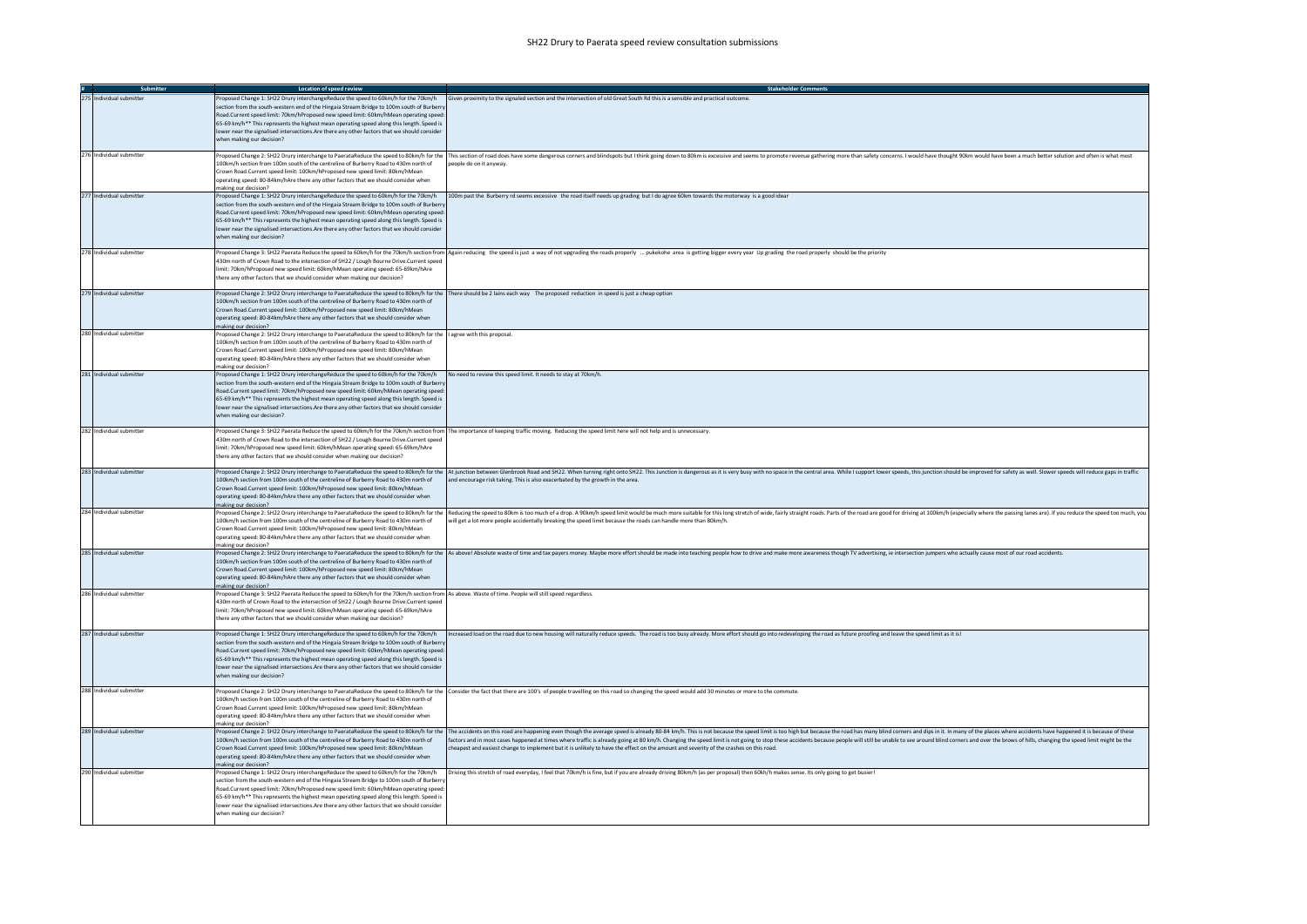|                          | Location of speed review                                                                                                                                                                                                                                                                                                                                                                                                                                                                         | <b>Stakeholder Commer</b>                                                                                                                                                                                                                                                                                                                                                                                                                                                                                                                                                                                 |
|--------------------------|--------------------------------------------------------------------------------------------------------------------------------------------------------------------------------------------------------------------------------------------------------------------------------------------------------------------------------------------------------------------------------------------------------------------------------------------------------------------------------------------------|-----------------------------------------------------------------------------------------------------------------------------------------------------------------------------------------------------------------------------------------------------------------------------------------------------------------------------------------------------------------------------------------------------------------------------------------------------------------------------------------------------------------------------------------------------------------------------------------------------------|
| 275 Individual submitter | section from the south-western end of the Hingaia Stream Bridge to 100m south of Burberry<br>Road.Current speed limit: 70km/hProposed new speed limit: 60km/hMean operating speed<br>65-69 km/h** This represents the highest mean operating speed along this length. Speed is<br>lower near the signalised intersections. Are there any other factors that we should consider<br>when making our decision?                                                                                      | Proposed Change 1: SH22 Drury interchangeReduce the speed to 60km/h for the 70km/h Given proximity to the signaled section and the intersection of old Great South Rd this is a sensible and practical outcome.                                                                                                                                                                                                                                                                                                                                                                                           |
| 276 Individual submitter | 100km/h section from 100m south of the centreline of Burberry Road to 430m north of<br>Crown Road.Current speed limit: 100km/hProposed new speed limit: 80km/hMean<br>operating speed: 80-84km/hAre there any other factors that we should consider when<br>making our decision?                                                                                                                                                                                                                 | Proposed Change 2: SH22 Drury interchange to PaerataReduce the speed to 80km/h for the  This section of road does have some dangerous corners and blindspots but I think going down to 80km is excessive and seems to promote<br>people do on it anyway                                                                                                                                                                                                                                                                                                                                                   |
| 277 Individual submitter | Proposed Change 1: SH22 Drury interchangeReduce the speed to 60km/h for the 70km/h<br>section from the south-western end of the Hingaia Stream Bridge to 100m south of Burber<br>Road.Current speed limit: 70km/hProposed new speed limit: 60km/hMean operating speed:<br>65-69 km/h** This represents the highest mean operating speed along this length. Speed is<br>lower near the signalised intersections.Are there any other factors that we should consider<br>when making our decision?  | 100m past the Burberry rd seems excessive the road itself needs up grading but I do agree 60km towards the motorway is a good idear                                                                                                                                                                                                                                                                                                                                                                                                                                                                       |
| 278 Individual submitter | 430m north of Crown Road to the intersection of SH22 / Lough Bourne Drive.Current speed<br>imit: 70km/hProposed new speed limit: 60km/hMean operating speed: 65-69km/hAre<br>there any other factors that we should consider when making our decision?                                                                                                                                                                                                                                           | Proposed Change 3: SH22 Paerata Reduce the speed to 60km/h for the 70km/h section from Again reducing the speed is just a way of not upgrading the roads properly  pukekohe area is getting bigger every year Up grading th                                                                                                                                                                                                                                                                                                                                                                               |
| 279 Individual submitter | Proposed Change 2: SH22 Drury interchange to PaerataReduce the speed to 80km/h for the There should be 2 lains each way The proposed reduction in speed is just a cheap option<br>100km/h section from 100m south of the centreline of Burberry Road to 430m north of<br>Crown Road.Current speed limit: 100km/hProposed new speed limit: 80km/hMean<br>operating speed: 80-84km/hAre there any other factors that we should consider when<br>making our decision?                               |                                                                                                                                                                                                                                                                                                                                                                                                                                                                                                                                                                                                           |
| 280 Individual submitter | Proposed Change 2: SH22 Drury interchange to PaerataReduce the speed to 80km/h for the lagree with this proposal.<br>100km/h section from 100m south of the centreline of Burberry Road to 430m north of<br>Crown Road Current speed limit: 100km/hPronosed new speed limit: 80km/hMean<br>operating speed: 80-84km/hAre there any other factors that we should consider when<br>making our decision?                                                                                            |                                                                                                                                                                                                                                                                                                                                                                                                                                                                                                                                                                                                           |
| 281 Individual submitter | Proposed Change 1: SH22 Drury interchangeReduce the speed to 60km/h for the 70km/h<br>section from the south-western end of the Hingaia Stream Bridge to 100m south of Burber<br>Road.Current speed limit: 70km/hProposed new speed limit: 60km/hMean operating speed:<br>65-69 km/h** This represents the highest mean operating speed along this length. Speed is<br>lower near the signalised intersections.Are there any other factors that we should consider<br>when making our decision?  | No need to review this speed limit. It needs to stay at 70km/h.                                                                                                                                                                                                                                                                                                                                                                                                                                                                                                                                           |
| 282 Individual submitter | 430m north of Crown Road to the intersection of SH22 / Lough Bourne Drive.Current speed<br>imit: 70km/hProposed new speed limit: 60km/hMean operating speed: 65-69km/hAre<br>there any other factors that we should consider when making our decision?                                                                                                                                                                                                                                           | Proposed Change 3: SH22 Paerata Reduce the speed to 60km/h for the 70km/h section from The importance of keeping traffic moving. Reducing the speed limit here will not help and is unnecessary.                                                                                                                                                                                                                                                                                                                                                                                                          |
| 283 Individual submitter | 100km/h section from 100m south of the centreline of Burberry Road to 430m north of<br>Crown Road.Current speed limit: 100km/hProposed new speed limit: 80km/hMean<br>operating speed: 80-84km/hAre there any other factors that we should consider when<br>making our decision?                                                                                                                                                                                                                 | Proposed Change 2: SH22 Drury interchange to PaerataReduce the speed to 80km/h for the  At junction between Glenbrook Road and SH22. When turning right onto SH22. This Junction is dangerous as it is very busy with no space<br>and encourage risk taking. This is also exacerbated by the growth in the area.                                                                                                                                                                                                                                                                                          |
| 284 Individual submitter | 100km/h section from 100m south of the centreline of Burberry Road to 430m north of<br>Crown Road.Current speed limit: 100km/hProposed new speed limit: 80km/hMean<br>operating speed: 80-84km/hAre there any other factors that we should consider when<br>making our decision?                                                                                                                                                                                                                 | Proposed Change 2: SH22 Drury interchange to PaerataReduce the speed to 80km/h for the Reducing the speed to 80km is too much of a drop. A 90km/h speed limit would be much more suitable for this long stretch of wide, fairl<br>will get a lot more people accidentally breaking the speed limit because the roads can handle more than 80km/h                                                                                                                                                                                                                                                          |
| 285 Individual submitter | 100km/h section from 100m south of the centreline of Burberry Road to 430m north of<br>Crown Road.Current speed limit: 100km/hProposed new speed limit: 80km/hMean<br>operating speed: 80-84km/hAre there any other factors that we should consider when<br>making our decision?                                                                                                                                                                                                                 | Proposed Change 2: SH22 Drury interchange to PaerataReduce the speed to 80km/h for the  As above! Absolute waste of time and tax payers money. Maybe more effort should be made into teaching people how to drive and make mor                                                                                                                                                                                                                                                                                                                                                                            |
| 286 Individual submitter | Proposed Change 3: SH22 Paerata Reduce the speed to 60km/h for the 70km/h section from As above. Waste of time. People will still speed regardless.<br>430m north of Crown Road to the intersection of SH22 / Lough Bourne Drive.Current speed<br>limit: 70km/hProposed new speed limit: 60km/hMean operating speed: 65-69km/hAre<br>there any other factors that we should consider when making our decision?                                                                                   |                                                                                                                                                                                                                                                                                                                                                                                                                                                                                                                                                                                                           |
| 287 Individual submitter | section from the south-western end of the Hingaia Stream Bridge to 100m south of Burbern<br>Road.Current speed limit: 70km/hProposed new speed limit: 60km/hMean operating speed<br>65-69 km/h** This represents the highest mean operating speed along this length. Speed is<br>lower near the signalised intersections.Are there any other factors that we should consider<br>when making our decision?                                                                                        | Proposed Change 1: SH22 Drury interchangeReduce the speed to 60km/h for the 70km/h Increased load on the road due to new housing will naturally reduce speeds. The road is too busy already. More effort should go into redeve                                                                                                                                                                                                                                                                                                                                                                            |
| 288 Individual submitter | 100km/h section from 100m south of the centreline of Burberry Road to 430m north of<br>Crown Road.Current speed limit: 100km/hProposed new speed limit: 80km/hMean<br>operating speed: 80-84km/hAre there any other factors that we should consider when<br>making our decision?                                                                                                                                                                                                                 | Proposed Change 2: SH22 Drury interchange to PaerataReduce the speed to 80km/h for the Consider the fact that there are 100's of people travelling on this road so changing the speed would add 30 minutes or more to the comm                                                                                                                                                                                                                                                                                                                                                                            |
| 289 Individual submitter | 100km/h section from 100m south of the centreline of Burberry Road to 430m north of<br>Crown Road.Current speed limit: 100km/hProposed new speed limit: 80km/hMean<br>operating speed: 80-84km/hAre there any other factors that we should consider when<br>making our decision?                                                                                                                                                                                                                 | Proposed Change 2: SH22 Drury interchange to PaerataReduce the speed to 80km/h for the  The accidents on this road are happening even though the average speed is already 80-84 km/h. This is not because the speed init is to<br>factors and in most cases happened at times where traffic is already going at 80 km/h. Changing the speed limit is not going to stop these accidents because people will still be unable to see around blind corners and over<br>cheapest and easiest change to implement but it is unlikely to have the effect on the amount and severity of the crashes on this road. |
| 290 Individual submitter | Proposed Change 1: SH22 Drury interchangeReduce the speed to 60km/h for the 70km/h<br>section from the south-western end of the Hingaia Stream Bridge to 100m south of Burberry<br>Road.Current speed limit: 70km/hProposed new speed limit: 60km/hMean operating speed:<br>65-69 km/h** This represents the highest mean operating speed along this length. Speed is<br>lower near the signalised intersections.Are there any other factors that we should conside<br>when making our decision? | Driving this stretch of road everyday, I feel that 70km/h is fine, but if you are already driving 80km/h (as per proposal) then 60kh/h makes sense. Its only going to get busier!                                                                                                                                                                                                                                                                                                                                                                                                                         |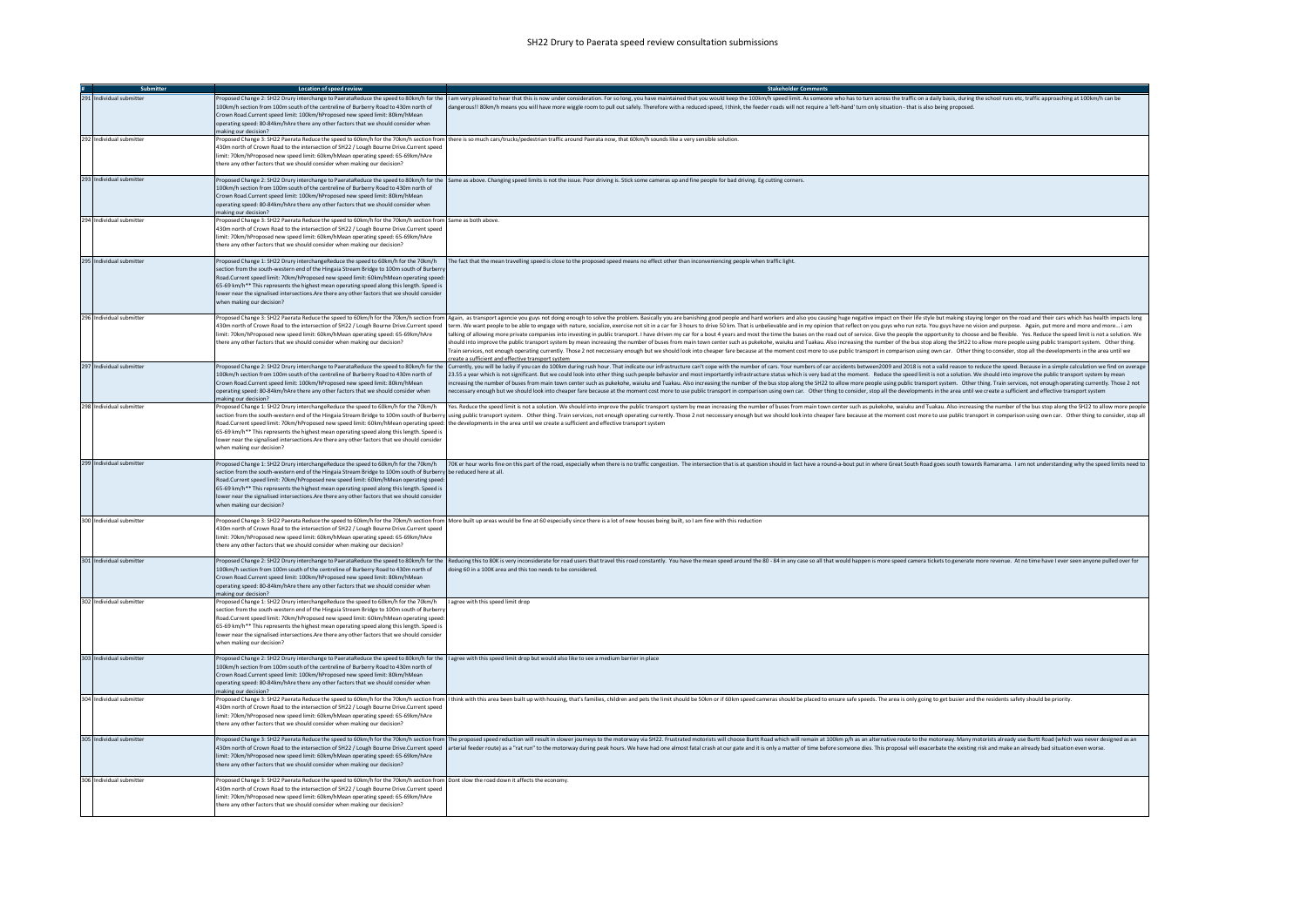|                          | <b>Location of speed review</b>                                                                                                                                                                                                                                                                                                                                                                                                                                                                                                      |                                                                                                                                                                                                                                                                                                                                                                                                                                                                                                                                                                                                                                                                                                                                                                                                                                                                                                                                                                                                                                                                                                                                                                                                                             |
|--------------------------|--------------------------------------------------------------------------------------------------------------------------------------------------------------------------------------------------------------------------------------------------------------------------------------------------------------------------------------------------------------------------------------------------------------------------------------------------------------------------------------------------------------------------------------|-----------------------------------------------------------------------------------------------------------------------------------------------------------------------------------------------------------------------------------------------------------------------------------------------------------------------------------------------------------------------------------------------------------------------------------------------------------------------------------------------------------------------------------------------------------------------------------------------------------------------------------------------------------------------------------------------------------------------------------------------------------------------------------------------------------------------------------------------------------------------------------------------------------------------------------------------------------------------------------------------------------------------------------------------------------------------------------------------------------------------------------------------------------------------------------------------------------------------------|
| 291 Individual submitter | 100km/h section from 100m south of the centreline of Burberry Road to 430m north of<br>Crown Road.Current speed limit: 100km/hProposed new speed limit: 80km/hMean<br>operating speed: 80-84km/hAre there any other factors that we should consider when<br>making our decision?                                                                                                                                                                                                                                                     | Proposed Change 2: SH22 Drury interchange to PaerataReduce the speed to 80km/h for the 11am very pleased to hear that this is now under consideration. For so lone, you have maintained that you would keep the 100km/h speed<br>dangerous!! 80km/h means you will have more wiggle room to pull out safely. Therefore with a reduced speed, I think, the feeder roads will not require a 'left-hand' turn only situation - that is also being proposed.                                                                                                                                                                                                                                                                                                                                                                                                                                                                                                                                                                                                                                                                                                                                                                    |
| 292 Individual submitter | 430m north of Crown Road to the intersection of SH22 / Lough Bourne Drive.Current speed<br>limit: 70km/hProposed new speed limit: 60km/hMean operating speed: 65-69km/hAre<br>here any other factors that we should consider when making our decision?                                                                                                                                                                                                                                                                               | Proposed Change 3: SH22 Paerata Reduce the speed to 60km/h for the 70km/h section from there is so much cars/trucks/pedestrian traffic around Paerata now, that 60km/h sounds like a very sensible solution.                                                                                                                                                                                                                                                                                                                                                                                                                                                                                                                                                                                                                                                                                                                                                                                                                                                                                                                                                                                                                |
| 293 Individual submitter | 100km/h section from 100m south of the centreline of Burberry Road to 430m north of<br>Crown Road.Current speed limit: 100km/hProposed new speed limit: 80km/hMean<br>operating speed: 80-84km/hAre there any other factors that we should consider when<br>naking our decision?                                                                                                                                                                                                                                                     | Proposed Change 2: SH22 Drury interchange to PaerataReduce the speed to 80km/h for the Same as above. Changing speed limits is not the issue. Poor driving is. Stick some cameras up and fine people for bad driving. Eg cutti                                                                                                                                                                                                                                                                                                                                                                                                                                                                                                                                                                                                                                                                                                                                                                                                                                                                                                                                                                                              |
| 294 Individual submitter | roposed Change 3: SH22 Paerata Reduce the speed to 60km/h for the 70km/h section from Same as both above<br>430m north of Crown Road to the intersection of SH22 / Lough Bourne Drive.Current speed<br>limit: 70km/hPronosed new speed limit: 60km/hMean operating speed: 65-69km/hAre<br>there any other factors that we should consider when making our decision?                                                                                                                                                                  |                                                                                                                                                                                                                                                                                                                                                                                                                                                                                                                                                                                                                                                                                                                                                                                                                                                                                                                                                                                                                                                                                                                                                                                                                             |
| 295 Individual submitter | section from the south-western end of the Hingaia Stream Bridge to 100m south of Burberry<br>Road.Current speed limit: 70km/hProposed new speed limit: 60km/hMean operating speed:<br>65-69 km/h** This represents the highest mean operating speed along this length. Speed is<br>lower near the signalised intersections.Are there any other factors that we should consider<br>when making our decision?                                                                                                                          | Proposed Change 1: SH22 Drury interchangeReduce the speed to 60km/h for the 70km/h [The fact that the mean travelling speed is close to the proposed speed means no effect other than inconveniencing people when traffic ligh                                                                                                                                                                                                                                                                                                                                                                                                                                                                                                                                                                                                                                                                                                                                                                                                                                                                                                                                                                                              |
| 296 Individual submitter | 430m north of Crown Road to the intersection of SH22 / Lough Bourne Drive.Current speed<br>limit: 70km/hProposed new speed limit: 60km/hMean operating speed: 65-69km/hAre<br>there any other factors that we should consider when making our decision?                                                                                                                                                                                                                                                                              | Proposed Change 3: SH22 Paerata Reduce the speed to 60km/h for the 70km/h section from Again, as transport agencie you guys not doing enough to solve the problem. Basically you are banishing good people and hard workers an<br>term. We want people to be able to engage with nature, socialize, exercise not sit in a car for 3 hours to drive 50 km. That is unbelievable and in my opinion that reflect on you guys who run nzta. You guys have no vision<br>talking of allowing more private companies into investing in public transport. I have driven my car for a bout 4 years and most the time the buses on the road out of service. Give the people the poportunity to choose and b<br>should into improve the public transport system by mean increasing the number of buses from main town center such as pukekohe, waiuku and Tuakau. Also increasing the number of the bus stop along the SH22 to allow more peop<br>rain services, not enough operating currently. Those 2 not neccessary enough but we should look into cheaper fare because at the moment cost more to use public transport in comparison using own car. Other thing to consider<br>create a sufficient and effective transport system |
| 297 Individual submitter | 100km/h section from 100m south of the centreline of Burberry Road to 430m north of<br>Crown Road.Current speed limit: 100km/hProposed new speed limit: 80km/hMean<br>operating speed: 80-84km/hAre there any other factors that we should consider when<br>naking our decision?                                                                                                                                                                                                                                                     | Proposed Change 2: SH22 Drury interchange to PaerataReduce the speed to 80km/h for the currently, you will be lucky if you can do 100km during rush hour. That indicate our infrastructure can't cope with the number of cars.<br>23.55 a year which is not significant. But we could look into other thing such people behavior and most importantly infrastructure status which is very bad at the moment. Reduce the speed limit is not a solution. We should<br>increasing the number of buses from main town center such as pukekohe, waiuku and Tuakau. Also increasing the number of the bus stop along the SH22 to allow more people using public transport system. Other thing. Train ser<br>neccessary enough but we should look into cheaper fare because at the moment cost more to use public transport in comparison using own car. Other thing to consider, stop all the developments in the area until we create a s                                                                                                                                                                                                                                                                                        |
| 298 Individual submitter | Proposed Change 1: SH22 Drury interchangeReduce the speed to 60km/h for the 70km/h<br>Road.Current speed limit: 70km/hProposed new speed limit: 60km/hMean operating speed: the developments in the area until we create a sufficient and effective transport system<br>65-69 km/h** This represents the highest mean operating speed along this length. Speed is<br>lower near the signalised intersections. Are there any other factors that we should consider<br>when making our decision?                                       | Yes. Reduce the speed limit is not a solution. We should into improve the public transport system by mean increasing the number of buses from main town center such as pukekohe, waiuku and Tuakau. Also increasing the number<br>section from the south-western end of the Hingaia Stream Bridge to 100m south of Burberry using public transport system. Other thing. Train services, not enough operating currently. Those 2 not neccessary enough but we sho                                                                                                                                                                                                                                                                                                                                                                                                                                                                                                                                                                                                                                                                                                                                                            |
| 299 Individual submitter | Proposed Change 1: SH22 Drury interchangeReduce the speed to 60km/h for the 70km/h<br>section from the south-western end of the Hingaia Stream Bridge to 100m south of Burberry be reduced here at all.<br>Road.Current speed limit: 70km/hProposed new speed limit: 60km/hMean operating speed:<br>65-69 km/h** This represents the highest mean operating speed along this length. Speed is<br>lower near the signalised intersections. Are there any other factors that we should consider<br>when making our decision?           | 70K er hour works fine on this part of the road, especially when there is no traffic congestion. The intersection that is at question should in fact have a round-a-bout put in where Great South Road goes south towards Rama                                                                                                                                                                                                                                                                                                                                                                                                                                                                                                                                                                                                                                                                                                                                                                                                                                                                                                                                                                                              |
| 300 Individual submitter | 430m north of Crown Road to the intersection of SH22 / Lough Bourne Drive.Current speed<br>imit: 70km/hProposed new speed limit: 60km/hMean operating speed: 65-69km/hAre<br>there any other factors that we should consider when making our decision?                                                                                                                                                                                                                                                                               | Proposed Change 3: SH22 Paerata Reduce the speed to 60km/h for the 70km/h section from More built up areas would be fine at 60 especially since there is a lot of new houses being built, so I am fine with this reduction                                                                                                                                                                                                                                                                                                                                                                                                                                                                                                                                                                                                                                                                                                                                                                                                                                                                                                                                                                                                  |
| 301 Individual submitter | 100km/h section from 100m south of the centreline of Burberry Road to 430m north of<br>Crown Road.Current speed limit: 100km/hProposed new speed limit: 80km/hMean<br>operating speed: 80-84km/hAre there any other factors that we should consider when<br>making our decision?                                                                                                                                                                                                                                                     | Proposed Change 2: SH22 Drury interchange to PaerataReduce the speed to 80km/h for the  Reducing this to 80K is very inconsiderate for road users that travel this road constantly. You have the mean speed around the 80 - 84<br>doing 60 in a 100K area and this too needs to be considered.                                                                                                                                                                                                                                                                                                                                                                                                                                                                                                                                                                                                                                                                                                                                                                                                                                                                                                                              |
| 302 Individual submitter | Proposed Change 1: SH22 Drury interchangeReduce the speed to 60km/h for the 70km/h   agree with this speed limit drop<br>section from the south-western end of the Hingaia Stream Bridge to 100m south of Burbern<br>Road.Current speed limit: 70km/hProposed new speed limit: 60km/hMean operating speed:<br>65-69 km/h** This represents the highest mean operating speed along this length. Speed is<br>lower near the signalised intersections. Are there any other factors that we should consider<br>when making our decision? |                                                                                                                                                                                                                                                                                                                                                                                                                                                                                                                                                                                                                                                                                                                                                                                                                                                                                                                                                                                                                                                                                                                                                                                                                             |
| 303 Individual submitter | Proposed Change 2: SH22 Drury interchange to PaerataReduce the speed to 80km/h for the lagree with this speed limit drop but would also like to see a medium barrier in place<br>100km/h section from 100m south of the centreline of Burberry Road to 430m north of<br>Crown Road.Current speed limit: 100km/hProposed new speed limit: 80km/hMean<br>operating speed: 80-84km/hAre there any other factors that we should consider when<br>making our decision?                                                                    |                                                                                                                                                                                                                                                                                                                                                                                                                                                                                                                                                                                                                                                                                                                                                                                                                                                                                                                                                                                                                                                                                                                                                                                                                             |
| 304 Individual submitter | 430m north of Crown Road to the intersection of SH22 / Lough Bourne Drive.Current speed<br>limit: 70km/hProposed new speed limit: 60km/hMean operating speed: 65-69km/hAre<br>there any other factors that we should consider when making our decision?                                                                                                                                                                                                                                                                              | Proposed Change 3: SH22 Paerata Reduce the speed to 60km/h for the 70km/h section from  I think with this area been built up with housing, that's families, children and pets the limit should be 50km or if 60km speed camera                                                                                                                                                                                                                                                                                                                                                                                                                                                                                                                                                                                                                                                                                                                                                                                                                                                                                                                                                                                              |
| 305 Individual submitter | imit: 70km/hProposed new speed limit: 60km/hMean operating speed: 65-69km/hAre<br>there any other factors that we should consider when making our decision?                                                                                                                                                                                                                                                                                                                                                                          | Proposed Change 3: SH22 Paerata Reduce the speed to 60km/h for the 70km/h section from  The proposed speed reduction will result in slower journeys to the motorway via SH22. Frustrated motorists will choose Burtt Road whic<br>430m north of Crown Road to the intersection of SH22 / Lough Bourne Drive.Current speed arterial feeder route) as a "rat run" to the motorway during peak hours. We have had one almost fatal crash at our gate and it is only                                                                                                                                                                                                                                                                                                                                                                                                                                                                                                                                                                                                                                                                                                                                                            |
| 306 Individual submitter | Proposed Change 3: SH22 Paerata Reduce the speed to 60km/h for the 70km/h section from Dont slow the road down it affects the economy.<br>430m north of Crown Road to the intersection of SH22 / Lough Bourne Drive.Current speed<br>limit: 70km/hProposed new speed limit: 60km/hMean operating speed: 65-69km/hAre<br>there any other factors that we should consider when making our decision?                                                                                                                                    |                                                                                                                                                                                                                                                                                                                                                                                                                                                                                                                                                                                                                                                                                                                                                                                                                                                                                                                                                                                                                                                                                                                                                                                                                             |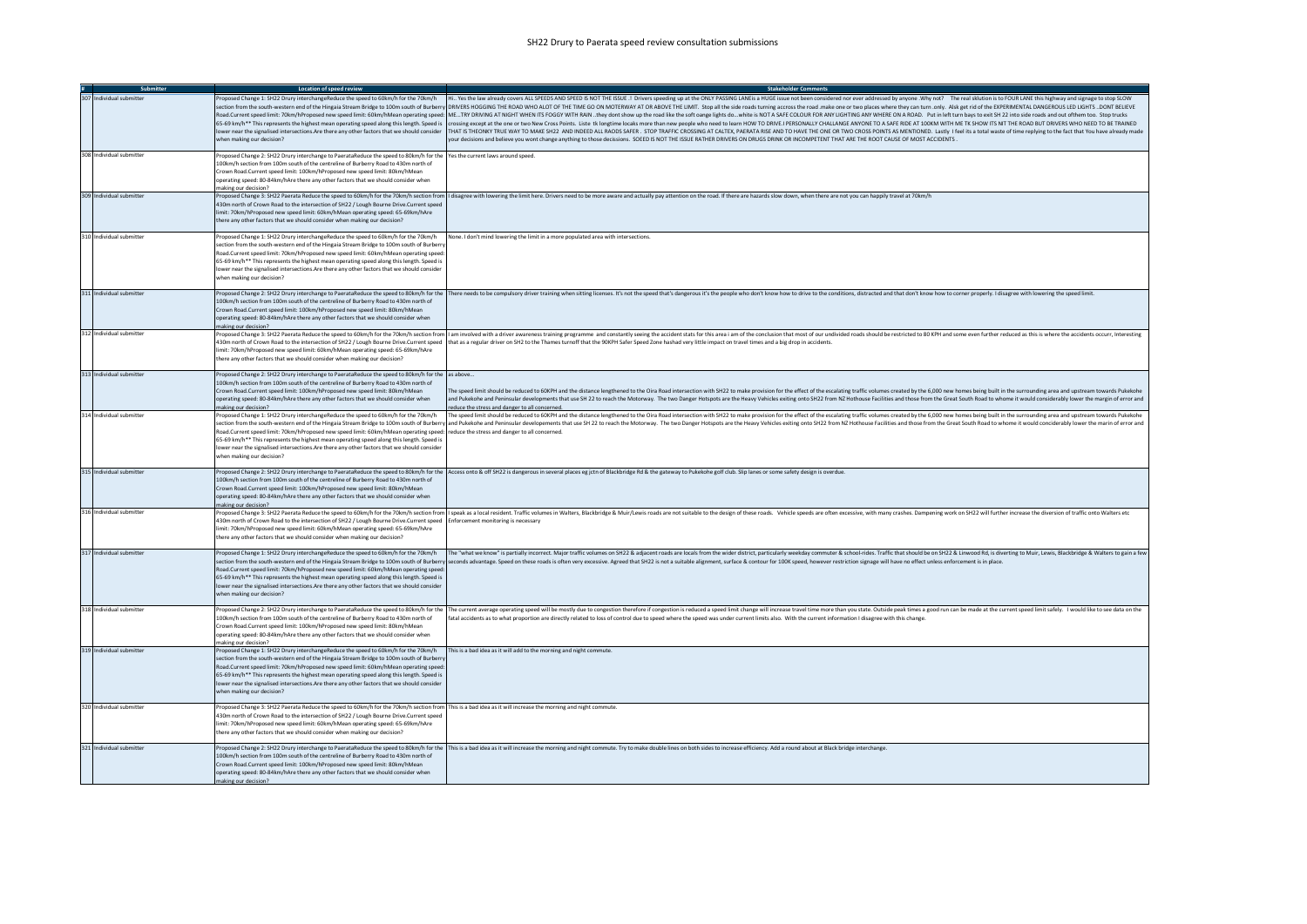## SH22 Drury to Paerata speed review consultation submissions

| Submitter                | Location of speed review                                                                                                                                                                                                                                                                                                                                                                                                                                                                           | <b>Stakeholder Comments</b>                                                                                                                                                                                                                                                                                                                                                                                                                                                                                                                                                                                                                                                                                                                                                                                                                                                                                                                                                                                                                                                                                                                                                                                                                                                                                                                             |
|--------------------------|----------------------------------------------------------------------------------------------------------------------------------------------------------------------------------------------------------------------------------------------------------------------------------------------------------------------------------------------------------------------------------------------------------------------------------------------------------------------------------------------------|---------------------------------------------------------------------------------------------------------------------------------------------------------------------------------------------------------------------------------------------------------------------------------------------------------------------------------------------------------------------------------------------------------------------------------------------------------------------------------------------------------------------------------------------------------------------------------------------------------------------------------------------------------------------------------------------------------------------------------------------------------------------------------------------------------------------------------------------------------------------------------------------------------------------------------------------------------------------------------------------------------------------------------------------------------------------------------------------------------------------------------------------------------------------------------------------------------------------------------------------------------------------------------------------------------------------------------------------------------|
| 307 Individual submitter | vhen making our decision?                                                                                                                                                                                                                                                                                                                                                                                                                                                                          | Proposed Change 1: SH22 Drury interchangeReduce the speed to 60km/h for the 70km/h Hi Yes the law already covers ALL SPEEDS AND SPEED IS NOT THE ISSUE .! Drivers speeding up at the ONLY PASSING LANE is all OGI ssue not b<br>section from the south-western end of the Hingaia Stream Bridge to 100m south of Burberry DRIVERS HOGGING THE ROAD WHO ALOT OF THE TIME GO ON MOTERWAY AT OR ABOVE THE LIMIT. Stop all the side roads turning accross the road<br>Road.Current speed limit: 70km/hProposed new speed limit: 60km/hMean operating speed: METRY DRIVING AT NIGHT WHEN ITS FOGGY WITH RAIN they dont show up the road like the soft cange lights do white is NOT A SAFE COL<br>65-69 km/h** This represents the highest mean operating speed along this length. Speed is   crossing except at the one or two New Cross Points. Liste tk longtime locaks more than new people who need to learn HOW TO DRIVE.I<br>lower near the signalised intersections.Are there any other factors that we should consider   THAT IS THEONKY TRUE WAY TO MAKE SH22 AND INDEED ALL RAODS SAFER . STOP TRAFFIC CROSSING AT CALTEX, PAERATA RISE AND TO HAVE THE<br>your decisions and believe you wont change anything to those decissions. SOEED IS NOT THE ISSUE RATHER DRIVERS ON DRUGS DRINK OR INCOMPETENT THAT ARE THE ROOT CAUSE OF MOST ACCIDENTS. |
| 308 Individual submitter | Proposed Change 2: SH22 Drury interchange to PaerataReduce the speed to 80km/h for the Yes the current laws around speed.<br>.00km/h section from 100m south of the centreline of Burberry Road to 430m north of<br>Crown Road Current speed limit: 100km/hProposed new speed limit: 80km/hMean<br>operating speed: 80-84km/hAre there any other factors that we should consider when<br>making our decision?                                                                                      |                                                                                                                                                                                                                                                                                                                                                                                                                                                                                                                                                                                                                                                                                                                                                                                                                                                                                                                                                                                                                                                                                                                                                                                                                                                                                                                                                         |
| 309 Individual submitter | 430m north of Crown Road to the intersection of SH22 / Lough Bourne Drive.Current speed<br>limit: 70km/hProposed new speed limit: 60km/hMean operating speed: 65-69km/hAre<br>there any other factors that we should consider when making our decision?                                                                                                                                                                                                                                            | Proposed Change 3: SH22 Paerata Reduce the speed to 60km/h for the 70km/h section from  I disagree with lowering the limit here. Drivers need to be more aware and actually pay attention on the road. If there are hazards sl                                                                                                                                                                                                                                                                                                                                                                                                                                                                                                                                                                                                                                                                                                                                                                                                                                                                                                                                                                                                                                                                                                                          |
| 310 Individual submitte  | Proposed Change 1: SH22 Drury interchangeReduce the speed to 60km/h for the 70km/h<br>section from the south-western end of the Hingaia Stream Bridge to 100m south of Burberry<br>load.Current speed limit: 70km/hProposed new speed limit: 60km/hMean operating speed:<br>65-69 km/h** This represents the highest mean operating speed along this length. Speed is<br>lower near the signalised intersections. Are there any other factors that we should consider<br>when making our decision? | None. I don't mind lowering the limit in a more populated area with intersections.                                                                                                                                                                                                                                                                                                                                                                                                                                                                                                                                                                                                                                                                                                                                                                                                                                                                                                                                                                                                                                                                                                                                                                                                                                                                      |
| 311 Individual submitter | 100km/h section from 100m south of the centreline of Burberry Road to 430m north of<br>Crown Road Current speed limit: 100km/hPronosed new speed limit: 80km/hMean<br>operating speed: 80-84km/hAre there any other factors that we should consider when<br>making our decision?                                                                                                                                                                                                                   | Proposed Change 2: SH22 Drury interchange to PaerataReduce the speed to 80km/h for the   There needs to be compulsory driver training when sitting licenses. It's not the speed thais dangerous it's the people who don't know                                                                                                                                                                                                                                                                                                                                                                                                                                                                                                                                                                                                                                                                                                                                                                                                                                                                                                                                                                                                                                                                                                                          |
| 312 Individual submitter | 430m north of Crown Road to the intersection of SH22 / Lough Bourne Drive.Current speed<br>limit: 70km/hProposed new speed limit: 60km/hMean operating speed: 65-69km/hAre<br>there any other factors that we should consider when making our decision?                                                                                                                                                                                                                                            | Proposed Change 3: SH22 Paerata Reduce the speed to 60km/h for the 70km/h section from   lam involved with a driver awareness training programme and constantly seeing the accident stats for this area i am of the conclusion<br>that as a regular driver on SH2 to the Thames turnoff that the 90KPH Safer Speed Zone hashad very little impact on travel times and a big drop in accidents.                                                                                                                                                                                                                                                                                                                                                                                                                                                                                                                                                                                                                                                                                                                                                                                                                                                                                                                                                          |
| 313 Individual submitter | Proposed Change 2: SH22 Drury interchange to PaerataReduce the speed to 80km/h for the as above<br>100km/h section from 100m south of the centreline of Burberry Road to 430m north of<br>Crown Road.Current speed limit: 100km/hProposed new speed limit: 80km/hMean<br>operating speed: 80-84km/hAre there any other factors that we should consider when<br>naking our decision?                                                                                                                | The speed limit should be reduced to 60KPH and the distance lengthened to the Oira Road intersection with SH22 to make provision for the effect of the escalating traffic volumes created by the 6,000 new homes being built i<br>and Pukekohe and Peninsular developments that use SH 22 to reach the Motorway. The two Danger Hotspots are the Heavy Vehicles exiting onto SH22 from NZ Hothouse Facilities and those from the Great South Road to whome it wo<br>reduce the stress and danger to all concerned.                                                                                                                                                                                                                                                                                                                                                                                                                                                                                                                                                                                                                                                                                                                                                                                                                                      |
| 314 Individual submitter | Proposed Change 1: SH22 Drury interchangeReduce the speed to 60km/h for the 70km/h<br>Road.Current speed limit: 70km/hProposed new speed limit: 60km/hMean operating speed: reduce the stress and danger to all concerned.<br>65-69 km/h** This represents the highest mean operating speed along this length. Speed is<br>lower near the signalised intersections. Are there any other factors that we should consider<br>when making our decision?                                               | The speed limit should be reduced to 60KPH and the distance lengthened to the Oira Road intersection with SH22 to make provision for the effect of the escalating traffic volumes created by the 6,000 new homes being built i<br>section from the south-western end of the Hingaia Stream Bridge to 100m south of Burberry and Pukekohe and Peninsular developements that use SH 22 to reach the Motorway. The two Danger Hotspots are the Heavy Vehicles exiti                                                                                                                                                                                                                                                                                                                                                                                                                                                                                                                                                                                                                                                                                                                                                                                                                                                                                        |
| 315 Individual submitter | 100km/h section from 100m south of the centreline of Burberry Road to 430m north of<br>Crown Road.Current speed limit: 100km/hProposed new speed limit: 80km/hMean<br>operating speed: 80-84km/hAre there any other factors that we should consider when<br>making our decision?                                                                                                                                                                                                                   | Proposed Change 2: SH22 Drury interchange to PaerataReduce the speed to 80km/h for the Access onto & off SH22 is dangerous in several places eg jctn of Blackbridge Rd & the gateway to Pukekohe golf club. Slip lanes or some                                                                                                                                                                                                                                                                                                                                                                                                                                                                                                                                                                                                                                                                                                                                                                                                                                                                                                                                                                                                                                                                                                                          |
| 316 Individual submitter | 130m north of Crown Road to the intersection of SH22 / Lough Bourne Drive.Current speed Enforcement monitoring is necessary<br>limit: 70km/hProposed new speed limit: 60km/hMean operating speed: 65-69km/hAre<br>there any other factors that we should consider when making our decision?                                                                                                                                                                                                        | Proposed Change 3: SH22 Paerata Reduce the speed to 60km/h for the 70km/h section from    speak as a local resident. Traffic volumes in Walters, Blackbridge & Muir/Lewis roads are not suitable to the design of these roads.                                                                                                                                                                                                                                                                                                                                                                                                                                                                                                                                                                                                                                                                                                                                                                                                                                                                                                                                                                                                                                                                                                                          |
| 317 Individual submitter | Proposed Change 1: SH22 Drury interchangeReduce the speed to 60km/h for the 70km/h<br>Road.Current speed limit: 70km/hProposed new speed limit: 60km/hMean operating speed:<br>65-69 km/h** This represents the highest mean operating speed along this length. Speed is<br>lower near the signalised intersections. Are there any other factors that we should consider<br>when making our decision?                                                                                              | The "what we know" is partially incorrect. Major traffic volumes on SH22 & adjacent roads are locals from the wider district, particularly weekday commuter & school-rides. Traffic that should be on SH22 & Linwood Rd, is di<br>section from the south-western end of the Hingaia Stream Bridge to 100m south of Burberry seconds advantage. Speed on these roads is often very excessive. Agreed that SH22 is not a suitable alignment, surface & contour for                                                                                                                                                                                                                                                                                                                                                                                                                                                                                                                                                                                                                                                                                                                                                                                                                                                                                        |
| 318 Individual submitter | 100km/h section from 100m south of the centreline of Burberry Road to 430m north of<br>Crown Road.Current speed limit: 100km/hProposed new speed limit: 80km/hMean<br>operating speed: 80-84km/hAre there any other factors that we should consider when<br>making our decision?                                                                                                                                                                                                                   | Proposed Change 2: SH22 Drury interchange to PaerataReduce the speed to 80km/h for the  The current average operating speed will be mostly due to congestion therefore if congestion is reduced a speed limit change will incr<br>fatal accidents as to what proportion are directly related to loss of control due to speed where the speed was under current limits also. With the current information I disagree with this change                                                                                                                                                                                                                                                                                                                                                                                                                                                                                                                                                                                                                                                                                                                                                                                                                                                                                                                    |
| 319 Individual submitter | Proposed Change 1: SH22 Drury interchangeReduce the speed to 60km/h for the 70km/h<br>section from the south-western end of the Hingaia Stream Bridge to 100m south of Burberry<br>Road.Current speed limit: 70km/hProposed new speed limit: 60km/hMean operating speed:<br>65-69 km/h** This represents the highest mean operating speed along this length. Speed is<br>lower near the signalised intersections. Are there any other factors that we should consider<br>when making our decision? | This is a bad idea as it will add to the morning and night commute.                                                                                                                                                                                                                                                                                                                                                                                                                                                                                                                                                                                                                                                                                                                                                                                                                                                                                                                                                                                                                                                                                                                                                                                                                                                                                     |
| 320 Individual submitter | Proposed Change 3: SH22 Paerata Reduce the speed to 60km/h for the 70km/h section from This is a bad idea as it will increase the morning and night commute.<br>430m north of Crown Road to the intersection of SH22 / Lough Bourne Drive.Current speed<br>limit: 70km/hProposed new speed limit: 60km/hMean operating speed: 65-69km/hAre<br>here any other factors that we should consider when making our decision?                                                                             |                                                                                                                                                                                                                                                                                                                                                                                                                                                                                                                                                                                                                                                                                                                                                                                                                                                                                                                                                                                                                                                                                                                                                                                                                                                                                                                                                         |
| 321 Individual submitter | 100km/h section from 100m south of the centreline of Burberry Road to 430m north of<br>Crown Road.Current speed limit: 100km/hProposed new speed limit: 80km/hMean<br>operating speed: 80-84km/hAre there any other factors that we should consider when<br>making our decision?                                                                                                                                                                                                                   | Proposed Change 2: SH22 Drury interchange to PaerataReduce the speed to 80km/h for the   This is a bad idea as it will increase the morning and night commute. Try to make double lines on both sides to increase efficiency.                                                                                                                                                                                                                                                                                                                                                                                                                                                                                                                                                                                                                                                                                                                                                                                                                                                                                                                                                                                                                                                                                                                           |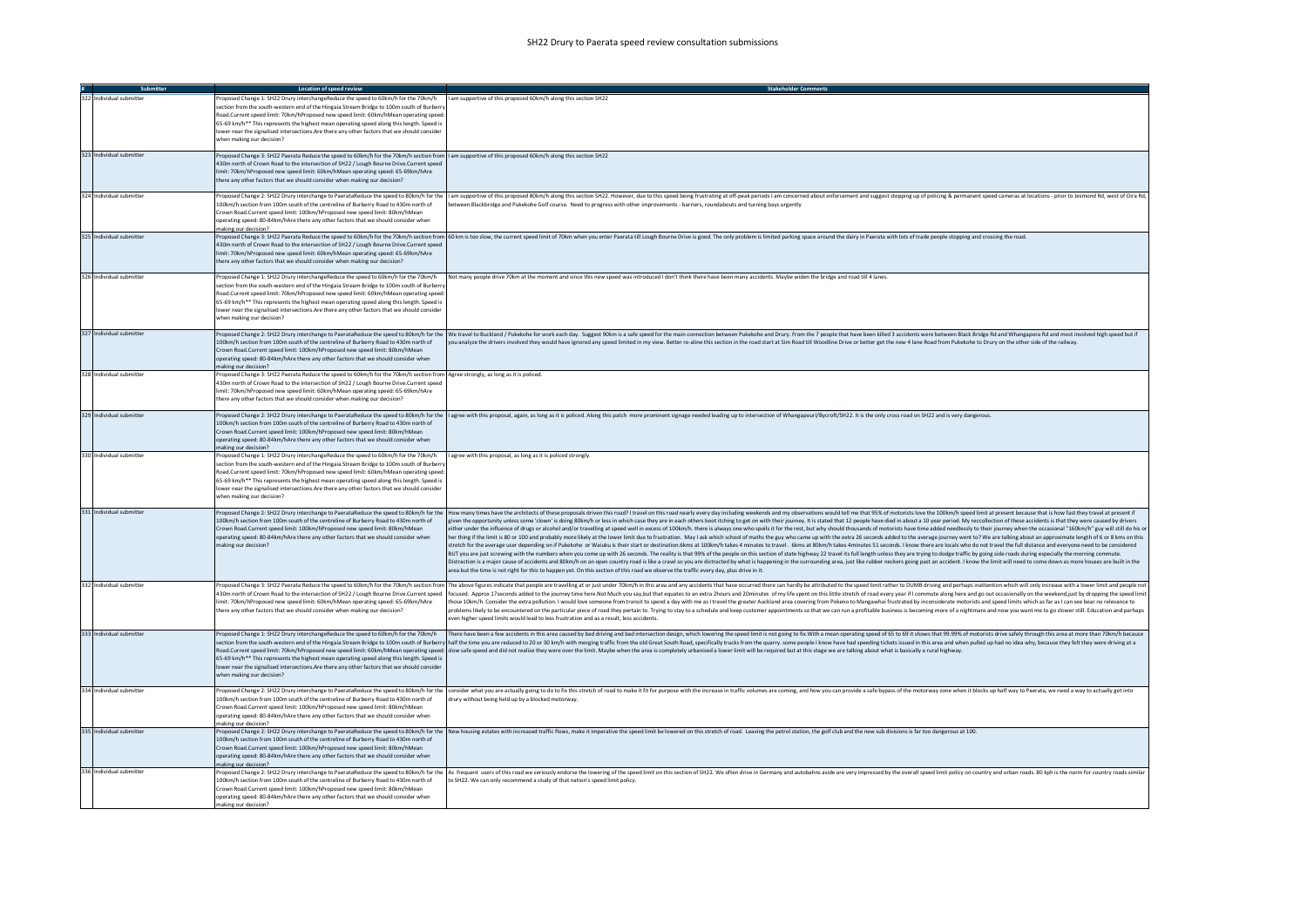|                          | Location of speed review                                                                                                                                                                                                                                                                                                                                                                                                                                                                          | <b>Stakeholder Comments</b>                                                                                                                                                                                                                                                                                                                                                                                                                                                                                                                                                                                                                                                                                                                                                                                                                                                                                                                                                                                                                                                                                                                                                                                                                                                                                                                                                                                                                                                                                                                                                                                                                                                                                                                                                          |
|--------------------------|---------------------------------------------------------------------------------------------------------------------------------------------------------------------------------------------------------------------------------------------------------------------------------------------------------------------------------------------------------------------------------------------------------------------------------------------------------------------------------------------------|--------------------------------------------------------------------------------------------------------------------------------------------------------------------------------------------------------------------------------------------------------------------------------------------------------------------------------------------------------------------------------------------------------------------------------------------------------------------------------------------------------------------------------------------------------------------------------------------------------------------------------------------------------------------------------------------------------------------------------------------------------------------------------------------------------------------------------------------------------------------------------------------------------------------------------------------------------------------------------------------------------------------------------------------------------------------------------------------------------------------------------------------------------------------------------------------------------------------------------------------------------------------------------------------------------------------------------------------------------------------------------------------------------------------------------------------------------------------------------------------------------------------------------------------------------------------------------------------------------------------------------------------------------------------------------------------------------------------------------------------------------------------------------------|
| 322 Individual submitter | roposed Change 1: SH22 Drury interchangeReduce the speed to 60km/h for the 70km/h<br>section from the south-western end of the Hingaia Stream Bridge to 100m south of Burberry<br>Road.Current speed limit: 70km/hProposed new speed limit: 60km/hMean operating speed:<br>65-69 km/h** This represents the highest mean operating speed along this length. Speed is<br>lower near the signalised intersections. Are there any other factors that we should consider<br>when making our decision? | I am supportive of this proposed 60km/h along this section SH22                                                                                                                                                                                                                                                                                                                                                                                                                                                                                                                                                                                                                                                                                                                                                                                                                                                                                                                                                                                                                                                                                                                                                                                                                                                                                                                                                                                                                                                                                                                                                                                                                                                                                                                      |
| 323 Individual submitter | Proposed Change 3: SH22 Paerata Reduce the speed to 60km/h for the 70km/h section from   I am supportive of this proposed 60km/h along this section SH22<br>430m north of Crown Road to the intersection of SH22 / Lough Bourne Drive.Current speed<br>limit: 70km/hProposed new speed limit: 60km/hMean operating speed: 65-69km/hAre<br>there any other factors that we should consider when making our decision?                                                                               |                                                                                                                                                                                                                                                                                                                                                                                                                                                                                                                                                                                                                                                                                                                                                                                                                                                                                                                                                                                                                                                                                                                                                                                                                                                                                                                                                                                                                                                                                                                                                                                                                                                                                                                                                                                      |
| 324 Individual submitter | 100km/h section from 100m south of the centreline of Burberry Road to 430m north of<br>Crown Road Current speed limit: 100km/hPronosed new speed limit: 80km/hMean<br>operating speed: 80-84km/hAre there any other factors that we should consider when<br>making our decision?                                                                                                                                                                                                                  | Proposed Change 2: SH22 Drury interchange to PaerataReduce the speed to 80km/h for the  lam supportive of this proposed 80km/h along this section SH22. However, due to this speed being frustrating at off-peak periods I am<br>between Blackbridge and Pukekohe Golf course. Need to progress with other improvements - barriers, roundabouts and turning bays urgently                                                                                                                                                                                                                                                                                                                                                                                                                                                                                                                                                                                                                                                                                                                                                                                                                                                                                                                                                                                                                                                                                                                                                                                                                                                                                                                                                                                                            |
| 325 Individual submitter | 430m north of Crown Road to the intersection of SH22 / Lough Bourne Drive.Current speed<br>limit: 70km/hProposed new speed limit: 60km/hMean operating speed: 65-69km/hAre<br>there any other factors that we should consider when making our decision?                                                                                                                                                                                                                                           | Proposed Change 3: SH22 Paerata Reduce the speed to 60km/h for the 70km/h section from  60 km is too slow, the current speed limit of 70km when you enter Paerata till Lough Bourne Drive is good. The only problem is limited                                                                                                                                                                                                                                                                                                                                                                                                                                                                                                                                                                                                                                                                                                                                                                                                                                                                                                                                                                                                                                                                                                                                                                                                                                                                                                                                                                                                                                                                                                                                                       |
| 326 Individual submitter | Proposed Change 1: SH22 Drury interchangeReduce the speed to 60km/h for the 70km/h<br>section from the south-western end of the Hingaia Stream Bridge to 100m south of Burbern<br>Road.Current speed limit: 70km/hProposed new speed limit: 60km/hMean operating speed:<br>65-69 km/h** This represents the highest mean operating speed along this length. Speed is<br>lower near the signalised intersections.Are there any other factors that we should consider<br>when making our decision?  | Not many people drive 70km at the moment and since this new speed was introduced I don't think there have been many accidents. Maybe widen the bridge and road till 4 lanes.                                                                                                                                                                                                                                                                                                                                                                                                                                                                                                                                                                                                                                                                                                                                                                                                                                                                                                                                                                                                                                                                                                                                                                                                                                                                                                                                                                                                                                                                                                                                                                                                         |
| 327 Individual submitter | 100km/h section from 100m south of the centreline of Burberry Road to 430m north of<br>Crown Road.Current speed limit: 100km/hProposed new speed limit: 80km/hMean<br>operating speed: 80-84km/hAre there any other factors that we should consider when<br>naking our decision?                                                                                                                                                                                                                  | Proposed Change 2: SH22 Drury interchange to PaerataReduce the speed to 80km/h for the We travel to Buckland / Pukekohe for work each day. Suggest 90km is a safe speed for the main connection between Pukekohe and Drury. Fr<br>you analyze the drivers involved they would have ignored any speed limited in my view. Better re-aline this section in the road start at Sim Road till Woodline Drive or better get the new 4 lane Road from Pukekohe to Drury                                                                                                                                                                                                                                                                                                                                                                                                                                                                                                                                                                                                                                                                                                                                                                                                                                                                                                                                                                                                                                                                                                                                                                                                                                                                                                                     |
| 328 Individual submitter | Proposed Change 3: SH22 Paerata Reduce the speed to 60km/h for the 70km/h section from Agree strongly, as long as it is policed.<br>430m north of Crown Road to the intersection of SH22 / Lough Bourne Drive.Current speed<br>imit: 70km/hProposed new speed limit: 60km/hMean operating speed: 65-69km/hAre<br>there any other factors that we should consider when making our decision?                                                                                                        |                                                                                                                                                                                                                                                                                                                                                                                                                                                                                                                                                                                                                                                                                                                                                                                                                                                                                                                                                                                                                                                                                                                                                                                                                                                                                                                                                                                                                                                                                                                                                                                                                                                                                                                                                                                      |
| 329 Individual submitter | 100km/h section from 100m south of the centreline of Burberry Road to 430m north of<br>Crown Road.Current speed limit: 100km/hProposed new speed limit: 80km/hMean<br>operating speed: 80-84km/hAre there any other factors that we should consider when<br>making our decision?                                                                                                                                                                                                                  | Proposed Change 2: SH22 Drury interchange to PaerataReduce the speed to 80km/h for the   agree with this proposal, again, as long as it is policed. Along this patch more prominent signage needed leading up to intersection                                                                                                                                                                                                                                                                                                                                                                                                                                                                                                                                                                                                                                                                                                                                                                                                                                                                                                                                                                                                                                                                                                                                                                                                                                                                                                                                                                                                                                                                                                                                                        |
| 330 Individual submitter | Proposed Change 1: SH22 Drury interchangeReduce the speed to 60km/h for the 70km/h<br>ection from the south-western end of the Hingaia Stream Bridge to 100m south of Burbern<br>Road.Current speed limit: 70km/hProposed new speed limit: 60km/hMean operating speed<br>65-69 km/h** This represents the highest mean operating speed along this length. Speed is<br>lower near the signalised intersections. Are there any other factors that we should consider<br>when making our decision?   | I agree with this proposal, as long as it is policed strongly.                                                                                                                                                                                                                                                                                                                                                                                                                                                                                                                                                                                                                                                                                                                                                                                                                                                                                                                                                                                                                                                                                                                                                                                                                                                                                                                                                                                                                                                                                                                                                                                                                                                                                                                       |
| 331 Individual submitter | 100km/h section from 100m south of the centreline of Burberry Road to 430m north of<br>Crown Road.Current speed limit: 100km/hProposed new speed limit: 80km/hMean<br>operating speed: 80-84km/hAre there any other factors that we should consider when<br>naking our decision?                                                                                                                                                                                                                  | Proposed Change 2: SH22 Drury interchange to PaerataReduce the speed to 80km/h for the How many times have the architects of these proposals driven this road? I travel on this road nearly every day including weekends and m<br>given the opportunity unless some 'clown' is doing 80km/h or less in which case they are in each others boot itching to get on with their journey. It is stated that 12 people have died in about a 10 year period. My reccoll<br>either under the influence of drugs or alcohol and/or travelling at speed well in excess of 100km/h. there is always one who spoils it for the rest, but why should thousands of motorists have time added needlessly to their<br>her thing if the limit is 80 or 100 and probably more likely at the lower limit due to frustration. May I ask which school of maths the guy who came up with the extra 26 seconds added to the average journey went to? We are<br>stretch for the average user depending on if Pukekohe or Waiuku is their start or destination.6kms at 100km/h takes 4 minutes to travel. 6kms at 80km/h takes 4 minutes 51 seconds. I know there are locals who do not travel<br>BUT you are just screwing with the numbers when you come up with 26 seconds. The reality is that 99% of the people on this section of state highway 22 travel its full length unless they are trying to dodge traffic by going<br>Distraction is a major cause of accidents and 80km/h on an open country road is like a crawl so you are distracted by what is happening in the surrounding area, just like rubber neckers going past an accident. I know the l<br>area but the time is not right for this to happen yet. On this section of this road we observe the traffic every day, plus drive in it. |
| 332 Individual submitter | 430m north of Crown Road to the intersection of SH22 / Lough Bourne Drive.Current speed<br>limit: 70km/hProposed new speed limit: 60km/hMean operating speed: 65-69km/hAre<br>there any other factors that we should consider when making our decision?                                                                                                                                                                                                                                           | Proposed Change 3: SH22 Paerata Reduce the speed to 60km/h for the 70km/h section from  The above figures indicate that people are travelling at or just under 70km/h in this area and any accidents that have occurred there<br>focused. Approx 17 seconds added to the journey time here.Not Much you say,but that equates to an extra 2hours and 20minutes of my life spent on this little stretch of road every year if I commute along here and go out occ<br>hose 10km/h. Consider the extra pollution. I would love someone from transit to spend a day with me as I travel the greater Auckland area covering from Pokeno to Mangawhai frustrated by inconsiderate motorists and speed li<br>problems likely to be encountered on the particular piece of road they pertain to. Trying to stay to a schedule and keep customer appointments so that we can run a profitable business is becoming more of a nightmare and no<br>ven higher speed limits would lead to less frustration and as a result, less accidents                                                                                                                                                                                                                                                                                                                                                                                                                                                                                                                                                                                                                                                                                                                                                        |
| 333 Individual submitter | Proposed Change 1: SH22 Drury interchangeReduce the speed to 60km/h for the 70km/h<br>65-69 km/h** This represents the highest mean operating speed along this length. Speed is<br>lower near the signalised intersections. Are there any other factors that we should consider<br>when making our decision?                                                                                                                                                                                      | There have been a few accidents in this area caused by bad driving and bad intersection design, which lowering the speed limit is not going to fix. With a mean operating speed of 65 to 69 it shows that 99.99% of motorists<br>section from the south-western end of the Hingaia Stream Bridge to 100m south of Burberry half the time you are reduced to 20 or 30 km/h with merging traffic from the old Great South Road, specifically trucks from the quar<br>Road.Current speed limit: 70km/hProposed new speed limit: 60km/hMean operating speed: slow safe speed and did not realize they were over the limit. Maybe when the area is completely urbanised a lower limit will be required                                                                                                                                                                                                                                                                                                                                                                                                                                                                                                                                                                                                                                                                                                                                                                                                                                                                                                                                                                                                                                                                                    |
| 334 Individual submitter | 100km/h section from 100m south of the centreline of Burberry Road to 430m north of<br>Crown Road.Current speed limit: 100km/hProposed new speed limit: 80km/hMean<br>operating speed: 80-84km/hAre there any other factors that we should consider when<br>making our decision?                                                                                                                                                                                                                  | Proposed Change 2: SH22 Drury interchange to PaerataReduce the speed to 80km/h for the consider what you are actually going to do to fix this stretch of road to make it fit for purpose with the increase in traffic volumes<br>drury without being held up by a blocked motorway.                                                                                                                                                                                                                                                                                                                                                                                                                                                                                                                                                                                                                                                                                                                                                                                                                                                                                                                                                                                                                                                                                                                                                                                                                                                                                                                                                                                                                                                                                                  |
| 335 Individual submitter | 100km/h section from 100m south of the centreline of Burberry Road to 430m north of<br>Crown Road.Current speed limit: 100km/hProposed new speed limit: 80km/hMean<br>operating speed: 80-84km/hAre there any other factors that we should consider when<br>naking our decision?                                                                                                                                                                                                                  | Proposed Change 2: SH22 Drury interchange to PaerataReduce the speed to 80km/h for the New housing estates with increased traffic flows, make it imperative the speed limit be lowered on this stretch of road. Leaving the pe                                                                                                                                                                                                                                                                                                                                                                                                                                                                                                                                                                                                                                                                                                                                                                                                                                                                                                                                                                                                                                                                                                                                                                                                                                                                                                                                                                                                                                                                                                                                                       |
| 336 Individual submitter | 100km/h section from 100m south of the centreline of Burberry Road to 430m north of<br>Crown Road Current speed limit: 100km/hProposed new speed limit: 80km/hMean<br>operating speed: 80-84km/hAre there any other factors that we should consider when<br>naking our decision?                                                                                                                                                                                                                  | Proposed Change 2: SH22 Drury interchange to PaerataReduce the speed to 80km/h for the As frequent users of this road we seriously endorse the lowering of the speed limit on this section of SH22. We often drive in Germany<br>to SH22. We can only recommend a study of that nation's speed limit policy.                                                                                                                                                                                                                                                                                                                                                                                                                                                                                                                                                                                                                                                                                                                                                                                                                                                                                                                                                                                                                                                                                                                                                                                                                                                                                                                                                                                                                                                                         |